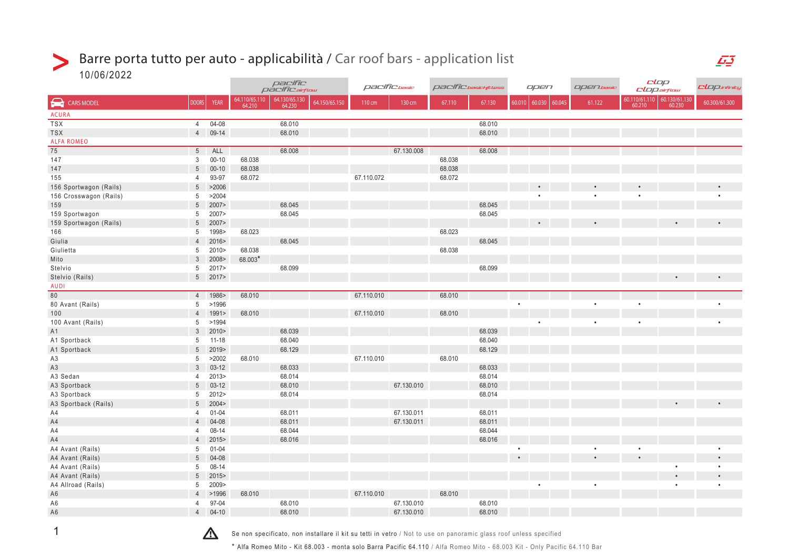pacific<br>pacific.<sub>airflow</sub> pacific.basic pacific.basictitless open open.basic clop clop.airflow clop.infinity  $\bigodot$  CARS MODEL  $\bigodot$  CARS MODEL  $\bigodot$  CARS MODEL  $\bigodot$  CARS MODEL  $\bigodot$  CARS MODEL  $\bigodot$  CARS MODEL  $\bigodot$ 64.210 64.130/65.130 64.230 64.150/65.150 110 cm 130 cm 67.110 67.130 60.010 60.030 60.045 61.122 60.110/61.110 60.210 60.130/61.130 60.230 60.300/61.300 **ACURA** TSX 68.010 68.010 68.010 68.010 68.010 68.010 68.010 68.010 68.010 68.010 68.010 TSX 68.010 68.010 68.010 68.010 68.010 68.010 68.010 68.010 68.010 68.010 68.010 **ALFA ROMEO** 75 5 ALL 68.008 67.130.008 68.008 147 3 00-10 68.038 68.038 147 5 00-10 68.038 68.038 155 4 93-97 68.072 67.110.072 68.072 156 Sportwagon (Rails) 5 >2006 • • • • 156 Crosswagon (Rails) 5 >2004 • • • • 159 5 2007> 68.045 68.045 68.045 68.045 68.045 68.045 68.045 68.045 68.045 68.045 159 Sportwagon 5 2007> 68.045 68.045 159 Sportwagon (Rails) 5 2007> • • • • 166 5 1998> 68.023 68.023 Giulia 4 2016> 68.045 68.045 Giulietta 5 2010> 68.038 68.038 Mito 3 2008> 68.003\* Stelvio 5 2017> 68.099 68.099 Stelvio (Rails) 5 2017> • • AUDI 80 4 1986> 68.010 67.110.010 68.010 80 Avant (Rails) 5 >1996 • • • • 100 4 1991> 68.010 67.110.010 68.010 100 Avant (Rails) 5 >1994 • • • • A1 3 2010> 68.039 68.039 68.039 68.039 68.039 68.039 68.039 68.039 68.039 68.039 A1 Sportback 5 11-18 68.040 68.040 A1 Sportback 5 2019> 68.129 68.129 A3 5 >2002 68.010 67.110.010 68.010 A3 3 03-12 68.033 68.033 A3 Sedan 4 2013> 68.014 68.014 A3 Sportback 5 03-12 68.010 67.130.010 68.010 A3 Sportback 5 2012> 68.014 68.014 A3 Sportback (Rails) 5 2004> • • A4 4 01-04 68.011 67.130.011 68.011 A4 4 04-08 68.011 67.130.011 68.011 A4 68.044 68.044 68.044 68.044 68.044 68.044 68.044 68.044 68.044 68.044 A4 4 2015> 68.016 68.016 A4 Avant (Rails) 5 01-04 • • • • A4 Avant (Rails) 5 04-08 • • • • A4 Avant (Rails) 5 08-14 • • A4 Avant (Rails) 5 2015> • • A4 Allroad (Rails) 5 2009> • • • • A6 4 >1996 68.010 67.110.010 68.010 A6 4 97-04 68.010 67.130.010 68.010 A6 4 04-10 68.010 67.130.010 68.010

**E3** 



**A** 

1

Se non specificato, non installare il kit su tetti in vetro / Not to use on panoramic glass roof unless specified

\* Alfa Romeo Mito - Kit 68.003 - monta solo Barra Pacific 64.110 / Alfa Romeo Mito - 68.003 Kit - Only Pacific 64.110 Bar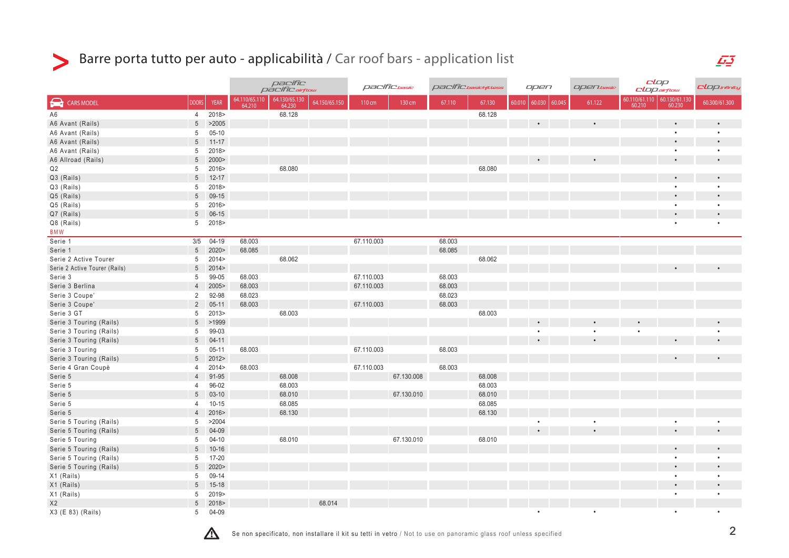|                               |                 |           |                         | pacific<br>pacific.airflow |               | <i>pacific.basic</i> |            |        | <i>pacific.basicHtless</i> | open                 | Open.basic |        | clap<br><b>CL</b> OP.airflow          | CLop.infinity |
|-------------------------------|-----------------|-----------|-------------------------|----------------------------|---------------|----------------------|------------|--------|----------------------------|----------------------|------------|--------|---------------------------------------|---------------|
| <b>Q</b> CARS MODEL           | <b>DOORS</b>    | YEAR      | 64.110/65.110<br>64.210 | 64.130/65.130<br>64.230    | 64.150/65.150 | 110 cm               | 130 cm     | 67.110 | 67.130                     | 60.010 60.030 60.045 | 61.122     | 60.210 | 60.110/61.110 60.130/61.130<br>60.230 | 60.300/61.300 |
| A <sub>6</sub>                | $\overline{4}$  | 2018>     |                         | 68.128                     |               |                      |            |        | 68.128                     |                      |            |        |                                       |               |
| A6 Avant (Rails)              | $\sqrt{5}$      | >2005     |                         |                            |               |                      |            |        |                            |                      |            |        |                                       |               |
| A6 Avant (Rails)              | 5               | $05 - 10$ |                         |                            |               |                      |            |        |                            |                      |            |        | $\bullet$                             | $\bullet$     |
| A6 Avant (Rails)              | $5\phantom{.0}$ | $11 - 17$ |                         |                            |               |                      |            |        |                            |                      |            |        |                                       | $\bullet$     |
| A6 Avant (Rails)              | 5               | 2018>     |                         |                            |               |                      |            |        |                            |                      |            |        | $\bullet$                             | $\bullet$     |
| A6 Allroad (Rails)            | 5               | 2000      |                         |                            |               |                      |            |        |                            |                      |            |        |                                       |               |
| Q2                            | 5               | 2016>     |                         | 68.080                     |               |                      |            |        | 68.080                     |                      |            |        |                                       |               |
| Q3 (Rails)                    | $5\phantom{.0}$ | $12 - 17$ |                         |                            |               |                      |            |        |                            |                      |            |        | $\bullet$                             | $\bullet$     |
| Q3 (Rails)                    | 5               | 2018>     |                         |                            |               |                      |            |        |                            |                      |            |        | $\bullet$                             | $\bullet$     |
| Q5 (Rails)                    | $5\phantom{.0}$ | 09-15     |                         |                            |               |                      |            |        |                            |                      |            |        |                                       |               |
| Q5 (Rails)                    | 5               | 2016>     |                         |                            |               |                      |            |        |                            |                      |            |        |                                       |               |
| Q7 (Rails)                    | $\overline{5}$  | $06-15$   |                         |                            |               |                      |            |        |                            |                      |            |        |                                       |               |
| Q8 (Rails)                    | 5               | 2018>     |                         |                            |               |                      |            |        |                            |                      |            |        | $\bullet$                             |               |
| <b>BMW</b>                    |                 |           |                         |                            |               |                      |            |        |                            |                      |            |        |                                       |               |
| Serie 1                       | 3/5             | $04-19$   | 68.003                  |                            |               | 67.110.003           |            | 68.003 |                            |                      |            |        |                                       |               |
| Serie 1                       | $\overline{5}$  | 2020>     | 68.085                  |                            |               |                      |            | 68.085 |                            |                      |            |        |                                       |               |
| Serie 2 Active Tourer         | 5               | 2014      |                         | 68.062                     |               |                      |            |        | 68.062                     |                      |            |        |                                       |               |
| Serie 2 Active Tourer (Rails) | $\overline{5}$  | 2014      |                         |                            |               |                      |            |        |                            |                      |            |        |                                       |               |
| Serie 3                       | 5               | 99-05     | 68.003                  |                            |               | 67.110.003           |            | 68.003 |                            |                      |            |        |                                       |               |
| Serie 3 Berlina               | $\overline{4}$  | 2005>     | 68.003                  |                            |               | 67.110.003           |            | 68.003 |                            |                      |            |        |                                       |               |
| Serie 3 Coupe'                | $\overline{2}$  | 92-98     | 68.023                  |                            |               |                      |            | 68.023 |                            |                      |            |        |                                       |               |
| Serie 3 Coupe'                | $\sqrt{2}$      | $05 - 11$ | 68.003                  |                            |               | 67.110.003           |            | 68.003 |                            |                      |            |        |                                       |               |
| Serie 3 GT                    | 5               | 2013>     |                         | 68.003                     |               |                      |            |        | 68.003                     |                      |            |        |                                       |               |
| Serie 3 Touring (Rails)       | $\sqrt{5}$      | >1999     |                         |                            |               |                      |            |        |                            |                      |            |        |                                       |               |
| Serie 3 Touring (Rails)       | 5               | 99-03     |                         |                            |               |                      |            |        |                            |                      |            |        |                                       |               |
| Serie 3 Touring (Rails)       | $\overline{5}$  | $04 - 11$ |                         |                            |               |                      |            |        |                            |                      |            |        |                                       |               |
| Serie 3 Touring               | 5               | $05 - 11$ | 68.003                  |                            |               | 67.110.003           |            | 68.003 |                            |                      |            |        |                                       |               |
| Serie 3 Touring (Rails)       | $5\phantom{.0}$ | 2012      |                         |                            |               |                      |            |        |                            |                      |            |        |                                       |               |
| Serie 4 Gran Coupè            | 4               | 2014      | 68.003                  |                            |               | 67.110.003           |            | 68.003 |                            |                      |            |        |                                       |               |
| Serie 5                       | $\overline{4}$  | 91-95     |                         | 68.008                     |               |                      | 67.130.008 |        | 68.008                     |                      |            |        |                                       |               |
| Serie 5                       | $\overline{4}$  | 96-02     |                         | 68.003                     |               |                      |            |        | 68.003                     |                      |            |        |                                       |               |
| Serie 5                       | 5               | $03-10$   |                         | 68.010                     |               |                      | 67.130.010 |        | 68.010                     |                      |            |        |                                       |               |
| Serie 5                       | $\overline{4}$  | $10 - 15$ |                         | 68.085                     |               |                      |            |        | 68.085                     |                      |            |        |                                       |               |
| Serie 5                       | $\overline{4}$  | 2016>     |                         | 68.130                     |               |                      |            |        | 68.130                     |                      |            |        |                                       |               |
| Serie 5 Touring (Rails)       | 5               | >2004     |                         |                            |               |                      |            |        |                            |                      |            |        |                                       |               |
| Serie 5 Touring (Rails)       | $5\phantom{.0}$ | 04-09     |                         |                            |               |                      |            |        |                            |                      |            |        |                                       |               |
| Serie 5 Touring               | 5               | $04-10$   |                         | 68.010                     |               |                      | 67.130.010 |        | 68.010                     |                      |            |        |                                       |               |
| Serie 5 Touring (Rails)       | $5\phantom{.0}$ | $10 - 16$ |                         |                            |               |                      |            |        |                            |                      |            |        |                                       |               |
| Serie 5 Touring (Rails)       | 5               | $17 - 20$ |                         |                            |               |                      |            |        |                            |                      |            |        | $\bullet$                             | $\bullet$     |
| Serie 5 Touring (Rails)       | 5               | 2020>     |                         |                            |               |                      |            |        |                            |                      |            |        | $\bullet$                             |               |
| X1 (Rails)                    | 5               | 09-14     |                         |                            |               |                      |            |        |                            |                      |            |        | $\bullet$                             | $\bullet$     |
| X1 (Rails)                    | $5\phantom{.0}$ | $15 - 18$ |                         |                            |               |                      |            |        |                            |                      |            |        | $\bullet$                             | $\bullet$     |
| X1 (Rails)                    | 5               | 2019>     |                         |                            |               |                      |            |        |                            |                      |            |        |                                       |               |
| X <sub>2</sub>                | $5\phantom{.0}$ | 2018>     |                         |                            | 68.014        |                      |            |        |                            |                      |            |        |                                       |               |
| X3 (E 83) (Rails)             | 5               | 04-09     |                         |                            |               |                      |            |        |                            | $\bullet$            | $\bullet$  |        | $\bullet$                             | $\bullet$     |
|                               |                 |           |                         |                            |               |                      |            |        |                            |                      |            |        |                                       |               |

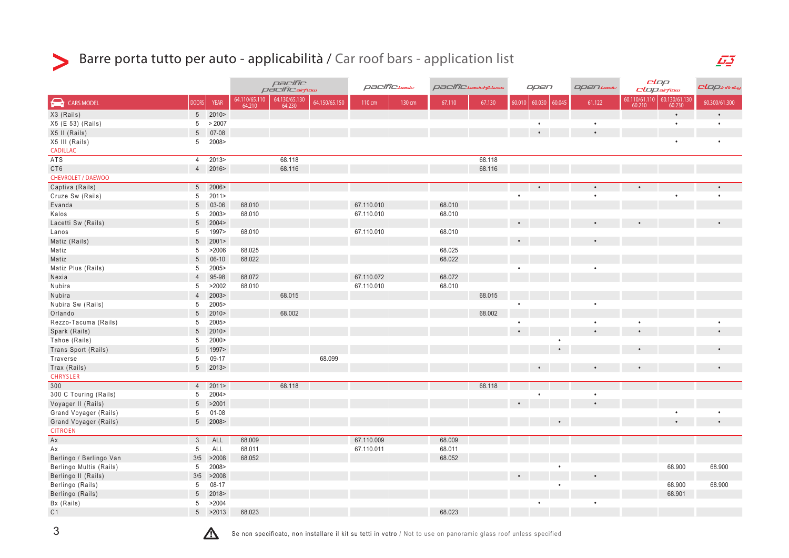

|                         |                 |            |                         | pacific<br>pacific.airflow |               | <i>pacific.basic</i> |        |        | pacific. <sub>basicHi</sub> tless |                 | open      | Open.basic |        | clop<br><b>CLOP</b> .airflow          | CLop.infinity |
|-------------------------|-----------------|------------|-------------------------|----------------------------|---------------|----------------------|--------|--------|-----------------------------------|-----------------|-----------|------------|--------|---------------------------------------|---------------|
| CARS MODEL              | <b>DOORS</b>    | YEAR       | 64.110/65.110<br>64.210 | 64.130/65.130<br>64.230    | 64.150/65.150 | 110 cm               | 130 cm | 67.110 | 67.130                            | $60.010$ 60.030 | 60.045    | 61.122     | 60.210 | 60.110/61.110 60.130/61.130<br>60.230 | 60.300/61.300 |
| X3 (Rails)              |                 | 5 2010>    |                         |                            |               |                      |        |        |                                   |                 |           |            |        | $\bullet$                             | $\bullet$     |
| X5 (E 53) (Rails)       | 5               | > 2007     |                         |                            |               |                      |        |        |                                   |                 |           |            |        | $\bullet$                             | $\bullet$     |
| X5 II (Rails)           | $5\phantom{.0}$ | 07-08      |                         |                            |               |                      |        |        |                                   |                 | $\bullet$ | $\bullet$  |        |                                       |               |
| X5 III (Rails)          | 5               | 2008>      |                         |                            |               |                      |        |        |                                   |                 |           |            |        | $\bullet$                             | $\bullet$     |
| CADILLAC                |                 |            |                         |                            |               |                      |        |        |                                   |                 |           |            |        |                                       |               |
| <b>ATS</b>              | $\overline{4}$  | 2013       |                         | 68.118                     |               |                      |        |        | 68.118                            |                 |           |            |        |                                       |               |
| CT6                     | 4               | 2016>      |                         | 68.116                     |               |                      |        |        | 68.116                            |                 |           |            |        |                                       |               |
| CHEVROLET / DAEWOO      |                 |            |                         |                            |               |                      |        |        |                                   |                 |           |            |        |                                       |               |
| Captiva (Rails)         | 5 <sub>5</sub>  | 2006>      |                         |                            |               |                      |        |        |                                   |                 |           |            |        |                                       |               |
| Cruze Sw (Rails)        | 5               | 2011       |                         |                            |               |                      |        |        |                                   |                 |           | $\bullet$  |        |                                       | $\bullet$     |
| Evanda                  | $\overline{5}$  | 03-06      | 68.010                  |                            |               | 67.110.010           |        | 68.010 |                                   |                 |           |            |        |                                       |               |
| Kalos                   | 5               | 2003>      | 68.010                  |                            |               | 67.110.010           |        | 68.010 |                                   |                 |           |            |        |                                       |               |
| Lacetti Sw (Rails)      | $5\phantom{.0}$ | 2004 >     |                         |                            |               |                      |        |        |                                   | $\bullet$       |           | $\bullet$  |        |                                       | $\bullet$     |
| Lanos                   | 5               | 1997>      | 68.010                  |                            |               | 67.110.010           |        | 68.010 |                                   |                 |           |            |        |                                       |               |
| Matiz (Rails)           | $5\overline{)}$ | 2001       |                         |                            |               |                      |        |        |                                   |                 |           |            |        |                                       |               |
| Matiz                   | 5               | >2006      | 68.025                  |                            |               |                      |        | 68.025 |                                   |                 |           |            |        |                                       |               |
| Matiz                   | $5\phantom{.0}$ | $06-10$    | 68.022                  |                            |               |                      |        | 68.022 |                                   |                 |           |            |        |                                       |               |
| Matiz Plus (Rails)      | $\overline{5}$  | 2005>      |                         |                            |               |                      |        |        |                                   |                 |           | $\bullet$  |        |                                       |               |
| Nexia                   | $\overline{4}$  | 95-98      | 68.072                  |                            |               | 67.110.072           |        | 68.072 |                                   |                 |           |            |        |                                       |               |
| Nubira                  | 5               | >2002      | 68.010                  |                            |               | 67.110.010           |        | 68.010 |                                   |                 |           |            |        |                                       |               |
| Nubira                  | $\overline{4}$  | 2003 >     |                         | 68.015                     |               |                      |        |        | 68.015                            |                 |           |            |        |                                       |               |
| Nubira Sw (Rails)       | 5               | 2005>      |                         |                            |               |                      |        |        |                                   |                 |           | $\bullet$  |        |                                       |               |
| Orlando                 | 5               | 2010       |                         | 68.002                     |               |                      |        |        | 68.002                            |                 |           |            |        |                                       |               |
| Rezzo-Tacuma (Rails)    | 5               | 2005>      |                         |                            |               |                      |        |        |                                   |                 |           | $\bullet$  |        |                                       |               |
| Spark (Rails)           | 5               | 2010       |                         |                            |               |                      |        |        |                                   |                 |           | $\bullet$  |        |                                       | $\bullet$     |
| Tahoe (Rails)           | 5               | 2000>      |                         |                            |               |                      |        |        |                                   |                 | $\bullet$ |            |        |                                       |               |
| Trans Sport (Rails)     | 5               | 1997>      |                         |                            |               |                      |        |        |                                   |                 |           |            |        |                                       | $\bullet$     |
| Traverse                | 5               | 09-17      |                         |                            | 68.099        |                      |        |        |                                   |                 |           |            |        |                                       |               |
| Trax (Rails)            | 5 <sup>5</sup>  | 2013>      |                         |                            |               |                      |        |        |                                   |                 |           |            |        |                                       | $\bullet$     |
| CHRYSLER                |                 |            |                         |                            |               |                      |        |        |                                   |                 |           |            |        |                                       |               |
| 300                     | 4               | 2011       |                         | 68.118                     |               |                      |        |        | 68.118                            |                 |           |            |        |                                       |               |
| 300 C Touring (Rails)   | 5               | 2004 >     |                         |                            |               |                      |        |        |                                   |                 |           | $\bullet$  |        |                                       |               |
| Voyager II (Rails)      | $5\phantom{.0}$ | >2001      |                         |                            |               |                      |        |        |                                   |                 |           |            |        |                                       |               |
| Grand Voyager (Rails)   | 5               | $01 - 08$  |                         |                            |               |                      |        |        |                                   |                 |           |            |        |                                       | $\bullet$     |
| Grand Voyager (Rails)   |                 | 5 2008>    |                         |                            |               |                      |        |        |                                   |                 |           |            |        |                                       |               |
| <b>CITROEN</b>          |                 |            |                         |                            |               |                      |        |        |                                   |                 |           |            |        |                                       |               |
| Ax                      | $\mathbf{3}$    | <b>ALL</b> | 68.009                  |                            |               | 67.110.009           |        | 68.009 |                                   |                 |           |            |        |                                       |               |
| Ax                      | $\overline{5}$  | ALL        | 68.011                  |                            |               | 67.110.011           |        | 68.011 |                                   |                 |           |            |        |                                       |               |
| Berlingo / Berlingo Van | $3/5$           | >2008      | 68.052                  |                            |               |                      |        | 68.052 |                                   |                 |           |            |        |                                       |               |
| Berlingo Multis (Rails) | 5               | 2008>      |                         |                            |               |                      |        |        |                                   |                 |           |            |        | 68.900                                | 68.900        |
| Berlingo II (Rails)     | 3/5             | >2008      |                         |                            |               |                      |        |        |                                   |                 |           |            |        |                                       |               |
| Berlingo (Rails)        | 5               | 08-17      |                         |                            |               |                      |        |        |                                   |                 |           |            |        | 68.900                                | 68.900        |
| Berlingo (Rails)        | $5\phantom{.0}$ | 2018>      |                         |                            |               |                      |        |        |                                   |                 |           |            |        | 68.901                                |               |
| Bx (Rails)              | 5               | >2004      |                         |                            |               |                      |        |        |                                   |                 |           |            |        |                                       |               |
| C <sub>1</sub>          | $5\overline{)}$ | >2013      | 68.023                  |                            |               |                      |        | 68.023 |                                   |                 |           |            |        |                                       |               |
|                         |                 |            |                         |                            |               |                      |        |        |                                   |                 |           |            |        |                                       |               |

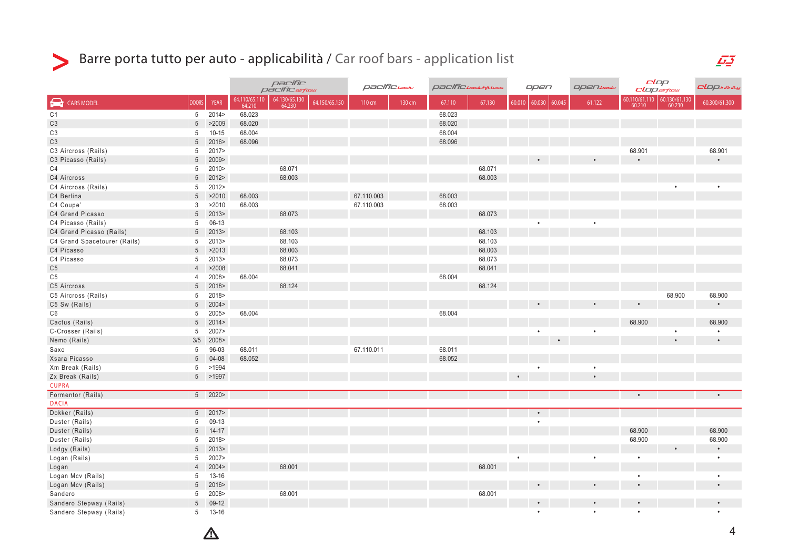

 $\Delta$ 

|                                            |                 |                 |                         | pacific<br><i>pacific.airfuau</i> |               | <i><b>Pacífic.basic</b></i> |        | pacific.basicHitless |        |        | open            | <b>Open.basic</b> |           | clop<br><b>CLOP</b> .airflow                                                      | <b>CLOP.Infinity</b> |
|--------------------------------------------|-----------------|-----------------|-------------------------|-----------------------------------|---------------|-----------------------------|--------|----------------------|--------|--------|-----------------|-------------------|-----------|-----------------------------------------------------------------------------------|----------------------|
| $\blacktriangleright$<br><b>CARS MODEL</b> | <b>DOORS</b>    | <b>YEAR</b>     | 64.110/65.110<br>64.210 | 64.130/65.130<br>64.230           | 64.150/65.150 | 110 cm                      | 130 cm | 67.110               | 67.130 | 60.010 | 60.030   60.045 | 61.122            |           | $\begin{array}{c c} 60.110/61.110 & 60.130/61.130 \\ 60.210 & 60.230 \end{array}$ | 60.300/61.300        |
| C <sub>1</sub>                             | $5\overline{)}$ | 2014>           | 68.023                  |                                   |               |                             |        | 68.023               |        |        |                 |                   |           |                                                                                   |                      |
| C3                                         | $5\phantom{.0}$ | >2009           | 68.020                  |                                   |               |                             |        | 68.020               |        |        |                 |                   |           |                                                                                   |                      |
| C <sub>3</sub>                             | 5               | $10 - 15$       | 68.004                  |                                   |               |                             |        | 68.004               |        |        |                 |                   |           |                                                                                   |                      |
| C3                                         | 5               | 2016>           | 68.096                  |                                   |               |                             |        | 68.096               |        |        |                 |                   |           |                                                                                   |                      |
| C3 Aircross (Rails)                        | 5               | 2017>           |                         |                                   |               |                             |        |                      |        |        |                 |                   | 68.901    |                                                                                   | 68.901               |
| C3 Picasso (Rails)                         | $\overline{5}$  | 2009>           |                         |                                   |               |                             |        |                      |        |        |                 |                   |           |                                                                                   | $\bullet$            |
| C <sub>4</sub>                             | 5               | 2010>           |                         | 68.071                            |               |                             |        |                      | 68.071 |        |                 |                   |           |                                                                                   |                      |
| C4 Aircross                                | 5               | 2012            |                         | 68.003                            |               |                             |        |                      | 68.003 |        |                 |                   |           |                                                                                   |                      |
| C4 Aircross (Rails)                        | 5               | 2012>           |                         |                                   |               |                             |        |                      |        |        |                 |                   |           |                                                                                   |                      |
| C4 Berlina                                 | $5\overline{)}$ | >2010           | 68.003                  |                                   |               | 67.110.003                  |        | 68.003               |        |        |                 |                   |           |                                                                                   |                      |
| C4 Coupe'                                  | 3               | >2010           | 68.003                  |                                   |               | 67.110.003                  |        | 68.003               |        |        |                 |                   |           |                                                                                   |                      |
| C4 Grand Picasso                           | $5\phantom{.0}$ | 2013            |                         | 68.073                            |               |                             |        |                      | 68.073 |        |                 |                   |           |                                                                                   |                      |
| C4 Picasso (Rails)                         | 5               | 06-13           |                         |                                   |               |                             |        |                      |        |        |                 |                   |           |                                                                                   |                      |
| C4 Grand Picasso (Rails)                   | $5\phantom{.0}$ | 2013            |                         | 68.103                            |               |                             |        |                      | 68.103 |        |                 |                   |           |                                                                                   |                      |
| C4 Grand Spacetourer (Rails)               | 5               | 2013>           |                         | 68.103                            |               |                             |        |                      | 68.103 |        |                 |                   |           |                                                                                   |                      |
| C4 Picasso                                 | $5\phantom{.0}$ | >2013           |                         | 68.003                            |               |                             |        |                      | 68.003 |        |                 |                   |           |                                                                                   |                      |
| C4 Picasso                                 | 5               | 2013>           |                         | 68.073                            |               |                             |        |                      | 68.073 |        |                 |                   |           |                                                                                   |                      |
| C <sub>5</sub>                             | $\overline{4}$  | >2008           |                         | 68.041                            |               |                             |        |                      | 68.041 |        |                 |                   |           |                                                                                   |                      |
| C <sub>5</sub>                             | 4               | 2008>           | 68.004                  |                                   |               |                             |        | 68.004               |        |        |                 |                   |           |                                                                                   |                      |
| C5 Aircross                                | $5\phantom{.0}$ | 2018>           |                         | 68.124                            |               |                             |        |                      | 68.124 |        |                 |                   |           |                                                                                   |                      |
| C5 Aircross (Rails)                        | 5               | 2018>           |                         |                                   |               |                             |        |                      |        |        |                 |                   |           | 68.900                                                                            | 68.900               |
| C5 Sw (Rails)                              | $\sqrt{5}$      | 2004 >          |                         |                                   |               |                             |        |                      |        |        |                 |                   |           |                                                                                   | $\bullet$            |
| C6                                         | 5               | 2005>           | 68.004                  |                                   |               |                             |        | 68.004               |        |        |                 |                   |           |                                                                                   |                      |
| Cactus (Rails)                             | $5\phantom{.0}$ | 2014            |                         |                                   |               |                             |        |                      |        |        |                 |                   | 68.900    |                                                                                   | 68.900               |
| C-Crosser (Rails)                          | 5               | 2007>           |                         |                                   |               |                             |        |                      |        |        |                 |                   |           |                                                                                   | $\bullet$            |
| Nemo (Rails)                               | 3/5             | 2008>           |                         |                                   |               |                             |        |                      |        |        |                 |                   |           |                                                                                   |                      |
| Saxo                                       | 5               | 96-03           | 68.011                  |                                   |               | 67.110.011                  |        | 68.011               |        |        |                 |                   |           |                                                                                   |                      |
| Xsara Picasso                              | 5               | 04-08           | 68.052                  |                                   |               |                             |        | 68.052               |        |        |                 |                   |           |                                                                                   |                      |
| Xm Break (Rails)                           |                 | $5 \times 1994$ |                         |                                   |               |                             |        |                      |        |        |                 | $\bullet$         |           |                                                                                   |                      |
| Zx Break (Rails)                           |                 | 5 > 1997        |                         |                                   |               |                             |        |                      |        |        |                 |                   |           |                                                                                   |                      |
| <b>CUPRA</b>                               |                 |                 |                         |                                   |               |                             |        |                      |        |        |                 |                   |           |                                                                                   |                      |
| Formentor (Rails)                          |                 | $5 - 2020$      |                         |                                   |               |                             |        |                      |        |        |                 |                   |           |                                                                                   |                      |
| <b>DACIA</b>                               |                 |                 |                         |                                   |               |                             |        |                      |        |        |                 |                   |           |                                                                                   |                      |
| Dokker (Rails)                             | 5 <sup>5</sup>  | 2017            |                         |                                   |               |                             |        |                      |        |        |                 |                   |           |                                                                                   |                      |
| Duster (Rails)                             | 5               | 09-13           |                         |                                   |               |                             |        |                      |        |        |                 |                   |           |                                                                                   |                      |
| Duster (Rails)                             | 5               | $14 - 17$       |                         |                                   |               |                             |        |                      |        |        |                 |                   | 68.900    |                                                                                   | 68.900               |
| Duster (Rails)                             | 5               | 2018>           |                         |                                   |               |                             |        |                      |        |        |                 |                   | 68.900    |                                                                                   | 68.900               |
| Lodgy (Rails)                              | 5               | 2013            |                         |                                   |               |                             |        |                      |        |        |                 |                   |           |                                                                                   | $\bullet$            |
| Logan (Rails)                              | 5               | 2007>           |                         |                                   |               |                             |        |                      |        |        |                 |                   | $\bullet$ |                                                                                   | $\bullet$            |
| Logan                                      | $\overline{4}$  | 2004 >          |                         | 68.001                            |               |                             |        |                      | 68.001 |        |                 |                   |           |                                                                                   |                      |
| Logan Mcv (Rails)                          | 5               | $13 - 16$       |                         |                                   |               |                             |        |                      |        |        |                 |                   | $\bullet$ |                                                                                   | $\bullet$            |
| Logan Mcv (Rails)                          | 5               | 2016>           |                         |                                   |               |                             |        |                      |        |        |                 |                   |           |                                                                                   | $\bullet$            |
| Sandero                                    | 5               | 2008>           |                         | 68.001                            |               |                             |        |                      | 68.001 |        |                 |                   |           |                                                                                   |                      |
| Sandero Stepway (Rails)                    | $5\phantom{.0}$ | $09-12$         |                         |                                   |               |                             |        |                      |        |        |                 |                   |           |                                                                                   |                      |
| Sandero Stepway (Rails)                    | 5               | $13 - 16$       |                         |                                   |               |                             |        |                      |        |        | $\bullet$       | $\bullet$         | $\bullet$ |                                                                                   | $\bullet$            |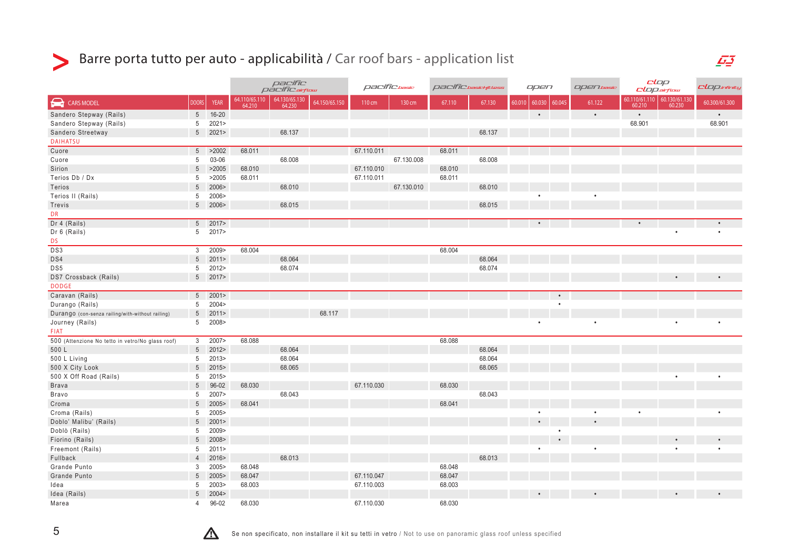|                                                  |                 |           |                         | pacific<br>pacific.airflow |               |            | <i><b>Dacific.basic</b></i> | <b>Dacific.basichitless</b> |        |        | open      |        | <b>Open.basic</b> |                                                                                   | clap<br><b>CLOP</b> .airflow | <b>CL</b> OP.infinity |
|--------------------------------------------------|-----------------|-----------|-------------------------|----------------------------|---------------|------------|-----------------------------|-----------------------------|--------|--------|-----------|--------|-------------------|-----------------------------------------------------------------------------------|------------------------------|-----------------------|
| <b>Q</b> CARS MODEL                              | <b>DOORS</b>    | YEAR      | 64.110/65.110<br>64.210 | 64.130/65.130<br>64.230    | 64.150/65.150 | 110 cm     | 130 cm                      | 67.110                      | 67.130 | 60.010 | 60.030    | 60.045 | 61.122            | $\begin{array}{c c} 60.110/61.110 & 60.130/61.130 \\ 60.210 & 60.230 \end{array}$ |                              | 60.300/61.300         |
| Sandero Stepway (Rails)                          | 5 <sub>5</sub>  | $16 - 20$ |                         |                            |               |            |                             |                             |        |        | $\bullet$ |        | $\bullet$         | $\bullet$                                                                         |                              | $\bullet$             |
| Sandero Stepway (Rails)                          | 5               | 2021      |                         |                            |               |            |                             |                             |        |        |           |        |                   | 68.901                                                                            |                              | 68.901                |
| Sandero Streetway                                | 5 <sup>5</sup>  | 2021      |                         | 68.137                     |               |            |                             |                             | 68.137 |        |           |        |                   |                                                                                   |                              |                       |
| <b>DAIHATSU</b>                                  |                 |           |                         |                            |               |            |                             |                             |        |        |           |        |                   |                                                                                   |                              |                       |
| Cuore                                            | 5 <sup>5</sup>  | >2002     | 68.011                  |                            |               | 67.110.011 |                             | 68.011                      |        |        |           |        |                   |                                                                                   |                              |                       |
| Cuore                                            | 5               | 03-06     |                         | 68.008                     |               |            | 67.130.008                  |                             | 68.008 |        |           |        |                   |                                                                                   |                              |                       |
| Sirion                                           | 5               | >2005     | 68.010                  |                            |               | 67.110.010 |                             | 68.010                      |        |        |           |        |                   |                                                                                   |                              |                       |
| Terios Db / Dx                                   | 5               | >2005     | 68.011                  |                            |               | 67.110.011 |                             | 68.011                      |        |        |           |        |                   |                                                                                   |                              |                       |
| Terios                                           | $5\phantom{.0}$ | 2006>     |                         | 68.010                     |               |            | 67.130.010                  |                             | 68.010 |        |           |        |                   |                                                                                   |                              |                       |
| Terios II (Rails)                                | 5               | 2006>     |                         |                            |               |            |                             |                             |        |        | $\bullet$ |        | $\bullet$         |                                                                                   |                              |                       |
| Trevis                                           | $5\overline{)}$ | 2006>     |                         | 68.015                     |               |            |                             |                             | 68.015 |        |           |        |                   |                                                                                   |                              |                       |
| <b>DR</b>                                        |                 |           |                         |                            |               |            |                             |                             |        |        |           |        |                   |                                                                                   |                              |                       |
| Dr 4 (Rails)                                     |                 | 5 2017>   |                         |                            |               |            |                             |                             |        |        |           |        |                   |                                                                                   |                              |                       |
| Dr 6 (Rails)<br><b>DS</b>                        | 5               | 2017>     |                         |                            |               |            |                             |                             |        |        |           |        |                   |                                                                                   | $\bullet$                    | $\bullet$             |
| DS3                                              | 3               | 2009>     | 68.004                  |                            |               |            |                             | 68.004                      |        |        |           |        |                   |                                                                                   |                              |                       |
| DS4                                              | $5\overline{)}$ | 2011      |                         | 68.064                     |               |            |                             |                             | 68.064 |        |           |        |                   |                                                                                   |                              |                       |
| DS5                                              | 5               | 2012>     |                         | 68.074                     |               |            |                             |                             | 68.074 |        |           |        |                   |                                                                                   |                              |                       |
| DS7 Crossback (Rails)                            | 5 <sup>5</sup>  | 2017>     |                         |                            |               |            |                             |                             |        |        |           |        |                   |                                                                                   | $\bullet$                    | $\bullet$             |
| <b>DODGE</b>                                     |                 |           |                         |                            |               |            |                             |                             |        |        |           |        |                   |                                                                                   |                              |                       |
| Caravan (Rails)                                  | 5 <sup>5</sup>  | 2001      |                         |                            |               |            |                             |                             |        |        |           |        |                   |                                                                                   |                              |                       |
| Durango (Rails)                                  | 5               | 2004>     |                         |                            |               |            |                             |                             |        |        |           |        |                   |                                                                                   |                              |                       |
| Durango (con-senza railing/with-without railing) | $5\phantom{.0}$ | 2011      |                         |                            | 68.117        |            |                             |                             |        |        |           |        |                   |                                                                                   |                              |                       |
| Journey (Rails)                                  | 5               | 2008>     |                         |                            |               |            |                             |                             |        |        | $\bullet$ |        | $\bullet$         |                                                                                   |                              |                       |
| <b>FIAT</b>                                      |                 |           |                         |                            |               |            |                             |                             |        |        |           |        |                   |                                                                                   |                              |                       |
| 500 (Attenzione No tetto in vetro/No glass roof) | 3               | 2007>     | 68.088                  |                            |               |            |                             | 68.088                      |        |        |           |        |                   |                                                                                   |                              |                       |
| 500 L                                            | $5\phantom{.0}$ | 2012      |                         | 68.064                     |               |            |                             |                             | 68.064 |        |           |        |                   |                                                                                   |                              |                       |
| 500 L Living                                     | 5               | 2013>     |                         | 68.064                     |               |            |                             |                             | 68.064 |        |           |        |                   |                                                                                   |                              |                       |
| 500 X City Look                                  | 5               | 2015>     |                         | 68.065                     |               |            |                             |                             | 68.065 |        |           |        |                   |                                                                                   |                              |                       |
| 500 X Off Road (Rails)                           | 5               | 2015>     |                         |                            |               |            |                             |                             |        |        |           |        |                   |                                                                                   |                              |                       |
| <b>Brava</b>                                     | $5\phantom{.0}$ | 96-02     | 68.030                  |                            |               | 67.110.030 |                             | 68.030                      |        |        |           |        |                   |                                                                                   |                              |                       |
| Bravo                                            | 5               | 2007>     |                         | 68.043                     |               |            |                             |                             | 68.043 |        |           |        |                   |                                                                                   |                              |                       |
| Croma                                            | $5\phantom{.0}$ | 2005>     | 68.041                  |                            |               |            |                             | 68.041                      |        |        |           |        |                   |                                                                                   |                              |                       |
| Croma (Rails)                                    | 5               | 2005>     |                         |                            |               |            |                             |                             |        |        |           |        |                   |                                                                                   |                              |                       |
| Doblo' Malibu' (Rails)                           | $5\phantom{.0}$ | 2001      |                         |                            |               |            |                             |                             |        |        | $\bullet$ |        |                   |                                                                                   |                              |                       |
| Doblò (Rails)                                    | 5               | 2009>     |                         |                            |               |            |                             |                             |        |        |           |        |                   |                                                                                   |                              |                       |
| Fiorino (Rails)                                  | $5\phantom{.0}$ | 2008>     |                         |                            |               |            |                             |                             |        |        |           |        |                   |                                                                                   |                              |                       |
| Freemont (Rails)                                 | 5               | 2011      |                         |                            |               |            |                             |                             |        |        |           |        |                   |                                                                                   |                              |                       |
| Fullback                                         | $\overline{4}$  | 2016      |                         | 68.013                     |               |            |                             |                             | 68.013 |        |           |        |                   |                                                                                   |                              |                       |
| Grande Punto                                     | 3               | 2005>     | 68.048                  |                            |               |            |                             | 68.048                      |        |        |           |        |                   |                                                                                   |                              |                       |
| Grande Punto                                     | 5               | 2005>     | 68.047                  |                            |               | 67.110.047 |                             | 68.047                      |        |        |           |        |                   |                                                                                   |                              |                       |
| Idea                                             | 5               | 2003>     | 68.003                  |                            |               | 67.110.003 |                             | 68.003                      |        |        |           |        |                   |                                                                                   |                              |                       |
| Idea (Rails)                                     | 5               | 2004 >    |                         |                            |               |            |                             |                             |        |        |           |        |                   |                                                                                   |                              |                       |
| Marea                                            | $\overline{4}$  | 96-02     | 68.030                  |                            |               | 67.110.030 |                             | 68.030                      |        |        |           |        |                   |                                                                                   |                              |                       |

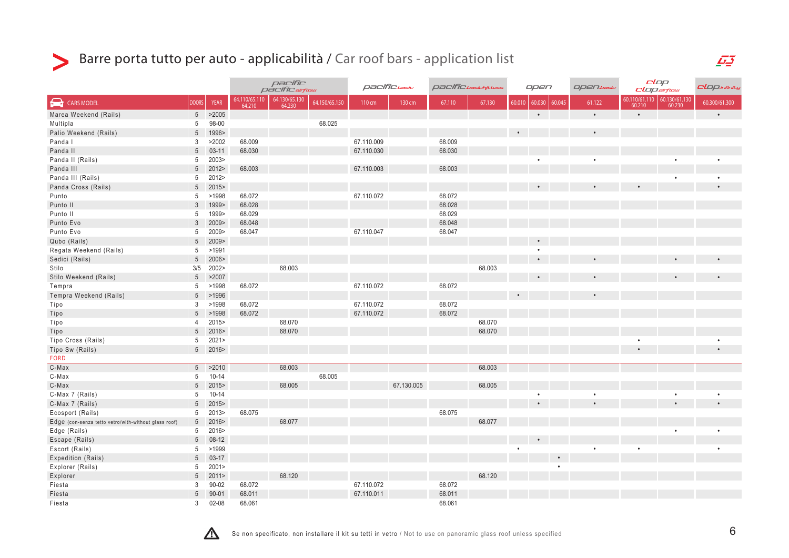

|                                                      |                      |                  |                         | pacific<br>pacific.arflow |               | <i>pacific.basic</i> |            | <i>pacific.basichitless</i> |        |        | open      |        | <b>Open.basic</b> |           | clop<br>$cl$ <sub>D</sub> $P$ <i>airflow</i> | <b>CLOP.Infinity</b> |
|------------------------------------------------------|----------------------|------------------|-------------------------|---------------------------|---------------|----------------------|------------|-----------------------------|--------|--------|-----------|--------|-------------------|-----------|----------------------------------------------|----------------------|
| CARS MODEL                                           | <b>DOORS</b>         | YEAR             | 64.110/65.110<br>64.210 | 64.130/65.130<br>64.230   | 64.150/65.150 | 110 cm               | 130 cm     | 67.110                      | 67.130 | 60.010 | 60.030    | 60.045 | 61.122            | 60.210    | 60.110/61.110 60.130/61.130<br>60.230        | 60.300/61.300        |
| Marea Weekend (Rails)                                |                      | 5 > 2005         |                         |                           |               |                      |            |                             |        |        | $\bullet$ |        | $\bullet$         | $\bullet$ |                                              | $\bullet$            |
| Multipla                                             | 5                    | 98-00            |                         |                           | 68.025        |                      |            |                             |        |        |           |        |                   |           |                                              |                      |
| Palio Weekend (Rails)                                | $5\phantom{.0}$      | 1996>            |                         |                           |               |                      |            |                             |        |        |           |        |                   |           |                                              |                      |
| Panda I                                              | $\mathbf{3}$         | >2002            | 68.009                  |                           |               | 67.110.009           |            | 68.009                      |        |        |           |        |                   |           |                                              |                      |
| Panda II                                             | $\overline{5}$       | $03-11$          | 68.030                  |                           |               | 67.110.030           |            | 68.030                      |        |        |           |        |                   |           |                                              |                      |
| Panda II (Rails)                                     | 5                    | 2003>            |                         |                           |               |                      |            |                             |        |        |           |        |                   |           |                                              |                      |
| Panda III                                            | $5\phantom{.0}$      | 2012             | 68.003                  |                           |               | 67.110.003           |            | 68.003                      |        |        |           |        |                   |           |                                              |                      |
| Panda III (Rails)                                    | 5                    | 2012>            |                         |                           |               |                      |            |                             |        |        |           |        |                   |           |                                              |                      |
| Panda Cross (Rails)                                  | $5\phantom{.0}$      | 2015>            |                         |                           |               |                      |            |                             |        |        |           |        |                   |           |                                              |                      |
| Punto                                                | 5                    | >1998            | 68.072                  |                           |               | 67.110.072           |            | 68.072                      |        |        |           |        |                   |           |                                              |                      |
| Punto II                                             | 3                    | 1999>            | 68.028                  |                           |               |                      |            | 68.028                      |        |        |           |        |                   |           |                                              |                      |
| Punto II                                             | 5                    | 1999>            | 68.029                  |                           |               |                      |            | 68.029                      |        |        |           |        |                   |           |                                              |                      |
| Punto Evo                                            | $\mathfrak{Z}$       | 2009>            | 68.048                  |                           |               |                      |            | 68.048                      |        |        |           |        |                   |           |                                              |                      |
| Punto Evo                                            | 5                    | 2009>            | 68.047                  |                           |               | 67.110.047           |            | 68.047                      |        |        |           |        |                   |           |                                              |                      |
| Qubo (Rails)                                         | $5\phantom{.0}$      | 2009>            |                         |                           |               |                      |            |                             |        |        |           |        |                   |           |                                              |                      |
| Regata Weekend (Rails)                               | 5                    | >1991            |                         |                           |               |                      |            |                             |        |        |           |        |                   |           |                                              |                      |
| Sedici (Rails)                                       | 5                    | 2006>            |                         |                           |               |                      |            |                             |        |        |           |        |                   |           |                                              |                      |
| Stilo                                                | 3/5                  | 2002>            |                         | 68.003                    |               |                      |            |                             | 68.003 |        |           |        |                   |           |                                              |                      |
| Stilo Weekend (Rails)                                | $5\phantom{.0}$      | >2007            |                         |                           |               |                      |            |                             |        |        |           |        |                   |           |                                              |                      |
| Tempra                                               | 5                    | >1998            | 68.072                  |                           |               | 67.110.072           |            | 68.072                      |        |        |           |        |                   |           |                                              |                      |
| Tempra Weekend (Rails)                               | 5                    | >1996            |                         |                           |               |                      |            |                             |        |        |           |        |                   |           |                                              |                      |
| Tipo                                                 | 3                    | >1998            | 68.072                  |                           |               | 67.110.072           |            | 68.072                      |        |        |           |        |                   |           |                                              |                      |
| Tipo                                                 | 5                    | >1998            | 68.072                  |                           |               | 67.110.072           |            | 68.072                      |        |        |           |        |                   |           |                                              |                      |
| Tipo                                                 | $\overline{4}$       | 2015>            |                         | 68.070                    |               |                      |            |                             | 68.070 |        |           |        |                   |           |                                              |                      |
| Tipo                                                 | 5                    | 2016>            |                         | 68.070                    |               |                      |            |                             | 68.070 |        |           |        |                   |           |                                              |                      |
| Tipo Cross (Rails)                                   | 5                    | 2021             |                         |                           |               |                      |            |                             |        |        |           |        |                   |           |                                              |                      |
| Tipo Sw (Rails)                                      | 5 <sup>5</sup>       | 2016>            |                         |                           |               |                      |            |                             |        |        |           |        |                   |           |                                              |                      |
| <b>FORD</b>                                          |                      |                  |                         |                           |               |                      |            |                             |        |        |           |        |                   |           |                                              |                      |
| $C-Max$                                              |                      | 5 > 2010         |                         | 68.003                    |               |                      |            |                             | 68.003 |        |           |        |                   |           |                                              |                      |
| C-Max                                                | 5                    | $10 - 14$        |                         |                           | 68.005        |                      |            |                             |        |        |           |        |                   |           |                                              |                      |
| C-Max                                                | $5\phantom{.0}$      | 2015>            |                         | 68.005                    |               |                      | 67.130.005 |                             | 68.005 |        |           |        |                   |           |                                              |                      |
| C-Max 7 (Rails)                                      | 5                    | $10 - 14$        |                         |                           |               |                      |            |                             |        |        |           |        |                   |           |                                              |                      |
| C-Max 7 (Rails)                                      | $\sqrt{5}$           | 2015>            |                         |                           |               |                      |            |                             |        |        |           |        |                   |           |                                              |                      |
| Ecosport (Rails)                                     | 5                    | 2013>            | 68.075                  | 68.077                    |               |                      |            | 68.075                      |        |        |           |        |                   |           |                                              |                      |
| Edge (con-senza tetto vetro/with-without glass roof) | $5\phantom{.0}$<br>5 | 2016>            |                         |                           |               |                      |            |                             | 68.077 |        |           |        |                   |           |                                              |                      |
| Edge (Rails)                                         | $5\overline{)}$      | 2016>            |                         |                           |               |                      |            |                             |        |        |           |        |                   |           |                                              |                      |
| Escape (Rails)<br>Escort (Rails)                     | 5                    | $08-12$<br>>1999 |                         |                           |               |                      |            |                             |        |        |           |        |                   |           |                                              |                      |
| Expedition (Rails)                                   | $5\phantom{.0}$      | $03-17$          |                         |                           |               |                      |            |                             |        |        |           |        |                   |           |                                              |                      |
| Explorer (Rails)                                     | 5                    | 2001             |                         |                           |               |                      |            |                             |        |        |           |        |                   |           |                                              |                      |
| Explorer                                             | $5\phantom{.0}$      | 2011             |                         | 68.120                    |               |                      |            |                             | 68.120 |        |           |        |                   |           |                                              |                      |
| Fiesta                                               | 3                    | $90 - 02$        | 68.072                  |                           |               | 67.110.072           |            | 68.072                      |        |        |           |        |                   |           |                                              |                      |
| Fiesta                                               | $5\phantom{.0}$      | $90 - 01$        | 68.011                  |                           |               | 67.110.011           |            | 68.011                      |        |        |           |        |                   |           |                                              |                      |
| Fiesta                                               | 3                    | 02-08            | 68.061                  |                           |               |                      |            | 68.061                      |        |        |           |        |                   |           |                                              |                      |
|                                                      |                      |                  |                         |                           |               |                      |            |                             |        |        |           |        |                   |           |                                              |                      |

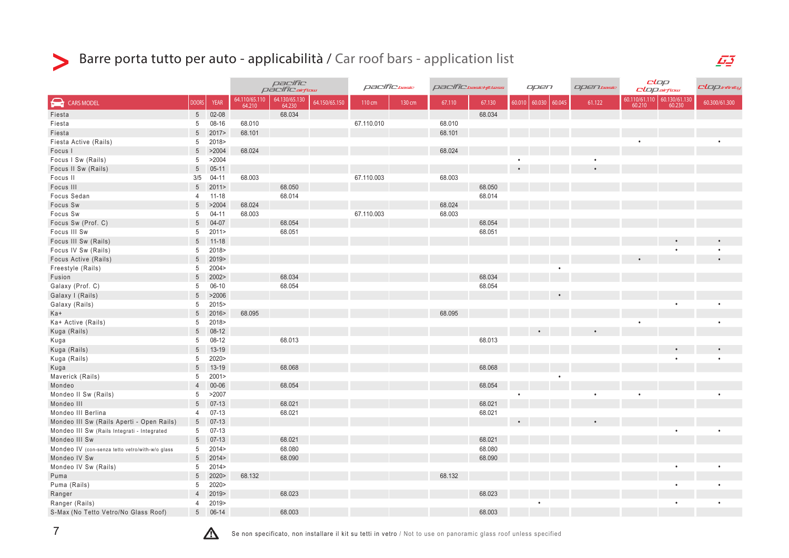

|                                                 |                 |             |                         | pacific<br>pacific.airflow |               | <i>pacific.basic</i> |        | <i>pacific.basicHitless</i> |        |        | open          | Open.basic |           | clop<br><b>CLOP</b> .airflow          | CLop.infinity |
|-------------------------------------------------|-----------------|-------------|-------------------------|----------------------------|---------------|----------------------|--------|-----------------------------|--------|--------|---------------|------------|-----------|---------------------------------------|---------------|
| CARS MODEL                                      | <b>DOORS</b>    | <b>YEAR</b> | 64.110/65.110<br>64.210 | 64.130/65.130<br>64.230    | 64.150/65.150 | $110 \text{ cm}$     | 130 cm | 67.110                      | 67.130 | 60.010 | 60.030 60.045 | 61.122     | 60.210    | 60.110/61.110 60.130/61.130<br>60.230 | 60.300/61.300 |
| Fiesta                                          | 5 <sup>5</sup>  | 02-08       |                         | 68.034                     |               |                      |        |                             | 68.034 |        |               |            |           |                                       |               |
| Fiesta                                          | 5               | 08-16       | 68.010                  |                            |               | 67.110.010           |        | 68.010                      |        |        |               |            |           |                                       |               |
| Fiesta                                          | $\sqrt{5}$      | 2017>       | 68.101                  |                            |               |                      |        | 68.101                      |        |        |               |            |           |                                       |               |
| Fiesta Active (Rails)                           | 5               | 2018>       |                         |                            |               |                      |        |                             |        |        |               |            | $\bullet$ |                                       |               |
| Focus I                                         | $5\phantom{.0}$ | >2004       | 68.024                  |                            |               |                      |        | 68.024                      |        |        |               |            |           |                                       |               |
| Focus I Sw (Rails)                              | 5               | >2004       |                         |                            |               |                      |        |                             |        |        |               |            |           |                                       |               |
| Focus II Sw (Rails)                             | $5\,$           | $05-11$     |                         |                            |               |                      |        |                             |        |        |               |            |           |                                       |               |
| Focus II                                        | 3/5             | $04 - 11$   | 68.003                  |                            |               | 67.110.003           |        | 68.003                      |        |        |               |            |           |                                       |               |
| Focus III                                       | $5\overline{)}$ | 2011        |                         | 68.050                     |               |                      |        |                             | 68.050 |        |               |            |           |                                       |               |
| Focus Sedan                                     | $\overline{4}$  | $11 - 18$   |                         | 68.014                     |               |                      |        |                             | 68.014 |        |               |            |           |                                       |               |
| Focus Sw                                        | 5               | >2004       | 68.024                  |                            |               |                      |        | 68.024                      |        |        |               |            |           |                                       |               |
| Focus Sw                                        | 5               | $04 - 11$   | 68.003                  |                            |               | 67.110.003           |        | 68.003                      |        |        |               |            |           |                                       |               |
| Focus Sw (Prof. C)                              | $\sqrt{5}$      | 04-07       |                         | 68.054                     |               |                      |        |                             | 68.054 |        |               |            |           |                                       |               |
| Focus III Sw                                    | 5               | 2011        |                         | 68.051                     |               |                      |        |                             | 68.051 |        |               |            |           |                                       |               |
| Focus III Sw (Rails)                            | $\sqrt{5}$      | $11 - 18$   |                         |                            |               |                      |        |                             |        |        |               |            |           |                                       |               |
| Focus IV Sw (Rails)                             | 5               | 2018>       |                         |                            |               |                      |        |                             |        |        |               |            |           |                                       |               |
| Focus Active (Rails)                            | $5\phantom{.0}$ | 2019>       |                         |                            |               |                      |        |                             |        |        |               |            |           |                                       |               |
| Freestyle (Rails)                               | 5               | 2004        |                         |                            |               |                      |        |                             |        |        |               |            |           |                                       |               |
| Fusion                                          | 5               | 2002>       |                         | 68.034                     |               |                      |        |                             | 68.034 |        |               |            |           |                                       |               |
| Galaxy (Prof. C)                                | 5               | 06-10       |                         | 68.054                     |               |                      |        |                             | 68.054 |        |               |            |           |                                       |               |
| Galaxy I (Rails)                                | $5\phantom{.0}$ | >2006       |                         |                            |               |                      |        |                             |        |        |               |            |           |                                       |               |
| Galaxy (Rails)                                  | 5               | 2015>       |                         |                            |               |                      |        |                             |        |        |               |            |           |                                       |               |
| Ka+                                             | 5               | 2016>       | 68.095                  |                            |               |                      |        | 68.095                      |        |        |               |            |           |                                       |               |
| Ka+ Active (Rails)                              | 5               | 2018>       |                         |                            |               |                      |        |                             |        |        |               |            |           |                                       | $\bullet$     |
| Kuga (Rails)                                    | 5               | $08-12$     |                         |                            |               |                      |        |                             |        |        |               |            |           |                                       |               |
| Kuga                                            | 5               | $08-12$     |                         | 68.013                     |               |                      |        |                             | 68.013 |        |               |            |           |                                       |               |
| Kuga (Rails)                                    | $\overline{5}$  | $13 - 19$   |                         |                            |               |                      |        |                             |        |        |               |            |           |                                       |               |
| Kuga (Rails)                                    | 5               | 2020>       |                         |                            |               |                      |        |                             |        |        |               |            |           |                                       |               |
| Kuga                                            | $\sqrt{5}$      | $13 - 19$   |                         | 68.068                     |               |                      |        |                             | 68.068 |        |               |            |           |                                       |               |
| Maverick (Rails)                                | 5               | 2001        |                         |                            |               |                      |        |                             |        |        |               |            |           |                                       |               |
| Mondeo                                          | $\overline{4}$  | 00-06       |                         | 68.054                     |               |                      |        |                             | 68.054 |        |               |            |           |                                       |               |
| Mondeo II Sw (Rails)                            | 5               | >2007       |                         |                            |               |                      |        |                             |        |        |               |            |           |                                       |               |
| Mondeo III                                      | $5\phantom{.0}$ | $07-13$     |                         | 68.021                     |               |                      |        |                             | 68.021 |        |               |            |           |                                       |               |
| Mondeo III Berlina                              | $\overline{4}$  | $07-13$     |                         | 68.021                     |               |                      |        |                             | 68.021 |        |               |            |           |                                       |               |
| Mondeo III Sw (Rails Aperti - Open Rails)       | $\overline{5}$  | $07-13$     |                         |                            |               |                      |        |                             |        |        |               |            |           |                                       |               |
| Mondeo III Sw (Rails Integrati - Integrated     | 5               | $07-13$     |                         |                            |               |                      |        |                             |        |        |               |            |           |                                       |               |
| Mondeo III Sw                                   | 5 <sup>5</sup>  | $07-13$     |                         | 68.021                     |               |                      |        |                             | 68.021 |        |               |            |           |                                       |               |
| Mondeo IV (con-senza tetto vetro/with-w/o glass | 5               | 2014>       |                         | 68.080                     |               |                      |        |                             | 68.080 |        |               |            |           |                                       |               |
| Mondeo IV Sw                                    | 5               | 2014        |                         | 68.090                     |               |                      |        |                             | 68.090 |        |               |            |           |                                       |               |
| Mondeo IV Sw (Rails)                            | 5               | 2014>       |                         |                            |               |                      |        |                             |        |        |               |            |           |                                       |               |
| Puma                                            | $5\phantom{.0}$ | 2020>       | 68.132                  |                            |               |                      |        | 68.132                      |        |        |               |            |           |                                       |               |
| Puma (Rails)                                    | 5               | 2020>       |                         |                            |               |                      |        |                             |        |        |               |            |           |                                       |               |
| Ranger                                          | $\overline{4}$  | 2019>       |                         | 68.023                     |               |                      |        |                             | 68.023 |        |               |            |           |                                       |               |
| Ranger (Rails)                                  | 4               | 2019>       |                         |                            |               |                      |        |                             |        |        | $\bullet$     |            |           |                                       |               |
| S-Max (No Tetto Vetro/No Glass Roof)            | 5 <sup>5</sup>  | $06-14$     |                         | 68.003                     |               |                      |        |                             | 68.003 |        |               |            |           |                                       |               |

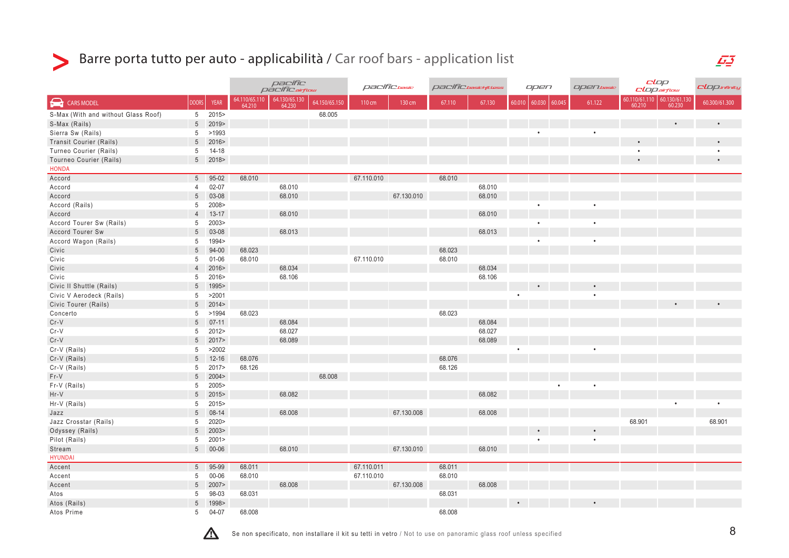

|                                     |                 |             |                         | pacific<br>pacific.airflow |               | pacific.basic |            |        | pacífic.basichitless | open             | Open.basic       |        | clop<br><b>CL</b> OP.airflow          | <b>CL</b> OP.Infinity |
|-------------------------------------|-----------------|-------------|-------------------------|----------------------------|---------------|---------------|------------|--------|----------------------|------------------|------------------|--------|---------------------------------------|-----------------------|
| CARS MODEL                          | doors           | <b>YEAR</b> | 64.110/65.110<br>64.210 | 64.130/65.130<br>64.230    | 64.150/65.150 | 110 cm        | 130 cm     | 67.110 | 67.130               | 60.010<br>60.030 | 60.045<br>61.122 | 60.210 | 60.110/61.110 60.130/61.130<br>60.230 | 60.300/61.300         |
| S-Max (With and without Glass Roof) | 5 <sup>5</sup>  | 2015>       |                         |                            | 68.005        |               |            |        |                      |                  |                  |        |                                       |                       |
| S-Max (Rails)                       | 5               | 2019>       |                         |                            |               |               |            |        |                      |                  |                  |        |                                       | $\bullet$             |
| Sierra Sw (Rails)                   | 5               | >1993       |                         |                            |               |               |            |        |                      |                  |                  |        |                                       |                       |
| Transit Courier (Rails)             | 5               | 2016>       |                         |                            |               |               |            |        |                      |                  |                  |        |                                       | $\bullet$             |
| Turneo Courier (Rails)              | 5               | $14 - 18$   |                         |                            |               |               |            |        |                      |                  |                  |        |                                       | $\bullet$             |
| Tourneo Courier (Rails)             | 5               | 2018>       |                         |                            |               |               |            |        |                      |                  |                  |        |                                       |                       |
| <b>HONDA</b>                        |                 |             |                         |                            |               |               |            |        |                      |                  |                  |        |                                       |                       |
| Accord                              | $5\phantom{.0}$ | 95-02       | 68.010                  |                            |               | 67.110.010    |            | 68.010 |                      |                  |                  |        |                                       |                       |
| Accord                              | $\overline{4}$  | 02-07       |                         | 68.010                     |               |               |            |        | 68.010               |                  |                  |        |                                       |                       |
| Accord                              | 5               | 03-08       |                         | 68.010                     |               |               | 67.130.010 |        | 68.010               |                  |                  |        |                                       |                       |
| Accord (Rails)                      | 5               | 2008>       |                         |                            |               |               |            |        |                      |                  | $\bullet$        |        |                                       |                       |
| Accord                              | $\overline{4}$  | $13 - 17$   |                         | 68.010                     |               |               |            |        | 68.010               |                  |                  |        |                                       |                       |
| Accord Tourer Sw (Rails)            | 5               | 2003>       |                         |                            |               |               |            |        |                      | $\bullet$        | $\bullet$        |        |                                       |                       |
| Accord Tourer Sw                    | 5               | 03-08       |                         | 68.013                     |               |               |            |        | 68.013               |                  |                  |        |                                       |                       |
| Accord Wagon (Rails)                | 5               | 1994>       |                         |                            |               |               |            |        |                      |                  |                  |        |                                       |                       |
| Civic                               | 5               | 94-00       | 68.023                  |                            |               |               |            | 68.023 |                      |                  |                  |        |                                       |                       |
| Civic                               | 5               | 01-06       | 68.010                  |                            |               | 67.110.010    |            | 68.010 |                      |                  |                  |        |                                       |                       |
| Civic                               | $\overline{4}$  | 2016        |                         | 68.034                     |               |               |            |        | 68.034               |                  |                  |        |                                       |                       |
| Civic                               | 5               | 2016>       |                         | 68.106                     |               |               |            |        | 68.106               |                  |                  |        |                                       |                       |
| Civic II Shuttle (Rails)            | 5               | 1995>       |                         |                            |               |               |            |        |                      |                  |                  |        |                                       |                       |
| Civic V Aerodeck (Rails)            | 5               | >2001       |                         |                            |               |               |            |        |                      |                  | $\bullet$        |        |                                       |                       |
| Civic Tourer (Rails)                | 5               | 2014        |                         |                            |               |               |            |        |                      |                  |                  |        |                                       |                       |
| Concerto                            | 5               | >1994       | 68.023                  |                            |               |               |            | 68.023 |                      |                  |                  |        |                                       |                       |
| $Cr-V$                              | $5\overline{)}$ | $07 - 11$   |                         | 68.084                     |               |               |            |        | 68.084               |                  |                  |        |                                       |                       |
| $Cr-V$                              | 5               | 2012>       |                         | 68.027                     |               |               |            |        | 68.027               |                  |                  |        |                                       |                       |
| $Cr-V$                              | $5\overline{)}$ | 2017>       |                         | 68.089                     |               |               |            |        | 68.089               |                  |                  |        |                                       |                       |
| Cr-V (Rails)                        | 5               | >2002       |                         |                            |               |               |            |        |                      |                  |                  |        |                                       |                       |
| Cr-V (Rails)                        | $5\phantom{.0}$ | $12 - 16$   | 68.076                  |                            |               |               |            | 68.076 |                      |                  |                  |        |                                       |                       |
| Cr-V (Rails)                        | 5               | 2017>       | 68.126                  |                            |               |               |            | 68.126 |                      |                  |                  |        |                                       |                       |
| Fr-V                                | 5               | 2004 >      |                         |                            | 68.008        |               |            |        |                      |                  |                  |        |                                       |                       |
| Fr-V (Rails)                        | 5               | 2005>       |                         |                            |               |               |            |        |                      |                  | $\bullet$        |        |                                       |                       |
| $Hr-V$                              | $5\phantom{.0}$ | 2015>       |                         | 68.082                     |               |               |            |        | 68.082               |                  |                  |        |                                       |                       |
| Hr-V (Rails)                        | 5               | 2015>       |                         |                            |               |               |            |        |                      |                  |                  |        |                                       |                       |
| Jazz                                | 5               | $08-14$     |                         | 68.008                     |               |               | 67.130.008 |        | 68.008               |                  |                  |        |                                       |                       |
| Jazz Crosstar (Rails)               | 5               | 2020>       |                         |                            |               |               |            |        |                      |                  |                  | 68.901 |                                       | 68.901                |
| Odyssey (Rails)                     | 5               | 2003>       |                         |                            |               |               |            |        |                      |                  | $\bullet$        |        |                                       |                       |
| Pilot (Rails)                       | 5               | 2001>       |                         |                            |               |               |            |        |                      | $\bullet$        | $\bullet$        |        |                                       |                       |
| Stream                              | 5               | 00-06       |                         | 68.010                     |               |               | 67.130.010 |        | 68.010               |                  |                  |        |                                       |                       |
| <b>HYUNDAI</b>                      |                 |             |                         |                            |               |               |            |        |                      |                  |                  |        |                                       |                       |
| Accent                              | $5\phantom{.0}$ | 95-99       | 68.011                  |                            |               | 67.110.011    |            | 68.011 |                      |                  |                  |        |                                       |                       |
| Accent                              | 5               | 00-06       | 68.010                  |                            |               | 67.110.010    |            | 68.010 |                      |                  |                  |        |                                       |                       |
| Accent                              | 5               | 2007        |                         | 68.008                     |               |               | 67.130.008 |        | 68.008               |                  |                  |        |                                       |                       |
| Atos                                | 5               | 98-03       | 68.031                  |                            |               |               |            | 68.031 |                      |                  |                  |        |                                       |                       |
| Atos (Rails)                        | 5               | 1998>       |                         |                            |               |               |            |        |                      |                  |                  |        |                                       |                       |
| Atos Prime                          | 5               | 04-07       | 68.008                  |                            |               |               |            | 68.008 |                      |                  |                  |        |                                       |                       |

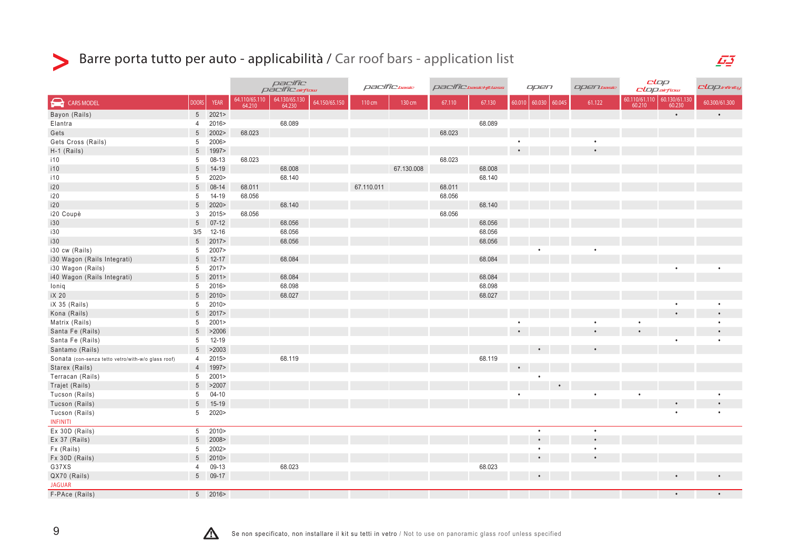

|                                                    |                 |           |                         | pacific<br>pacific.airflow |               | <i>pacific.basic</i> |            | <i>pacific.basicHitless</i> |        |           | open            | Open.basic | clop<br><b>CLOP</b> .airflow |                                                         | <b>CL</b> OP.infinity |
|----------------------------------------------------|-----------------|-----------|-------------------------|----------------------------|---------------|----------------------|------------|-----------------------------|--------|-----------|-----------------|------------|------------------------------|---------------------------------------------------------|-----------------------|
| CARS MODEL                                         | <b>DOORS</b>    | YEAR      | 64.110/65.110<br>64.210 | 64.130/65.130<br>64.230    | 64.150/65.150 | 110 cm               | 130 cm     | 67.110                      | 67.130 | 60.010    | $60.030$ 60.045 | 61.122     | 60.110/61.110<br>60.210      | $\begin{array}{ l} 60.130/61.130 \\ 60.230 \end{array}$ | 60.300/61.300         |
| Bayon (Rails)                                      |                 | $5$ 2021> |                         |                            |               |                      |            |                             |        |           |                 |            |                              | $\bullet$                                               | $\bullet$             |
| Elantra                                            | $\overline{4}$  | 2016>     |                         | 68.089                     |               |                      |            |                             | 68.089 |           |                 |            |                              |                                                         |                       |
| Gets                                               | 5               | 2002      | 68.023                  |                            |               |                      |            | 68.023                      |        |           |                 |            |                              |                                                         |                       |
| Gets Cross (Rails)                                 | 5               | 2006>     |                         |                            |               |                      |            |                             |        |           |                 | $\bullet$  |                              |                                                         |                       |
| H-1 (Rails)                                        | 5               | 1997>     |                         |                            |               |                      |            |                             |        |           |                 |            |                              |                                                         |                       |
| i10                                                | 5               | 08-13     | 68.023                  |                            |               |                      |            | 68.023                      |        |           |                 |            |                              |                                                         |                       |
| i10                                                | 5               | $14 - 19$ |                         | 68.008                     |               |                      | 67.130.008 |                             | 68.008 |           |                 |            |                              |                                                         |                       |
| i10                                                | 5               | 2020>     |                         | 68.140                     |               |                      |            |                             | 68.140 |           |                 |            |                              |                                                         |                       |
| i20                                                | 5               | 08-14     | 68.011                  |                            |               | 67.110.011           |            | 68.011                      |        |           |                 |            |                              |                                                         |                       |
| i20                                                | 5               | $14 - 19$ | 68.056                  |                            |               |                      |            | 68.056                      |        |           |                 |            |                              |                                                         |                       |
| i20                                                | 5               | 2020      |                         | 68.140                     |               |                      |            |                             | 68.140 |           |                 |            |                              |                                                         |                       |
| i20 Coupè                                          | 3               | 2015>     | 68.056                  |                            |               |                      |            | 68.056                      |        |           |                 |            |                              |                                                         |                       |
| i30                                                | 5               | $07-12$   |                         | 68.056                     |               |                      |            |                             | 68.056 |           |                 |            |                              |                                                         |                       |
| i30                                                | 3/5             | $12 - 16$ |                         | 68.056                     |               |                      |            |                             | 68.056 |           |                 |            |                              |                                                         |                       |
| i30                                                | 5               | 2017      |                         | 68.056                     |               |                      |            |                             | 68.056 |           |                 |            |                              |                                                         |                       |
| i30 cw (Rails)                                     | 5               | 2007>     |                         |                            |               |                      |            |                             |        |           |                 |            |                              |                                                         |                       |
| i30 Wagon (Rails Integrati)                        | 5               | $12 - 17$ |                         | 68.084                     |               |                      |            |                             | 68.084 |           |                 |            |                              |                                                         |                       |
| i30 Wagon (Rails)                                  | 5               | 2017>     |                         |                            |               |                      |            |                             |        |           |                 |            |                              |                                                         |                       |
| i40 Wagon (Rails Integrati)                        | 5               | 2011      |                         | 68.084                     |               |                      |            |                             | 68.084 |           |                 |            |                              |                                                         |                       |
| loniq                                              | 5               | 2016>     |                         | 68.098                     |               |                      |            |                             | 68.098 |           |                 |            |                              |                                                         |                       |
| iX 20                                              | 5               | 2010      |                         | 68.027                     |               |                      |            |                             | 68.027 |           |                 |            |                              |                                                         |                       |
| iX 35 (Rails)                                      | 5               | 2010>     |                         |                            |               |                      |            |                             |        |           |                 |            |                              |                                                         |                       |
| Kona (Rails)                                       | $5\phantom{.0}$ | 2017      |                         |                            |               |                      |            |                             |        |           |                 |            |                              |                                                         |                       |
| Matrix (Rails)                                     | 5               | 2001      |                         |                            |               |                      |            |                             |        |           |                 | ٠          |                              |                                                         | $\bullet$             |
| Santa Fe (Rails)                                   | 5               | >2006     |                         |                            |               |                      |            |                             |        |           |                 |            |                              |                                                         |                       |
| Santa Fe (Rails)                                   | 5               | $12 - 19$ |                         |                            |               |                      |            |                             |        |           |                 |            |                              |                                                         |                       |
| Santamo (Rails)                                    | 5               | >2003     |                         |                            |               |                      |            |                             |        |           |                 |            |                              |                                                         |                       |
| Sonata (con-senza tetto vetro/with-w/o glass roof) | $\overline{4}$  | 2015>     |                         | 68.119                     |               |                      |            |                             | 68.119 |           |                 |            |                              |                                                         |                       |
| Starex (Rails)                                     | 4               | 1997>     |                         |                            |               |                      |            |                             |        | $\bullet$ |                 |            |                              |                                                         |                       |
| Terracan (Rails)                                   | 5               | 2001      |                         |                            |               |                      |            |                             |        |           |                 |            |                              |                                                         |                       |
| Trajet (Rails)                                     | 5               | >2007     |                         |                            |               |                      |            |                             |        |           |                 |            |                              |                                                         |                       |
| Tucson (Rails)                                     | 5               | $04 - 10$ |                         |                            |               |                      |            |                             |        |           |                 |            |                              |                                                         |                       |
| Tucson (Rails)                                     | 5               | $15 - 19$ |                         |                            |               |                      |            |                             |        |           |                 |            |                              |                                                         |                       |
| Tucson (Rails)                                     | 5 <sup>5</sup>  | 2020>     |                         |                            |               |                      |            |                             |        |           |                 |            |                              |                                                         |                       |
| <b>INFINITI</b>                                    |                 |           |                         |                            |               |                      |            |                             |        |           |                 |            |                              |                                                         |                       |
| Ex 30D (Rails)                                     | $5\overline{)}$ | 2010>     |                         |                            |               |                      |            |                             |        |           | $\bullet$       | $\bullet$  |                              |                                                         |                       |
| Ex 37 (Rails)                                      | 5               | 2008>     |                         |                            |               |                      |            |                             |        |           |                 |            |                              |                                                         |                       |
| Fx (Rails)                                         | 5               | 2002      |                         |                            |               |                      |            |                             |        |           |                 | $\bullet$  |                              |                                                         |                       |
| Fx 30D (Rails)                                     | 5               | 2010      |                         |                            |               |                      |            |                             |        |           |                 |            |                              |                                                         |                       |
| G37XS                                              | $\overline{4}$  | 09-13     |                         | 68.023                     |               |                      |            |                             | 68.023 |           |                 |            |                              |                                                         |                       |
| QX70 (Rails)                                       | 5 <sup>5</sup>  | 09-17     |                         |                            |               |                      |            |                             |        |           | $\bullet$       |            |                              |                                                         |                       |
| <b>JAGUAR</b>                                      |                 |           |                         |                            |               |                      |            |                             |        |           |                 |            |                              |                                                         |                       |
| F-PAce (Rails)                                     |                 | 5 2016>   |                         |                            |               |                      |            |                             |        |           |                 |            |                              |                                                         | $\bullet$             |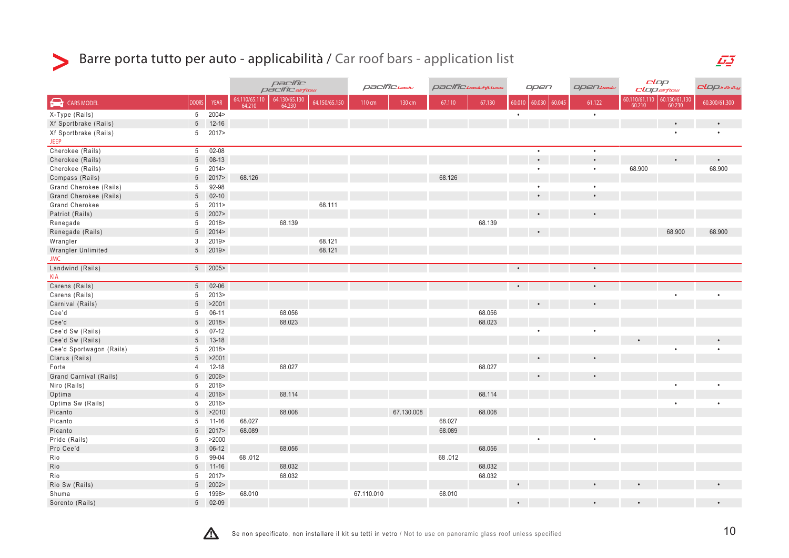

|                                  |                 |           |                         | pacific<br>pacific.airflow |               | pacific.basic |            | <i><b>Pacific.basicHitless</b></i> |        |           | open            | Open.basic | <b>CLOP</b> .airflow                                                              | clap      | CLop.infinity |
|----------------------------------|-----------------|-----------|-------------------------|----------------------------|---------------|---------------|------------|------------------------------------|--------|-----------|-----------------|------------|-----------------------------------------------------------------------------------|-----------|---------------|
| <b>Q</b> CARS MODEL              | <b>DOORS</b>    | YEAR      | 64.110/65.110<br>64.210 | 64.130/65.130<br>64.230    | 64.150/65.150 | 110 cm        | 130 cm     | 67.110                             | 67.130 | 60.010    | 60.030   60.045 | 61.122     | $\begin{array}{c c} 60.110/61.110 & 60.130/61.130 \\ 60.210 & 60.230 \end{array}$ |           | 60.300/61.300 |
| X-Type (Rails)                   |                 | $5$ 2004> |                         |                            |               |               |            |                                    |        | $\bullet$ |                 | $\bullet$  |                                                                                   |           |               |
| Xf Sportbrake (Rails)            | $\overline{5}$  | $12 - 16$ |                         |                            |               |               |            |                                    |        |           |                 |            |                                                                                   |           |               |
| Xf Sportbrake (Rails)            | 5 <sup>5</sup>  | 2017>     |                         |                            |               |               |            |                                    |        |           |                 |            |                                                                                   | $\bullet$ | $\bullet$     |
| <b>JEEP</b>                      |                 |           |                         |                            |               |               |            |                                    |        |           |                 |            |                                                                                   |           |               |
| Cherokee (Rails)                 | 5 <sup>5</sup>  | 02-08     |                         |                            |               |               |            |                                    |        |           | $\bullet$       | $\bullet$  |                                                                                   |           |               |
| Cherokee (Rails)                 | $\overline{5}$  | 08-13     |                         |                            |               |               |            |                                    |        |           |                 |            |                                                                                   |           |               |
| Cherokee (Rails)                 | 5               | 2014      |                         |                            |               |               |            |                                    |        |           |                 | $\bullet$  | 68.900                                                                            |           | 68.900        |
| Compass (Rails)                  | $5\phantom{.0}$ | 2017      | 68.126                  |                            |               |               |            | 68.126                             |        |           |                 |            |                                                                                   |           |               |
| Grand Cherokee (Rails)           | 5               | 92-98     |                         |                            |               |               |            |                                    |        |           |                 |            |                                                                                   |           |               |
| Grand Cherokee (Rails)           | $\sqrt{5}$      | $02 - 10$ |                         |                            |               |               |            |                                    |        |           |                 |            |                                                                                   |           |               |
| Grand Cherokee                   | 5               | 2011      |                         |                            | 68.111        |               |            |                                    |        |           |                 |            |                                                                                   |           |               |
| Patriot (Rails)                  | 5               | 2007      |                         |                            |               |               |            |                                    |        |           |                 |            |                                                                                   |           |               |
| Renegade                         | 5               | 2018>     |                         | 68.139                     |               |               |            |                                    | 68.139 |           |                 |            |                                                                                   |           |               |
| Renegade (Rails)                 | 5               | 2014      |                         |                            |               |               |            |                                    |        |           |                 |            |                                                                                   | 68.900    | 68.900        |
| Wrangler                         | 3               | 2019>     |                         |                            | 68.121        |               |            |                                    |        |           |                 |            |                                                                                   |           |               |
| Wrangler Unlimited<br><b>JMC</b> | 5               | 2019>     |                         |                            | 68.121        |               |            |                                    |        |           |                 |            |                                                                                   |           |               |
| Landwind (Rails)                 |                 | 5 2005>   |                         |                            |               |               |            |                                    |        |           |                 |            |                                                                                   |           |               |
| <b>KIA</b>                       |                 |           |                         |                            |               |               |            |                                    |        |           |                 |            |                                                                                   |           |               |
| Carens (Rails)                   | $5\phantom{.0}$ | 02-06     |                         |                            |               |               |            |                                    |        |           |                 |            |                                                                                   |           |               |
| Carens (Rails)                   | 5               | 2013>     |                         |                            |               |               |            |                                    |        |           |                 |            |                                                                                   |           |               |
| Carnival (Rails)                 | 5               | >2001     |                         |                            |               |               |            |                                    |        |           |                 |            |                                                                                   |           |               |
| Cee'd                            | 5               | $06 - 11$ |                         | 68.056                     |               |               |            |                                    | 68.056 |           |                 |            |                                                                                   |           |               |
| Cee'd                            | $5\phantom{.0}$ | 2018>     |                         | 68.023                     |               |               |            |                                    | 68.023 |           |                 |            |                                                                                   |           |               |
| Cee'd Sw (Rails)                 | 5               | $07 - 12$ |                         |                            |               |               |            |                                    |        |           |                 |            |                                                                                   |           |               |
| Cee'd Sw (Rails)                 | 5               | $13 - 18$ |                         |                            |               |               |            |                                    |        |           |                 |            |                                                                                   |           |               |
| Cee'd Sportwagon (Rails)         | 5               | 2018>     |                         |                            |               |               |            |                                    |        |           |                 |            |                                                                                   |           |               |
| Clarus (Rails)                   | $\overline{5}$  | >2001     |                         |                            |               |               |            |                                    |        |           |                 |            |                                                                                   |           |               |
| Forte                            | $\overline{4}$  | $12 - 18$ |                         | 68.027                     |               |               |            |                                    | 68.027 |           |                 |            |                                                                                   |           |               |
| Grand Carnival (Rails)           | $5\phantom{.0}$ | 2006>     |                         |                            |               |               |            |                                    |        |           |                 |            |                                                                                   |           |               |
| Niro (Rails)                     | 5               | 2016>     |                         |                            |               |               |            |                                    |        |           |                 |            |                                                                                   |           |               |
| Optima                           | $\overline{4}$  | 2016>     |                         | 68.114                     |               |               |            |                                    | 68.114 |           |                 |            |                                                                                   |           |               |
| Optima Sw (Rails)                | 5               | 2016>     |                         |                            |               |               |            |                                    |        |           |                 |            |                                                                                   |           |               |
| Picanto                          | $\overline{5}$  | >2010     |                         | 68.008                     |               |               | 67.130.008 |                                    | 68.008 |           |                 |            |                                                                                   |           |               |
| Picanto                          | 5               | $11 - 16$ | 68.027                  |                            |               |               |            | 68.027                             |        |           |                 |            |                                                                                   |           |               |
| Picanto                          | $5\phantom{.0}$ | 2017>     | 68.089                  |                            |               |               |            | 68.089                             |        |           |                 |            |                                                                                   |           |               |
| Pride (Rails)                    | 5               | >2000     |                         |                            |               |               |            |                                    |        |           |                 |            |                                                                                   |           |               |
| Pro Cee'd                        | $\mathfrak{Z}$  | $06-12$   |                         | 68.056                     |               |               |            |                                    | 68.056 |           |                 |            |                                                                                   |           |               |
| Rio                              | 5               | 99-04     | 68.012                  |                            |               |               |            | 68.012                             |        |           |                 |            |                                                                                   |           |               |
| Rio                              | $5\phantom{.0}$ | $11 - 16$ |                         | 68.032                     |               |               |            |                                    | 68.032 |           |                 |            |                                                                                   |           |               |
| Rio                              | 5               | 2017>     |                         | 68.032                     |               |               |            |                                    | 68.032 |           |                 |            |                                                                                   |           |               |
| Rio Sw (Rails)                   | 5               | 2002      |                         |                            |               |               |            |                                    |        |           |                 |            |                                                                                   |           |               |
| Shuma                            | 5               | 1998>     | 68.010                  |                            |               | 67.110.010    |            | 68.010                             |        |           |                 |            |                                                                                   |           |               |
| Sorento (Rails)                  | 5               | 02-09     |                         |                            |               |               |            |                                    |        | $\bullet$ |                 |            |                                                                                   |           | $\bullet$     |

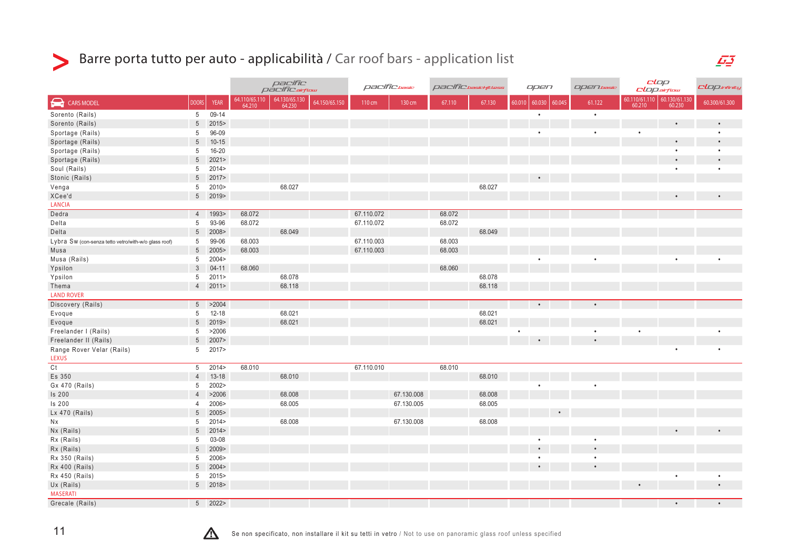

|                                                      |                 |             |                         | pacific<br><i>pacificarfuau</i> |               | <i>pacific.basic</i> |            |        | <i><b>Pacific.basicHitless</b></i> |        | open             | <b>Open.basic</b> |               | clop<br>$L$ <i>D<sub>p.airftow</sub></i> | <b>CL</b> OP.infinity |
|------------------------------------------------------|-----------------|-------------|-------------------------|---------------------------------|---------------|----------------------|------------|--------|------------------------------------|--------|------------------|-------------------|---------------|------------------------------------------|-----------------------|
| <b>Q</b> CARS MODEL                                  | <b>DOORS</b>    | <b>YEAR</b> | 64.110/65.110<br>64.210 | 64.130/65.130<br>64.230         | 64.150/65.150 | 110 cm               | 130 cm     | 67.110 | 67.130                             | 60.010 | 60.030<br>60.045 | 61.122            | 60.110/61.110 | 60.130/61.130                            | 60.300/61.300         |
| Sorento (Rails)                                      | 5 <sup>5</sup>  | 09-14       |                         |                                 |               |                      |            |        |                                    |        | $\bullet$        | $\bullet$         |               |                                          |                       |
| Sorento (Rails)                                      | 5               | 2015        |                         |                                 |               |                      |            |        |                                    |        |                  |                   |               |                                          |                       |
| Sportage (Rails)                                     | 5               | 96-09       |                         |                                 |               |                      |            |        |                                    |        | $\bullet$        |                   |               |                                          |                       |
| Sportage (Rails)                                     | $\overline{5}$  | $10 - 15$   |                         |                                 |               |                      |            |        |                                    |        |                  |                   |               |                                          |                       |
| Sportage (Rails)                                     | 5               | 16-20       |                         |                                 |               |                      |            |        |                                    |        |                  |                   |               |                                          |                       |
| Sportage (Rails)                                     | 5               | 2021        |                         |                                 |               |                      |            |        |                                    |        |                  |                   |               |                                          |                       |
| Soul (Rails)                                         | 5               | 2014        |                         |                                 |               |                      |            |        |                                    |        |                  |                   |               |                                          | $\bullet$             |
| Stonic (Rails)                                       | $\sqrt{5}$      | 2017        |                         |                                 |               |                      |            |        |                                    |        |                  |                   |               |                                          |                       |
| Venga                                                | 5               | 2010>       |                         | 68.027                          |               |                      |            |        | 68.027                             |        |                  |                   |               |                                          |                       |
| XCee'd                                               | 5 <sup>5</sup>  | 2019>       |                         |                                 |               |                      |            |        |                                    |        |                  |                   |               |                                          | $\bullet$             |
| <b>LANCIA</b>                                        |                 |             |                         |                                 |               |                      |            |        |                                    |        |                  |                   |               |                                          |                       |
| Dedra                                                | $\overline{4}$  | 1993>       | 68.072                  |                                 |               | 67.110.072           |            | 68.072 |                                    |        |                  |                   |               |                                          |                       |
| Delta                                                | 5               | 93-96       | 68.072                  |                                 |               | 67.110.072           |            | 68.072 |                                    |        |                  |                   |               |                                          |                       |
| Delta                                                | $\sqrt{5}$      | 2008>       |                         | 68.049                          |               |                      |            |        | 68.049                             |        |                  |                   |               |                                          |                       |
| Lybra Sw (con-senza tetto vetro/with-w/o glass roof) | 5               | 99-06       | 68.003                  |                                 |               | 67.110.003           |            | 68.003 |                                    |        |                  |                   |               |                                          |                       |
| Musa                                                 | $5\phantom{.0}$ | 2005>       | 68.003                  |                                 |               | 67.110.003           |            | 68.003 |                                    |        |                  |                   |               |                                          |                       |
| Musa (Rails)                                         | 5               | 2004        |                         |                                 |               |                      |            |        |                                    |        |                  |                   |               |                                          |                       |
| Ypsilon                                              | $\sqrt{3}$      | $04 - 11$   | 68.060                  |                                 |               |                      |            | 68.060 |                                    |        |                  |                   |               |                                          |                       |
| Ypsilon                                              | 5               | 2011        |                         | 68.078                          |               |                      |            |        | 68.078                             |        |                  |                   |               |                                          |                       |
| Thema                                                | $\overline{4}$  | 2011        |                         | 68.118                          |               |                      |            |        | 68.118                             |        |                  |                   |               |                                          |                       |
| <b>LAND ROVER</b>                                    |                 |             |                         |                                 |               |                      |            |        |                                    |        |                  |                   |               |                                          |                       |
| Discovery (Rails)                                    | 5 <sup>5</sup>  | >2004       |                         |                                 |               |                      |            |        |                                    |        |                  |                   |               |                                          |                       |
| Evoque                                               | $5\overline{)}$ | $12 - 18$   |                         | 68.021                          |               |                      |            |        | 68.021                             |        |                  |                   |               |                                          |                       |
| Evoque                                               | $5\phantom{.0}$ | 2019>       |                         | 68.021                          |               |                      |            |        | 68.021                             |        |                  |                   |               |                                          |                       |
| Freelander I (Rails)                                 | 5               | >2006       |                         |                                 |               |                      |            |        |                                    |        |                  |                   |               |                                          |                       |
| Freelander II (Rails)                                | 5               | 2007        |                         |                                 |               |                      |            |        |                                    |        |                  |                   |               |                                          |                       |
| Range Rover Velar (Rails)                            | $5\overline{)}$ | 2017>       |                         |                                 |               |                      |            |        |                                    |        |                  |                   |               |                                          |                       |
| LEXUS                                                |                 |             |                         |                                 |               |                      |            |        |                                    |        |                  |                   |               |                                          |                       |
| $\overline{Ct}$                                      | 5               | 2014        | 68.010                  |                                 |               | 67.110.010           |            | 68.010 |                                    |        |                  |                   |               |                                          |                       |
| Es 350                                               | $\overline{4}$  | $13 - 18$   |                         | 68.010                          |               |                      |            |        | 68.010                             |        |                  |                   |               |                                          |                       |
| Gx 470 (Rails)                                       | 5               | 2002>       |                         |                                 |               |                      |            |        |                                    |        |                  |                   |               |                                          |                       |
| Is 200                                               | $\overline{4}$  | >2006       |                         | 68.008                          |               |                      | 67.130.008 |        | 68.008                             |        |                  |                   |               |                                          |                       |
| Is 200                                               | 4               | 2006>       |                         | 68.005                          |               |                      | 67.130.005 |        | 68.005                             |        |                  |                   |               |                                          |                       |
| Lx 470 (Rails)                                       | $5\phantom{.0}$ | 2005>       |                         |                                 |               |                      |            |        |                                    |        |                  |                   |               |                                          |                       |
| Nx                                                   | 5               | 2014        |                         | 68.008                          |               |                      | 67.130.008 |        | 68.008                             |        |                  |                   |               |                                          |                       |
| Nx (Rails)                                           | $5\phantom{.0}$ | 2014        |                         |                                 |               |                      |            |        |                                    |        |                  |                   |               |                                          |                       |
| Rx (Rails)                                           | 5               | 03-08       |                         |                                 |               |                      |            |        |                                    |        |                  |                   |               |                                          |                       |
| Rx (Rails)                                           | $\overline{5}$  | 2009>       |                         |                                 |               |                      |            |        |                                    |        |                  |                   |               |                                          |                       |
| Rx 350 (Rails)                                       | 5               | 2006>       |                         |                                 |               |                      |            |        |                                    |        |                  | $\bullet$         |               |                                          |                       |
| Rx 400 (Rails)                                       | 5               | 2004 >      |                         |                                 |               |                      |            |        |                                    |        |                  |                   |               |                                          |                       |
| Rx 450 (Rails)                                       | 5               | 2015>       |                         |                                 |               |                      |            |        |                                    |        |                  |                   |               |                                          |                       |
| Ux (Rails)                                           | 5               | 2018        |                         |                                 |               |                      |            |        |                                    |        |                  |                   |               |                                          |                       |
| <b>MASERATI</b>                                      |                 |             |                         |                                 |               |                      |            |        |                                    |        |                  |                   |               |                                          |                       |
| Grecale (Rails)                                      | 5 <sup>5</sup>  | 2022        |                         |                                 |               |                      |            |        |                                    |        |                  |                   |               | $\bullet$                                | $\bullet$             |

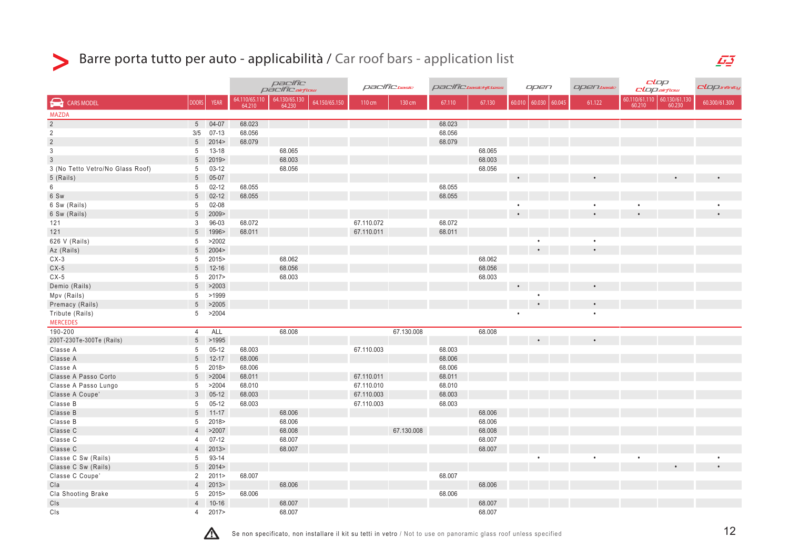

|                                  |                 |            |                         | pacific<br>pacific.airflow |               |            | pacific.basic |        | pacific.basicHitless |           | open             | Open.basic |        | clop<br><b>CLOP</b> .airflow          | CLOp.infinity |
|----------------------------------|-----------------|------------|-------------------------|----------------------------|---------------|------------|---------------|--------|----------------------|-----------|------------------|------------|--------|---------------------------------------|---------------|
| CARS MODEL                       | <b>DOORS</b>    | YEAR       | 64.110/65.110<br>64.210 | 64.130/65.130<br>64.230    | 64.150/65.150 | 110 cm     | 130 cm        | 67.110 | 67.130               | 60.010    | 60.030<br>60.045 | 61.122     | 60.210 | 60.110/61.110 60.130/61.130<br>60.230 | 60.300/61.300 |
| <b>MAZDA</b>                     |                 |            |                         |                            |               |            |               |        |                      |           |                  |            |        |                                       |               |
| $\overline{2}$                   | 5 <sup>5</sup>  | 04-07      | 68.023                  |                            |               |            |               | 68.023 |                      |           |                  |            |        |                                       |               |
| $\overline{2}$                   | $3/5$           | $07-13$    | 68.056                  |                            |               |            |               | 68.056 |                      |           |                  |            |        |                                       |               |
| $\sqrt{2}$                       | $5\overline{)}$ | 2014       | 68.079                  |                            |               |            |               | 68.079 |                      |           |                  |            |        |                                       |               |
| $\mathbf{3}$                     | 5               | $13 - 18$  |                         | 68.065                     |               |            |               |        | 68.065               |           |                  |            |        |                                       |               |
| 3                                | 5               | 2019>      |                         | 68.003                     |               |            |               |        | 68.003               |           |                  |            |        |                                       |               |
| 3 (No Tetto Vetro/No Glass Roof) | 5               | $03-12$    |                         | 68.056                     |               |            |               |        | 68.056               |           |                  |            |        |                                       |               |
| 5 (Rails)                        | 5               | 05-07      |                         |                            |               |            |               |        |                      |           |                  |            |        |                                       |               |
| $6\overline{6}$                  | 5               | $02 - 12$  | 68.055                  |                            |               |            |               | 68.055 |                      |           |                  |            |        |                                       |               |
| 6 Sw                             | 5               | $02 - 12$  | 68.055                  |                            |               |            |               | 68.055 |                      |           |                  |            |        |                                       |               |
| 6 Sw (Rails)                     | 5               | 02-08      |                         |                            |               |            |               |        |                      |           |                  |            |        |                                       |               |
| 6 Sw (Rails)                     | 5               | 2009>      |                         |                            |               |            |               |        |                      |           |                  |            |        |                                       |               |
| 121                              | 3               | 96-03      | 68.072                  |                            |               | 67.110.072 |               | 68.072 |                      |           |                  |            |        |                                       |               |
| $121$                            | 5               | 1996>      | 68.011                  |                            |               | 67.110.011 |               | 68.011 |                      |           |                  |            |        |                                       |               |
| 626 V (Rails)                    | 5               | >2002      |                         |                            |               |            |               |        |                      |           |                  |            |        |                                       |               |
| Az (Rails)                       | 5               | 2004 >     |                         |                            |               |            |               |        |                      |           |                  |            |        |                                       |               |
| $CX-3$                           | 5               | 2015>      |                         | 68.062                     |               |            |               |        | 68.062               |           |                  |            |        |                                       |               |
| $CX-5$                           | 5               | $12 - 16$  |                         | 68.056                     |               |            |               |        | 68.056               |           |                  |            |        |                                       |               |
| $CX-5$                           | 5               | 2017>      |                         | 68.003                     |               |            |               |        | 68.003               |           |                  |            |        |                                       |               |
| Demio (Rails)                    | 5               | >2003      |                         |                            |               |            |               |        |                      | $\bullet$ |                  |            |        |                                       |               |
| Mpv (Rails)                      | 5               | >1999      |                         |                            |               |            |               |        |                      |           |                  |            |        |                                       |               |
| Premacy (Rails)                  | 5               | >2005      |                         |                            |               |            |               |        |                      |           |                  |            |        |                                       |               |
| Tribute (Rails)                  | 5               | >2004      |                         |                            |               |            |               |        |                      |           |                  | $\bullet$  |        |                                       |               |
| <b>MERCEDES</b>                  |                 |            |                         |                            |               |            |               |        |                      |           |                  |            |        |                                       |               |
| 190-200                          | $\overline{4}$  | <b>ALL</b> |                         | 68.008                     |               |            | 67.130.008    |        | 68.008               |           |                  |            |        |                                       |               |
| 200T-230Te-300Te (Rails)         | 5               | >1995      |                         |                            |               |            |               |        |                      |           | $\bullet$        |            |        |                                       |               |
| Classe A                         | 5               | $05-12$    | 68.003                  |                            |               | 67.110.003 |               | 68.003 |                      |           |                  |            |        |                                       |               |
| Classe A                         | $5\overline{)}$ | $12 - 17$  | 68.006                  |                            |               |            |               | 68.006 |                      |           |                  |            |        |                                       |               |
| Classe A                         | 5               | 2018>      | 68.006                  |                            |               |            |               | 68.006 |                      |           |                  |            |        |                                       |               |
| Classe A Passo Corto             | 5               | >2004      | 68.011                  |                            |               | 67.110.011 |               | 68.011 |                      |           |                  |            |        |                                       |               |
| Classe A Passo Lungo             | 5               | >2004      | 68.010                  |                            |               | 67.110.010 |               | 68.010 |                      |           |                  |            |        |                                       |               |
| Classe A Coupe'                  | 3               | $05 - 12$  | 68.003                  |                            |               | 67.110.003 |               | 68.003 |                      |           |                  |            |        |                                       |               |
| Classe B                         | 5               | $05-12$    | 68.003                  |                            |               | 67.110.003 |               | 68.003 |                      |           |                  |            |        |                                       |               |
| Classe B                         | 5               | $11 - 17$  |                         | 68.006                     |               |            |               |        | 68.006               |           |                  |            |        |                                       |               |
| Classe B                         | 5               | 2018>      |                         | 68.006                     |               |            |               |        | 68.006               |           |                  |            |        |                                       |               |
| Classe C                         | $\overline{4}$  | >2007      |                         | 68.008                     |               |            | 67.130.008    |        | 68.008               |           |                  |            |        |                                       |               |
| Classe C                         | $\overline{4}$  | $07-12$    |                         | 68.007                     |               |            |               |        | 68.007               |           |                  |            |        |                                       |               |
| Classe C                         | $\overline{4}$  | 2013       |                         | 68.007                     |               |            |               |        | 68.007               |           |                  |            |        |                                       |               |
| Classe C Sw (Rails)              | 5               | 93-14      |                         |                            |               |            |               |        |                      |           |                  |            |        |                                       |               |
| Classe C Sw (Rails)              | 5               | 2014       |                         |                            |               |            |               |        |                      |           |                  |            |        |                                       |               |
| Classe C Coupe'                  | 2               | 2011       | 68.007                  |                            |               |            |               | 68.007 |                      |           |                  |            |        |                                       |               |
| Cla                              | $\overline{4}$  | 2013       |                         | 68.006                     |               |            |               |        | 68.006               |           |                  |            |        |                                       |               |
| Cla Shooting Brake               | 5               | 2015>      | 68.006                  |                            |               |            |               | 68.006 |                      |           |                  |            |        |                                       |               |
| CIs                              | $\overline{4}$  | $10 - 16$  |                         | 68.007                     |               |            |               |        | 68.007               |           |                  |            |        |                                       |               |
| $\mathsf{C}\mathsf{Is}$          | $\overline{4}$  | 2017>      |                         | 68.007                     |               |            |               |        | 68.007               |           |                  |            |        |                                       |               |

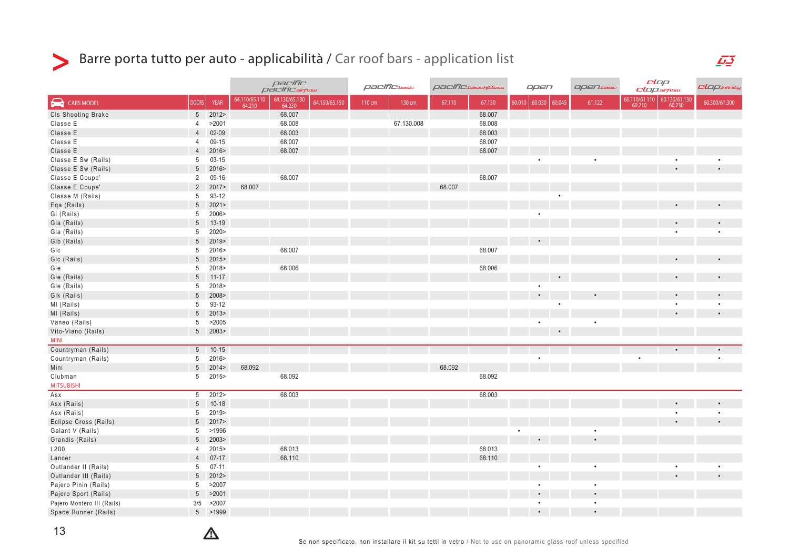

| 64.110/65.110<br>64.130/65.130<br>$\begin{array}{c c} 60.110/61.110 & 60.130/61.130 \\ 60.210 & 60.230 \end{array}$<br>YEAR<br>64.150/65.150<br>67.110<br>67.130<br>60.010 60.030 60.045<br>61.122<br>60.300/61.300<br>110 cm<br>130 cm<br><b>DOORS</b><br>64.210<br>64.230<br>Cls Shooting Brake<br>5 2012><br>68.007<br>68.007<br>Classe E<br>>2001<br>67.130.008<br>68.008<br>68.008<br>$\overline{4}$<br>$02-09$<br>68.003<br>68.003<br>$\overline{4}$<br>Classe E<br>$09 - 15$<br>68.007<br>68.007<br>$\overline{4}$<br>2016><br>68.007<br>68.007<br>$\overline{4}$<br>Classe E Sw (Rails)<br>$03 - 15$<br>5<br>Classe E Sw (Rails)<br>5 <sup>5</sup><br>2016><br>Classe E Coupe'<br>$\overline{2}$<br>09-16<br>68.007<br>68.007<br>68.007<br>68.007<br>Classe E Coupe'<br>$\overline{2}$<br>2017><br>Classe M (Rails)<br>5<br>93-12<br>5 <sup>5</sup><br>2021<br>Eqa (Rails)<br>GI (Rails)<br>2006><br>5<br>Gla (Rails)<br>5 <sup>5</sup><br>$13 - 19$<br>Gla (Rails)<br>5<br>2020><br>$5\phantom{.0}$<br>Glb (Rails)<br>2019><br>68.007<br>68.007<br>Glc<br>5<br>2016><br>5<br>Glc (Rails)<br>2015><br>$\bullet$<br>68.006<br>5<br>2018><br>68.006<br>$5\phantom{.0}$<br>Gle (Rails)<br>$11 - 17$<br>Gle (Rails)<br>2018><br>5<br>$\bullet$<br>$5\overline{)}$<br>Glk (Rails)<br>2008><br>MI (Rails)<br>5<br>93-12<br>$\bullet$<br>$\bullet$<br>MI (Rails)<br>5<br>2013<br>Vaneo (Rails)<br>>2005<br>5<br>$\bullet$<br>Vito-Viano (Rails)<br>5 <sup>5</sup><br>2003><br>$\bullet$<br><b>MINI</b><br>Countryman (Rails)<br>$10-15$<br>5 <sup>5</sup><br>2016><br>Countryman (Rails)<br>5<br>$5\overline{)}$<br>2014<br>68.092<br>68.092<br>5<br>2015><br>68.092<br>68.092<br><b>MITSUBISHI</b><br>68.003<br>2012<br>68.003<br>5<br>$5\phantom{.0}$<br>$10 - 18$<br>5<br>2019><br>$5\overline{)}$<br>2017<br>>1996<br>5<br>$\bullet$<br>$\overline{5}$<br>2003<br>2015><br>68.013<br>68.013<br>4<br>68.110<br>$07 - 17$<br>68.110<br>4<br>$07 - 11$<br>5<br>$\bullet$<br>2012<br>5 <sup>5</sup><br>>2007<br>5<br>$\bullet$<br>5 <sup>5</sup><br>>2001<br>$\bullet$<br>3/5<br>>2007<br>$\bullet$<br>5 > 1999 |                            |  | pacific<br>pacific.airflow | <i>pacific.basic</i> | <i>pacific.basicHttless</i> |  | open | Open.basic | clap<br>$L$ <i>D<sub>D</sub></i> .airflow | CLOp.infinity |
|------------------------------------------------------------------------------------------------------------------------------------------------------------------------------------------------------------------------------------------------------------------------------------------------------------------------------------------------------------------------------------------------------------------------------------------------------------------------------------------------------------------------------------------------------------------------------------------------------------------------------------------------------------------------------------------------------------------------------------------------------------------------------------------------------------------------------------------------------------------------------------------------------------------------------------------------------------------------------------------------------------------------------------------------------------------------------------------------------------------------------------------------------------------------------------------------------------------------------------------------------------------------------------------------------------------------------------------------------------------------------------------------------------------------------------------------------------------------------------------------------------------------------------------------------------------------------------------------------------------------------------------------------------------------------------------------------------------------------------------------------------------------------------------------------------------------------------------------------------------------------------------------------------------------------------------------------------------------------------------------------------------------------------------------------------------------------------------------------------------|----------------------------|--|----------------------------|----------------------|-----------------------------|--|------|------------|-------------------------------------------|---------------|
|                                                                                                                                                                                                                                                                                                                                                                                                                                                                                                                                                                                                                                                                                                                                                                                                                                                                                                                                                                                                                                                                                                                                                                                                                                                                                                                                                                                                                                                                                                                                                                                                                                                                                                                                                                                                                                                                                                                                                                                                                                                                                                                  | CARS MODEL                 |  |                            |                      |                             |  |      |            |                                           |               |
|                                                                                                                                                                                                                                                                                                                                                                                                                                                                                                                                                                                                                                                                                                                                                                                                                                                                                                                                                                                                                                                                                                                                                                                                                                                                                                                                                                                                                                                                                                                                                                                                                                                                                                                                                                                                                                                                                                                                                                                                                                                                                                                  |                            |  |                            |                      |                             |  |      |            |                                           |               |
|                                                                                                                                                                                                                                                                                                                                                                                                                                                                                                                                                                                                                                                                                                                                                                                                                                                                                                                                                                                                                                                                                                                                                                                                                                                                                                                                                                                                                                                                                                                                                                                                                                                                                                                                                                                                                                                                                                                                                                                                                                                                                                                  |                            |  |                            |                      |                             |  |      |            |                                           |               |
|                                                                                                                                                                                                                                                                                                                                                                                                                                                                                                                                                                                                                                                                                                                                                                                                                                                                                                                                                                                                                                                                                                                                                                                                                                                                                                                                                                                                                                                                                                                                                                                                                                                                                                                                                                                                                                                                                                                                                                                                                                                                                                                  | Classe E                   |  |                            |                      |                             |  |      |            |                                           |               |
|                                                                                                                                                                                                                                                                                                                                                                                                                                                                                                                                                                                                                                                                                                                                                                                                                                                                                                                                                                                                                                                                                                                                                                                                                                                                                                                                                                                                                                                                                                                                                                                                                                                                                                                                                                                                                                                                                                                                                                                                                                                                                                                  |                            |  |                            |                      |                             |  |      |            |                                           |               |
|                                                                                                                                                                                                                                                                                                                                                                                                                                                                                                                                                                                                                                                                                                                                                                                                                                                                                                                                                                                                                                                                                                                                                                                                                                                                                                                                                                                                                                                                                                                                                                                                                                                                                                                                                                                                                                                                                                                                                                                                                                                                                                                  | Classe E                   |  |                            |                      |                             |  |      |            |                                           |               |
|                                                                                                                                                                                                                                                                                                                                                                                                                                                                                                                                                                                                                                                                                                                                                                                                                                                                                                                                                                                                                                                                                                                                                                                                                                                                                                                                                                                                                                                                                                                                                                                                                                                                                                                                                                                                                                                                                                                                                                                                                                                                                                                  |                            |  |                            |                      |                             |  |      |            |                                           |               |
|                                                                                                                                                                                                                                                                                                                                                                                                                                                                                                                                                                                                                                                                                                                                                                                                                                                                                                                                                                                                                                                                                                                                                                                                                                                                                                                                                                                                                                                                                                                                                                                                                                                                                                                                                                                                                                                                                                                                                                                                                                                                                                                  |                            |  |                            |                      |                             |  |      |            |                                           |               |
|                                                                                                                                                                                                                                                                                                                                                                                                                                                                                                                                                                                                                                                                                                                                                                                                                                                                                                                                                                                                                                                                                                                                                                                                                                                                                                                                                                                                                                                                                                                                                                                                                                                                                                                                                                                                                                                                                                                                                                                                                                                                                                                  |                            |  |                            |                      |                             |  |      |            |                                           |               |
|                                                                                                                                                                                                                                                                                                                                                                                                                                                                                                                                                                                                                                                                                                                                                                                                                                                                                                                                                                                                                                                                                                                                                                                                                                                                                                                                                                                                                                                                                                                                                                                                                                                                                                                                                                                                                                                                                                                                                                                                                                                                                                                  |                            |  |                            |                      |                             |  |      |            |                                           |               |
|                                                                                                                                                                                                                                                                                                                                                                                                                                                                                                                                                                                                                                                                                                                                                                                                                                                                                                                                                                                                                                                                                                                                                                                                                                                                                                                                                                                                                                                                                                                                                                                                                                                                                                                                                                                                                                                                                                                                                                                                                                                                                                                  |                            |  |                            |                      |                             |  |      |            |                                           |               |
|                                                                                                                                                                                                                                                                                                                                                                                                                                                                                                                                                                                                                                                                                                                                                                                                                                                                                                                                                                                                                                                                                                                                                                                                                                                                                                                                                                                                                                                                                                                                                                                                                                                                                                                                                                                                                                                                                                                                                                                                                                                                                                                  |                            |  |                            |                      |                             |  |      |            |                                           |               |
|                                                                                                                                                                                                                                                                                                                                                                                                                                                                                                                                                                                                                                                                                                                                                                                                                                                                                                                                                                                                                                                                                                                                                                                                                                                                                                                                                                                                                                                                                                                                                                                                                                                                                                                                                                                                                                                                                                                                                                                                                                                                                                                  |                            |  |                            |                      |                             |  |      |            |                                           |               |
|                                                                                                                                                                                                                                                                                                                                                                                                                                                                                                                                                                                                                                                                                                                                                                                                                                                                                                                                                                                                                                                                                                                                                                                                                                                                                                                                                                                                                                                                                                                                                                                                                                                                                                                                                                                                                                                                                                                                                                                                                                                                                                                  |                            |  |                            |                      |                             |  |      |            |                                           |               |
|                                                                                                                                                                                                                                                                                                                                                                                                                                                                                                                                                                                                                                                                                                                                                                                                                                                                                                                                                                                                                                                                                                                                                                                                                                                                                                                                                                                                                                                                                                                                                                                                                                                                                                                                                                                                                                                                                                                                                                                                                                                                                                                  |                            |  |                            |                      |                             |  |      |            |                                           |               |
|                                                                                                                                                                                                                                                                                                                                                                                                                                                                                                                                                                                                                                                                                                                                                                                                                                                                                                                                                                                                                                                                                                                                                                                                                                                                                                                                                                                                                                                                                                                                                                                                                                                                                                                                                                                                                                                                                                                                                                                                                                                                                                                  |                            |  |                            |                      |                             |  |      |            |                                           |               |
|                                                                                                                                                                                                                                                                                                                                                                                                                                                                                                                                                                                                                                                                                                                                                                                                                                                                                                                                                                                                                                                                                                                                                                                                                                                                                                                                                                                                                                                                                                                                                                                                                                                                                                                                                                                                                                                                                                                                                                                                                                                                                                                  |                            |  |                            |                      |                             |  |      |            |                                           |               |
|                                                                                                                                                                                                                                                                                                                                                                                                                                                                                                                                                                                                                                                                                                                                                                                                                                                                                                                                                                                                                                                                                                                                                                                                                                                                                                                                                                                                                                                                                                                                                                                                                                                                                                                                                                                                                                                                                                                                                                                                                                                                                                                  |                            |  |                            |                      |                             |  |      |            |                                           |               |
|                                                                                                                                                                                                                                                                                                                                                                                                                                                                                                                                                                                                                                                                                                                                                                                                                                                                                                                                                                                                                                                                                                                                                                                                                                                                                                                                                                                                                                                                                                                                                                                                                                                                                                                                                                                                                                                                                                                                                                                                                                                                                                                  | Gle                        |  |                            |                      |                             |  |      |            |                                           |               |
|                                                                                                                                                                                                                                                                                                                                                                                                                                                                                                                                                                                                                                                                                                                                                                                                                                                                                                                                                                                                                                                                                                                                                                                                                                                                                                                                                                                                                                                                                                                                                                                                                                                                                                                                                                                                                                                                                                                                                                                                                                                                                                                  |                            |  |                            |                      |                             |  |      |            |                                           |               |
|                                                                                                                                                                                                                                                                                                                                                                                                                                                                                                                                                                                                                                                                                                                                                                                                                                                                                                                                                                                                                                                                                                                                                                                                                                                                                                                                                                                                                                                                                                                                                                                                                                                                                                                                                                                                                                                                                                                                                                                                                                                                                                                  |                            |  |                            |                      |                             |  |      |            |                                           |               |
|                                                                                                                                                                                                                                                                                                                                                                                                                                                                                                                                                                                                                                                                                                                                                                                                                                                                                                                                                                                                                                                                                                                                                                                                                                                                                                                                                                                                                                                                                                                                                                                                                                                                                                                                                                                                                                                                                                                                                                                                                                                                                                                  |                            |  |                            |                      |                             |  |      |            |                                           |               |
|                                                                                                                                                                                                                                                                                                                                                                                                                                                                                                                                                                                                                                                                                                                                                                                                                                                                                                                                                                                                                                                                                                                                                                                                                                                                                                                                                                                                                                                                                                                                                                                                                                                                                                                                                                                                                                                                                                                                                                                                                                                                                                                  |                            |  |                            |                      |                             |  |      |            |                                           |               |
|                                                                                                                                                                                                                                                                                                                                                                                                                                                                                                                                                                                                                                                                                                                                                                                                                                                                                                                                                                                                                                                                                                                                                                                                                                                                                                                                                                                                                                                                                                                                                                                                                                                                                                                                                                                                                                                                                                                                                                                                                                                                                                                  |                            |  |                            |                      |                             |  |      |            |                                           |               |
|                                                                                                                                                                                                                                                                                                                                                                                                                                                                                                                                                                                                                                                                                                                                                                                                                                                                                                                                                                                                                                                                                                                                                                                                                                                                                                                                                                                                                                                                                                                                                                                                                                                                                                                                                                                                                                                                                                                                                                                                                                                                                                                  |                            |  |                            |                      |                             |  |      |            |                                           |               |
|                                                                                                                                                                                                                                                                                                                                                                                                                                                                                                                                                                                                                                                                                                                                                                                                                                                                                                                                                                                                                                                                                                                                                                                                                                                                                                                                                                                                                                                                                                                                                                                                                                                                                                                                                                                                                                                                                                                                                                                                                                                                                                                  |                            |  |                            |                      |                             |  |      |            |                                           |               |
|                                                                                                                                                                                                                                                                                                                                                                                                                                                                                                                                                                                                                                                                                                                                                                                                                                                                                                                                                                                                                                                                                                                                                                                                                                                                                                                                                                                                                                                                                                                                                                                                                                                                                                                                                                                                                                                                                                                                                                                                                                                                                                                  |                            |  |                            |                      |                             |  |      |            |                                           |               |
|                                                                                                                                                                                                                                                                                                                                                                                                                                                                                                                                                                                                                                                                                                                                                                                                                                                                                                                                                                                                                                                                                                                                                                                                                                                                                                                                                                                                                                                                                                                                                                                                                                                                                                                                                                                                                                                                                                                                                                                                                                                                                                                  |                            |  |                            |                      |                             |  |      |            |                                           |               |
|                                                                                                                                                                                                                                                                                                                                                                                                                                                                                                                                                                                                                                                                                                                                                                                                                                                                                                                                                                                                                                                                                                                                                                                                                                                                                                                                                                                                                                                                                                                                                                                                                                                                                                                                                                                                                                                                                                                                                                                                                                                                                                                  |                            |  |                            |                      |                             |  |      |            |                                           |               |
|                                                                                                                                                                                                                                                                                                                                                                                                                                                                                                                                                                                                                                                                                                                                                                                                                                                                                                                                                                                                                                                                                                                                                                                                                                                                                                                                                                                                                                                                                                                                                                                                                                                                                                                                                                                                                                                                                                                                                                                                                                                                                                                  | Mini                       |  |                            |                      |                             |  |      |            |                                           |               |
|                                                                                                                                                                                                                                                                                                                                                                                                                                                                                                                                                                                                                                                                                                                                                                                                                                                                                                                                                                                                                                                                                                                                                                                                                                                                                                                                                                                                                                                                                                                                                                                                                                                                                                                                                                                                                                                                                                                                                                                                                                                                                                                  | Clubman                    |  |                            |                      |                             |  |      |            |                                           |               |
|                                                                                                                                                                                                                                                                                                                                                                                                                                                                                                                                                                                                                                                                                                                                                                                                                                                                                                                                                                                                                                                                                                                                                                                                                                                                                                                                                                                                                                                                                                                                                                                                                                                                                                                                                                                                                                                                                                                                                                                                                                                                                                                  |                            |  |                            |                      |                             |  |      |            |                                           |               |
|                                                                                                                                                                                                                                                                                                                                                                                                                                                                                                                                                                                                                                                                                                                                                                                                                                                                                                                                                                                                                                                                                                                                                                                                                                                                                                                                                                                                                                                                                                                                                                                                                                                                                                                                                                                                                                                                                                                                                                                                                                                                                                                  | Asx                        |  |                            |                      |                             |  |      |            |                                           |               |
|                                                                                                                                                                                                                                                                                                                                                                                                                                                                                                                                                                                                                                                                                                                                                                                                                                                                                                                                                                                                                                                                                                                                                                                                                                                                                                                                                                                                                                                                                                                                                                                                                                                                                                                                                                                                                                                                                                                                                                                                                                                                                                                  | Asx (Rails)                |  |                            |                      |                             |  |      |            |                                           |               |
|                                                                                                                                                                                                                                                                                                                                                                                                                                                                                                                                                                                                                                                                                                                                                                                                                                                                                                                                                                                                                                                                                                                                                                                                                                                                                                                                                                                                                                                                                                                                                                                                                                                                                                                                                                                                                                                                                                                                                                                                                                                                                                                  | Asx (Rails)                |  |                            |                      |                             |  |      |            |                                           |               |
|                                                                                                                                                                                                                                                                                                                                                                                                                                                                                                                                                                                                                                                                                                                                                                                                                                                                                                                                                                                                                                                                                                                                                                                                                                                                                                                                                                                                                                                                                                                                                                                                                                                                                                                                                                                                                                                                                                                                                                                                                                                                                                                  | Eclipse Cross (Rails)      |  |                            |                      |                             |  |      |            |                                           |               |
|                                                                                                                                                                                                                                                                                                                                                                                                                                                                                                                                                                                                                                                                                                                                                                                                                                                                                                                                                                                                                                                                                                                                                                                                                                                                                                                                                                                                                                                                                                                                                                                                                                                                                                                                                                                                                                                                                                                                                                                                                                                                                                                  | Galant V (Rails)           |  |                            |                      |                             |  |      |            |                                           |               |
|                                                                                                                                                                                                                                                                                                                                                                                                                                                                                                                                                                                                                                                                                                                                                                                                                                                                                                                                                                                                                                                                                                                                                                                                                                                                                                                                                                                                                                                                                                                                                                                                                                                                                                                                                                                                                                                                                                                                                                                                                                                                                                                  | Grandis (Rails)            |  |                            |                      |                             |  |      |            |                                           |               |
|                                                                                                                                                                                                                                                                                                                                                                                                                                                                                                                                                                                                                                                                                                                                                                                                                                                                                                                                                                                                                                                                                                                                                                                                                                                                                                                                                                                                                                                                                                                                                                                                                                                                                                                                                                                                                                                                                                                                                                                                                                                                                                                  | L200                       |  |                            |                      |                             |  |      |            |                                           |               |
|                                                                                                                                                                                                                                                                                                                                                                                                                                                                                                                                                                                                                                                                                                                                                                                                                                                                                                                                                                                                                                                                                                                                                                                                                                                                                                                                                                                                                                                                                                                                                                                                                                                                                                                                                                                                                                                                                                                                                                                                                                                                                                                  | Lancer                     |  |                            |                      |                             |  |      |            |                                           |               |
|                                                                                                                                                                                                                                                                                                                                                                                                                                                                                                                                                                                                                                                                                                                                                                                                                                                                                                                                                                                                                                                                                                                                                                                                                                                                                                                                                                                                                                                                                                                                                                                                                                                                                                                                                                                                                                                                                                                                                                                                                                                                                                                  | Outlander II (Rails)       |  |                            |                      |                             |  |      |            |                                           |               |
|                                                                                                                                                                                                                                                                                                                                                                                                                                                                                                                                                                                                                                                                                                                                                                                                                                                                                                                                                                                                                                                                                                                                                                                                                                                                                                                                                                                                                                                                                                                                                                                                                                                                                                                                                                                                                                                                                                                                                                                                                                                                                                                  | Outlander III (Rails)      |  |                            |                      |                             |  |      |            |                                           |               |
|                                                                                                                                                                                                                                                                                                                                                                                                                                                                                                                                                                                                                                                                                                                                                                                                                                                                                                                                                                                                                                                                                                                                                                                                                                                                                                                                                                                                                                                                                                                                                                                                                                                                                                                                                                                                                                                                                                                                                                                                                                                                                                                  | Pajero Pinin (Rails)       |  |                            |                      |                             |  |      |            |                                           |               |
|                                                                                                                                                                                                                                                                                                                                                                                                                                                                                                                                                                                                                                                                                                                                                                                                                                                                                                                                                                                                                                                                                                                                                                                                                                                                                                                                                                                                                                                                                                                                                                                                                                                                                                                                                                                                                                                                                                                                                                                                                                                                                                                  | Pajero Sport (Rails)       |  |                            |                      |                             |  |      |            |                                           |               |
|                                                                                                                                                                                                                                                                                                                                                                                                                                                                                                                                                                                                                                                                                                                                                                                                                                                                                                                                                                                                                                                                                                                                                                                                                                                                                                                                                                                                                                                                                                                                                                                                                                                                                                                                                                                                                                                                                                                                                                                                                                                                                                                  | Pajero Montero III (Rails) |  |                            |                      |                             |  |      |            |                                           |               |
|                                                                                                                                                                                                                                                                                                                                                                                                                                                                                                                                                                                                                                                                                                                                                                                                                                                                                                                                                                                                                                                                                                                                                                                                                                                                                                                                                                                                                                                                                                                                                                                                                                                                                                                                                                                                                                                                                                                                                                                                                                                                                                                  | Space Runner (Rails)       |  |                            |                      |                             |  |      |            |                                           |               |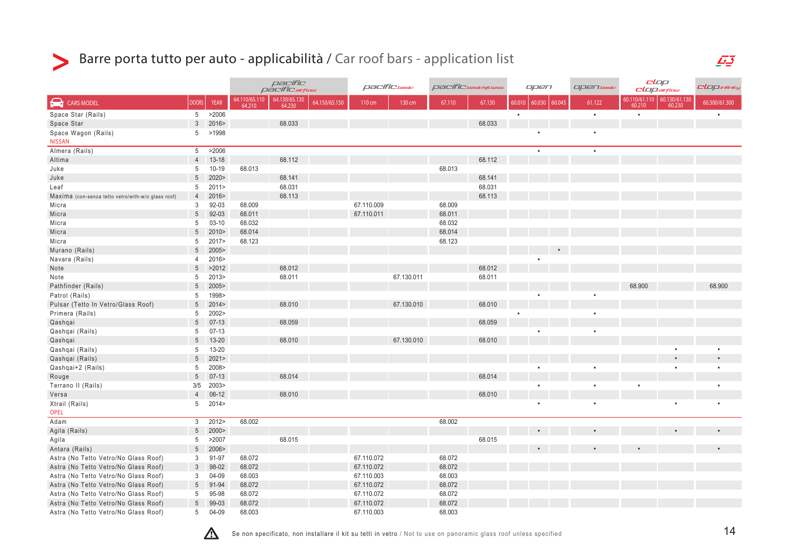

|                                                    |                 |             |                         | pacific<br>pacific.airflow |               | pacific.basic |            |        | pacific.basicHttless |           | open      |        | Open.basic |           | clop<br><b>CLOP</b> .airflow          | CLop.infinity |
|----------------------------------------------------|-----------------|-------------|-------------------------|----------------------------|---------------|---------------|------------|--------|----------------------|-----------|-----------|--------|------------|-----------|---------------------------------------|---------------|
| CARS MODEL                                         | <b>DOORS</b>    | <b>YEAR</b> | 64.110/65.110<br>64.210 | 64.130/65.130<br>64.230    | 64.150/65.150 | 110 cm        | 130 cm     | 67.110 | 67.130               | 60.010    | 60.030    | 60.045 | 61.122     | 60.210    | 60.110/61.110 60.130/61.130<br>60.230 | 60.300/61.300 |
| Space Star (Rails)                                 | $5\overline{)}$ | >2006       |                         |                            |               |               |            |        |                      | $\bullet$ |           |        | $\bullet$  | $\bullet$ |                                       | $\bullet$     |
| Space Star                                         | $\mathbf{3}$    | 2016>       |                         | 68.033                     |               |               |            |        | 68.033               |           |           |        |            |           |                                       |               |
| Space Wagon (Rails)                                | 5               | >1998       |                         |                            |               |               |            |        |                      |           |           |        | $\bullet$  |           |                                       |               |
| <b>NISSAN</b>                                      |                 |             |                         |                            |               |               |            |        |                      |           |           |        |            |           |                                       |               |
| Almera (Rails)                                     | 5               | >2006       |                         |                            |               |               |            |        |                      |           | $\bullet$ |        | $\bullet$  |           |                                       |               |
| Altima                                             | $\overline{4}$  | $13 - 18$   |                         | 68.112                     |               |               |            |        | 68.112               |           |           |        |            |           |                                       |               |
| Juke                                               | 5               | $10 - 19$   | 68.013                  |                            |               |               |            | 68.013 |                      |           |           |        |            |           |                                       |               |
| Juke                                               | 5               | 2020        |                         | 68.141                     |               |               |            |        | 68.141               |           |           |        |            |           |                                       |               |
| Leaf                                               | 5               | 2011        |                         | 68.031                     |               |               |            |        | 68.031               |           |           |        |            |           |                                       |               |
| Maxima (con-senza tetto vetro/with-w/o glass roof) | $\overline{4}$  | 2016        |                         | 68.113                     |               |               |            |        | 68.113               |           |           |        |            |           |                                       |               |
| Micra                                              | 3               | 92-03       | 68.009                  |                            |               | 67.110.009    |            | 68.009 |                      |           |           |        |            |           |                                       |               |
| Micra                                              | $5\phantom{.0}$ | 92-03       | 68.011                  |                            |               | 67.110.011    |            | 68.011 |                      |           |           |        |            |           |                                       |               |
| Micra                                              | 5               | 03-10       | 68.032                  |                            |               |               |            | 68.032 |                      |           |           |        |            |           |                                       |               |
| Micra                                              | $5\phantom{.0}$ | 2010        | 68.014                  |                            |               |               |            | 68.014 |                      |           |           |        |            |           |                                       |               |
| Micra                                              | 5               | 2017>       | 68.123                  |                            |               |               |            | 68.123 |                      |           |           |        |            |           |                                       |               |
| Murano (Rails)                                     | $5\phantom{.0}$ | 2005        |                         |                            |               |               |            |        |                      |           |           |        |            |           |                                       |               |
| Navara (Rails)                                     | 4               | 2016>       |                         |                            |               |               |            |        |                      |           |           |        |            |           |                                       |               |
| Note                                               | $5\phantom{.0}$ | >2012       |                         | 68.012                     |               |               |            |        | 68.012               |           |           |        |            |           |                                       |               |
| Note                                               | 5               | 2013>       |                         | 68.011                     |               |               | 67.130.011 |        | 68.011               |           |           |        |            |           |                                       |               |
| Pathfinder (Rails)                                 | $5\phantom{.0}$ | 2005>       |                         |                            |               |               |            |        |                      |           |           |        |            | 68.900    |                                       | 68.900        |
| Patrol (Rails)                                     | 5               | 1998>       |                         |                            |               |               |            |        |                      |           |           |        |            |           |                                       |               |
| Pulsar (Tetto In Vetro/Glass Roof)                 | $5\phantom{.0}$ | 2014        |                         | 68.010                     |               |               | 67.130.010 |        | 68.010               |           |           |        |            |           |                                       |               |
| Primera (Rails)                                    | 5               | 2002>       |                         |                            |               |               |            |        |                      |           |           |        | $\bullet$  |           |                                       |               |
| Qashqai                                            | $5\phantom{.0}$ | $07-13$     |                         | 68.059                     |               |               |            |        | 68.059               |           |           |        |            |           |                                       |               |
| Qashqai (Rails)                                    | 5               | $07-13$     |                         |                            |               |               |            |        |                      |           |           |        |            |           |                                       |               |
| Qashqai                                            | $5\phantom{.0}$ | $13 - 20$   |                         | 68.010                     |               |               | 67.130.010 |        | 68.010               |           |           |        |            |           |                                       |               |
| Qashqai (Rails)                                    | 5               | 13-20       |                         |                            |               |               |            |        |                      |           |           |        |            |           |                                       |               |
| Qashqai (Rails)                                    | $5\phantom{.0}$ | 2021        |                         |                            |               |               |            |        |                      |           |           |        |            |           |                                       |               |
| Qashqai+2 (Rails)                                  | 5               | 2008>       |                         |                            |               |               |            |        |                      |           |           |        |            |           |                                       |               |
| Rouge                                              | $5\phantom{.0}$ | $07-13$     |                         | 68.014                     |               |               |            |        | 68.014               |           |           |        |            |           |                                       |               |
| Terrano II (Rails)                                 | 3/5             | 2003>       |                         |                            |               |               |            |        |                      |           |           |        | $\bullet$  |           |                                       | $\bullet$     |
| Versa                                              | $\overline{4}$  | $06-12$     |                         | 68.010                     |               |               |            |        | 68.010               |           |           |        |            |           |                                       |               |
| Xtrail (Rails)                                     | 5               | 2014        |                         |                            |               |               |            |        |                      |           | $\bullet$ |        | $\bullet$  |           |                                       |               |
| <b>OPEL</b>                                        |                 |             |                         |                            |               |               |            |        |                      |           |           |        |            |           |                                       |               |
| Adam                                               | 3               | 2012        | 68.002                  |                            |               |               |            | 68.002 |                      |           |           |        |            |           |                                       |               |
| Agila (Rails)                                      | $5\phantom{.0}$ | 2000        |                         |                            |               |               |            |        |                      |           | $\bullet$ |        |            |           |                                       |               |
| Agila                                              | 5               | >2007       |                         | 68.015                     |               |               |            |        | 68.015               |           |           |        |            |           |                                       |               |
| Antara (Rails)                                     | $5\phantom{.0}$ | 2006>       |                         |                            |               |               |            |        |                      |           |           |        |            |           |                                       |               |
| Astra (No Tetto Vetro/No Glass Roof)               | 3               | 91-97       | 68.072                  |                            |               | 67.110.072    |            | 68.072 |                      |           |           |        |            |           |                                       |               |
| Astra (No Tetto Vetro/No Glass Roof)               | $\mathbf{3}$    | 98-02       | 68.072                  |                            |               | 67.110.072    |            | 68.072 |                      |           |           |        |            |           |                                       |               |
| Astra (No Tetto Vetro/No Glass Roof)               | 3               | 04-09       | 68.003                  |                            |               | 67.110.003    |            | 68.003 |                      |           |           |        |            |           |                                       |               |
| Astra (No Tetto Vetro/No Glass Roof)               | $5\phantom{.0}$ | 91-94       | 68.072                  |                            |               | 67.110.072    |            | 68.072 |                      |           |           |        |            |           |                                       |               |
| Astra (No Tetto Vetro/No Glass Roof)               | 5               | 95-98       | 68.072                  |                            |               | 67.110.072    |            | 68.072 |                      |           |           |        |            |           |                                       |               |
| Astra (No Tetto Vetro/No Glass Roof)               | $5\phantom{.0}$ | 99-03       | 68.072                  |                            |               | 67.110.072    |            | 68.072 |                      |           |           |        |            |           |                                       |               |
| Astra (No Tetto Vetro/No Glass Roof)               | 5               | 04-09       | 68.003                  |                            |               | 67.110.003    |            | 68.003 |                      |           |           |        |            |           |                                       |               |

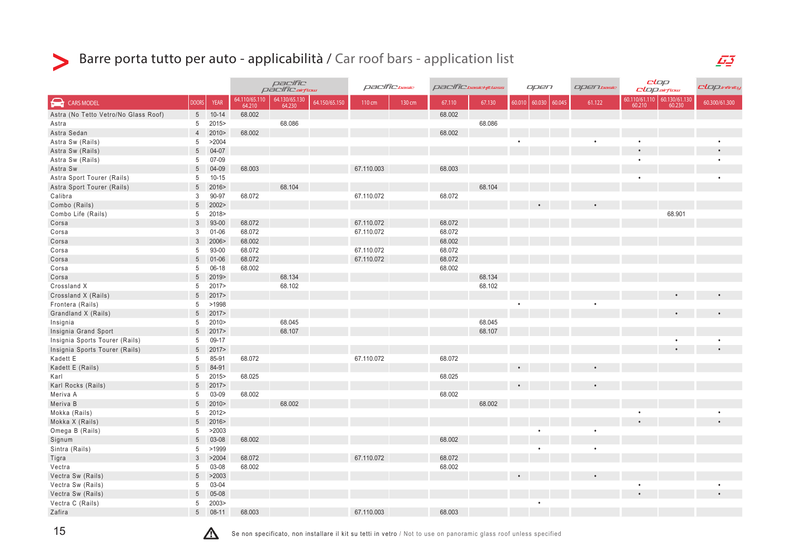

|                                      |                 |             |                         | pacific<br>pacific.airflow |               | <i><b>Pacific.basic</b></i> |        | pacific.basichitless |        |        | open            | Open.basic |        | clop<br><b>CLOP</b> .airflow          | CLop.infinity |
|--------------------------------------|-----------------|-------------|-------------------------|----------------------------|---------------|-----------------------------|--------|----------------------|--------|--------|-----------------|------------|--------|---------------------------------------|---------------|
| CARS MODEL                           | <b>DOORS</b>    | <b>YEAR</b> | 64.110/65.110<br>64.210 | 64.130/65.130<br>64.230    | 64.150/65.150 | 110 cm                      | 130 cm | 67.110               | 67.130 | 60.010 | 60.030   60.045 | 61.122     | 60.210 | 60.110/61.110 60.130/61.130<br>60.230 | 60.300/61.300 |
| Astra (No Tetto Vetro/No Glass Roof) | 5 <sup>5</sup>  | $10 - 14$   | 68.002                  |                            |               |                             |        | 68.002               |        |        |                 |            |        |                                       |               |
| Astra                                | 5               | 2015>       |                         | 68.086                     |               |                             |        |                      | 68.086 |        |                 |            |        |                                       |               |
| Astra Sedan                          | $\overline{4}$  | 2010        | 68.002                  |                            |               |                             |        | 68.002               |        |        |                 |            |        |                                       |               |
| Astra Sw (Rails)                     | 5               | >2004       |                         |                            |               |                             |        |                      |        |        |                 |            |        |                                       | $\bullet$     |
| Astra Sw (Rails)                     | $5\phantom{.0}$ | 04-07       |                         |                            |               |                             |        |                      |        |        |                 |            |        |                                       |               |
| Astra Sw (Rails)                     | 5               | 07-09       |                         |                            |               |                             |        |                      |        |        |                 |            |        |                                       |               |
| Astra Sw                             | $5\phantom{.0}$ | 04-09       | 68.003                  |                            |               | 67.110.003                  |        | 68.003               |        |        |                 |            |        |                                       |               |
| Astra Sport Tourer (Rails)           | 5               | $10 - 15$   |                         |                            |               |                             |        |                      |        |        |                 |            |        |                                       |               |
| Astra Sport Tourer (Rails)           | $5\phantom{.0}$ | 2016>       |                         | 68.104                     |               |                             |        |                      | 68.104 |        |                 |            |        |                                       |               |
| Calibra                              | 3               | 90-97       | 68.072                  |                            |               | 67.110.072                  |        | 68.072               |        |        |                 |            |        |                                       |               |
| Combo (Rails)                        | $5\phantom{.0}$ | 2002>       |                         |                            |               |                             |        |                      |        |        |                 |            |        |                                       |               |
| Combo Life (Rails)                   | 5               | 2018>       |                         |                            |               |                             |        |                      |        |        |                 |            |        | 68.901                                |               |
| Corsa                                | $\mathbf{3}$    | 93-00       | 68.072                  |                            |               | 67.110.072                  |        | 68.072               |        |        |                 |            |        |                                       |               |
| Corsa                                | 3               | $01 - 06$   | 68.072                  |                            |               | 67.110.072                  |        | 68.072               |        |        |                 |            |        |                                       |               |
| Corsa                                | $\mathbf{3}$    | 2006>       | 68.002                  |                            |               |                             |        | 68.002               |        |        |                 |            |        |                                       |               |
| Corsa                                | 5               | 93-00       | 68.072                  |                            |               | 67.110.072                  |        | 68.072               |        |        |                 |            |        |                                       |               |
| Corsa                                | $\sqrt{5}$      | $01 - 06$   | 68.072                  |                            |               | 67.110.072                  |        | 68.072               |        |        |                 |            |        |                                       |               |
| Corsa                                | 5               | $06-18$     | 68.002                  |                            |               |                             |        | 68.002               |        |        |                 |            |        |                                       |               |
| Corsa                                | $5\phantom{.0}$ | 2019>       |                         | 68.134                     |               |                             |        |                      | 68.134 |        |                 |            |        |                                       |               |
| Crossland X                          | 5               | 2017>       |                         | 68.102                     |               |                             |        |                      | 68.102 |        |                 |            |        |                                       |               |
| Crossland X (Rails)                  | $5\phantom{.0}$ | 2017        |                         |                            |               |                             |        |                      |        |        |                 |            |        |                                       |               |
| Frontera (Rails)                     | 5               | >1998       |                         |                            |               |                             |        |                      |        |        |                 | $\bullet$  |        |                                       |               |
| Grandland X (Rails)                  | 5               | 2017>       |                         |                            |               |                             |        |                      |        |        |                 |            |        |                                       |               |
| Insignia                             | 5               | 2010>       |                         | 68.045                     |               |                             |        |                      | 68.045 |        |                 |            |        |                                       |               |
| Insignia Grand Sport                 | 5               | 2017>       |                         | 68.107                     |               |                             |        |                      | 68.107 |        |                 |            |        |                                       |               |
| Insignia Sports Tourer (Rails)       | 5               | 09-17       |                         |                            |               |                             |        |                      |        |        |                 |            |        |                                       |               |
| Insignia Sports Tourer (Rails)       | 5               | 2017        |                         |                            |               |                             |        |                      |        |        |                 |            |        |                                       |               |
| Kadett E                             | 5               | 85-91       | 68.072                  |                            |               | 67.110.072                  |        | 68.072               |        |        |                 |            |        |                                       |               |
| Kadett E (Rails)                     | 5               | 84-91       |                         |                            |               |                             |        |                      |        |        |                 |            |        |                                       |               |
| Karl                                 | 5               | 2015>       | 68.025                  |                            |               |                             |        | 68.025               |        |        |                 |            |        |                                       |               |
| Karl Rocks (Rails)                   | 5               | 2017        |                         |                            |               |                             |        |                      |        |        |                 |            |        |                                       |               |
| Meriva A                             | 5               | 03-09       | 68.002                  |                            |               |                             |        | 68.002               |        |        |                 |            |        |                                       |               |
| Meriva B                             | $5\phantom{.0}$ | 2010        |                         | 68.002                     |               |                             |        |                      | 68.002 |        |                 |            |        |                                       |               |
| Mokka (Rails)                        | 5               | 2012>       |                         |                            |               |                             |        |                      |        |        |                 |            |        |                                       |               |
| Mokka X (Rails)                      | $5\phantom{.0}$ | 2016>       |                         |                            |               |                             |        |                      |        |        |                 |            |        |                                       |               |
| Omega B (Rails)                      | 5               | >2003       |                         |                            |               |                             |        |                      |        |        |                 |            |        |                                       |               |
| Signum                               | $5\phantom{.0}$ | 03-08       | 68.002                  |                            |               |                             |        | 68.002               |        |        |                 |            |        |                                       |               |
| Sintra (Rails)                       | 5               | >1999       |                         |                            |               |                             |        |                      |        |        |                 |            |        |                                       |               |
| Tigra                                | $\mathfrak{S}$  | >2004       | 68.072                  |                            |               | 67.110.072                  |        | 68.072               |        |        |                 |            |        |                                       |               |
| Vectra                               | 5               | 03-08       | 68.002                  |                            |               |                             |        | 68.002               |        |        |                 |            |        |                                       |               |
| Vectra Sw (Rails)                    | $5\phantom{.0}$ | >2003       |                         |                            |               |                             |        |                      |        |        |                 |            |        |                                       |               |
| Vectra Sw (Rails)                    | 5               | 03-04       |                         |                            |               |                             |        |                      |        |        |                 |            |        |                                       |               |
| Vectra Sw (Rails)                    | 5               | 05-08       |                         |                            |               |                             |        |                      |        |        |                 |            |        |                                       |               |
| Vectra C (Rails)                     | 5               | 2003>       |                         |                            |               |                             |        |                      |        |        |                 |            |        |                                       |               |
| Zafira                               |                 | 5 08-11     | 68.003                  |                            |               | 67.110.003                  |        | 68.003               |        |        |                 |            |        |                                       |               |
|                                      |                 |             |                         |                            |               |                             |        |                      |        |        |                 |            |        |                                       |               |

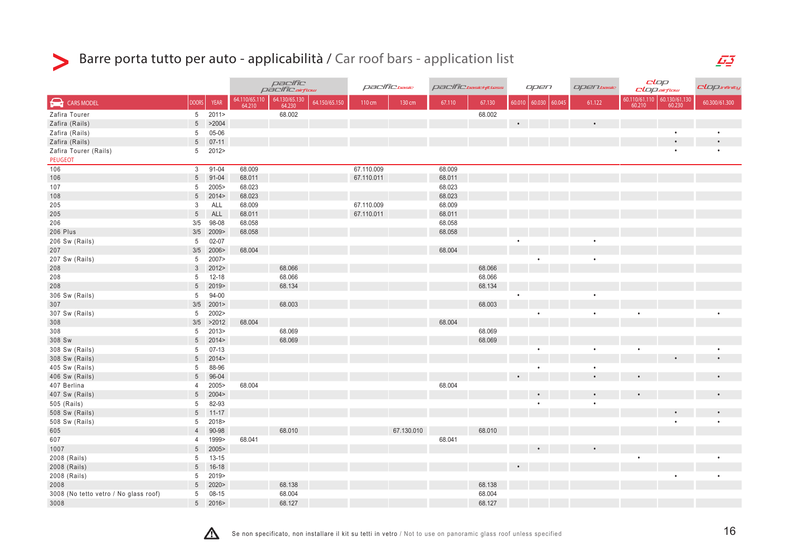

|                                            |                 |             |                         | pacific<br>pacific.airflow |               | <i>pacific.basic</i> |            | <i>pacific.basichitless</i> |        |        | open            | Open.basic | clop<br><b>CLOP</b> .airflow                                                                                 | <b>CLOP</b> .Infinity |
|--------------------------------------------|-----------------|-------------|-------------------------|----------------------------|---------------|----------------------|------------|-----------------------------|--------|--------|-----------------|------------|--------------------------------------------------------------------------------------------------------------|-----------------------|
| $\blacktriangleright$<br><b>CARS MODEL</b> | <b>DOORS</b>    | <b>YEAR</b> | 64.110/65.110<br>64.210 | 64.130/65.130<br>64.230    | 64.150/65.150 | 110 cm               | 130 cm     | 67.110                      | 67.130 | 60.010 | 60.030   60.045 | 61.122     | $\begin{array}{ c c c c }\hline 60.110/61.110& 60.130/61.130 \\ \hline 60.210& 60.230 \\ \hline \end{array}$ | 60.300/61.300         |
| Zafira Tourer                              | 5 <sup>5</sup>  | 2011>       |                         | 68.002                     |               |                      |            |                             | 68.002 |        |                 |            |                                                                                                              |                       |
| Zafira (Rails)                             | 5               | >2004       |                         |                            |               |                      |            |                             |        |        |                 |            |                                                                                                              |                       |
| Zafira (Rails)                             | 5               | 05-06       |                         |                            |               |                      |            |                             |        |        |                 |            |                                                                                                              |                       |
| Zafira (Rails)                             | 5               | $07 - 11$   |                         |                            |               |                      |            |                             |        |        |                 |            |                                                                                                              |                       |
| Zafira Tourer (Rails)                      | 5               | 2012>       |                         |                            |               |                      |            |                             |        |        |                 |            |                                                                                                              |                       |
| <b>PEUGEOT</b>                             |                 |             |                         |                            |               |                      |            |                             |        |        |                 |            |                                                                                                              |                       |
| 106                                        | $\mathbf{3}$    | $91 - 04$   | 68.009                  |                            |               | 67.110.009           |            | 68.009                      |        |        |                 |            |                                                                                                              |                       |
| 106                                        | $5\phantom{.0}$ | $91 - 04$   | 68.011                  |                            |               | 67.110.011           |            | 68.011                      |        |        |                 |            |                                                                                                              |                       |
| 107                                        | 5               | 2005>       | 68.023                  |                            |               |                      |            | 68.023                      |        |        |                 |            |                                                                                                              |                       |
| 108                                        | 5               | 2014        | 68.023                  |                            |               |                      |            | 68.023                      |        |        |                 |            |                                                                                                              |                       |
| 205                                        | 3               | <b>ALL</b>  | 68.009                  |                            |               | 67.110.009           |            | 68.009                      |        |        |                 |            |                                                                                                              |                       |
| 205                                        | $5\phantom{.0}$ | <b>ALL</b>  | 68.011                  |                            |               | 67.110.011           |            | 68.011                      |        |        |                 |            |                                                                                                              |                       |
| 206                                        | 3/5             | 98-08       | 68.058                  |                            |               |                      |            | 68.058                      |        |        |                 |            |                                                                                                              |                       |
| 206 Plus                                   | 3/5             | 2009>       | 68.058                  |                            |               |                      |            | 68.058                      |        |        |                 |            |                                                                                                              |                       |
| 206 Sw (Rails)                             | 5               | 02-07       |                         |                            |               |                      |            |                             |        |        |                 | $\bullet$  |                                                                                                              |                       |
| 207                                        | 3/5             | 2006>       | 68.004                  |                            |               |                      |            | 68.004                      |        |        |                 |            |                                                                                                              |                       |
| 207 Sw (Rails)                             | 5               | 2007>       |                         |                            |               |                      |            |                             |        |        |                 | $\bullet$  |                                                                                                              |                       |
| 208                                        | $\mathbf{3}$    | 2012        |                         | 68.066                     |               |                      |            |                             | 68.066 |        |                 |            |                                                                                                              |                       |
| 208                                        | 5               | $12 - 18$   |                         | 68.066                     |               |                      |            |                             | 68.066 |        |                 |            |                                                                                                              |                       |
| 208                                        | 5               | 2019>       |                         | 68.134                     |               |                      |            |                             | 68.134 |        |                 |            |                                                                                                              |                       |
| 306 Sw (Rails)                             | 5               | 94-00       |                         |                            |               |                      |            |                             |        |        |                 |            |                                                                                                              |                       |
| 307                                        | 3/5             | 2001        |                         | 68.003                     |               |                      |            |                             | 68.003 |        |                 |            |                                                                                                              |                       |
| 307 Sw (Rails)                             | 5               | 2002>       |                         |                            |               |                      |            |                             |        |        |                 |            |                                                                                                              |                       |
| 308                                        | 3/5             | >2012       | 68.004                  |                            |               |                      |            | 68.004                      |        |        |                 |            |                                                                                                              |                       |
| 308                                        | 5               | 2013>       |                         | 68.069                     |               |                      |            |                             | 68.069 |        |                 |            |                                                                                                              |                       |
| 308 Sw                                     | 5               | 2014        |                         | 68.069                     |               |                      |            |                             | 68.069 |        |                 |            |                                                                                                              |                       |
| 308 Sw (Rails)                             | 5               | $07-13$     |                         |                            |               |                      |            |                             |        |        |                 |            |                                                                                                              |                       |
| 308 Sw (Rails)                             | 5               | 2014        |                         |                            |               |                      |            |                             |        |        |                 |            |                                                                                                              |                       |
| 405 Sw (Rails)                             | 5               | 88-96       |                         |                            |               |                      |            |                             |        |        |                 | $\bullet$  |                                                                                                              |                       |
| 406 Sw (Rails)                             | 5               | 96-04       |                         |                            |               |                      |            |                             |        |        |                 |            |                                                                                                              |                       |
| 407 Berlina                                | $\overline{4}$  | 2005>       | 68.004                  |                            |               |                      |            | 68.004                      |        |        |                 |            |                                                                                                              |                       |
| 407 Sw (Rails)                             | 5               | 2004 >      |                         |                            |               |                      |            |                             |        |        |                 | $\bullet$  |                                                                                                              | $\bullet$             |
| 505 (Rails)                                | 5               | 82-93       |                         |                            |               |                      |            |                             |        |        |                 | $\bullet$  |                                                                                                              |                       |
| 508 Sw (Rails)                             | 5               | $11 - 17$   |                         |                            |               |                      |            |                             |        |        |                 |            |                                                                                                              |                       |
| 508 Sw (Rails)                             | 5               | 2018>       |                         |                            |               |                      |            |                             |        |        |                 |            |                                                                                                              |                       |
| 605                                        | $\overline{4}$  | 90-98       |                         | 68.010                     |               |                      | 67.130.010 |                             | 68.010 |        |                 |            |                                                                                                              |                       |
| 607                                        | 4               | 1999>       | 68.041                  |                            |               |                      |            | 68.041                      |        |        |                 |            |                                                                                                              |                       |
| 1007                                       | 5               | 2005        |                         |                            |               |                      |            |                             |        |        |                 |            |                                                                                                              |                       |
| 2008 (Rails)                               | 5               | $13 - 15$   |                         |                            |               |                      |            |                             |        |        |                 |            |                                                                                                              |                       |
| 2008 (Rails)                               | 5               | $16 - 18$   |                         |                            |               |                      |            |                             |        |        |                 |            |                                                                                                              |                       |
| 2008 (Rails)                               | 5               | 2019>       |                         |                            |               |                      |            |                             |        |        |                 |            |                                                                                                              |                       |
| 2008                                       | 5               | 2020        |                         | 68.138                     |               |                      |            |                             | 68.138 |        |                 |            |                                                                                                              |                       |
| 3008 (No tetto vetro / No glass roof)      | 5               | 08-15       |                         | 68.004                     |               |                      |            |                             | 68.004 |        |                 |            |                                                                                                              |                       |
| 3008                                       | 5               | 2016>       |                         | 68.127                     |               |                      |            |                             | 68.127 |        |                 |            |                                                                                                              |                       |

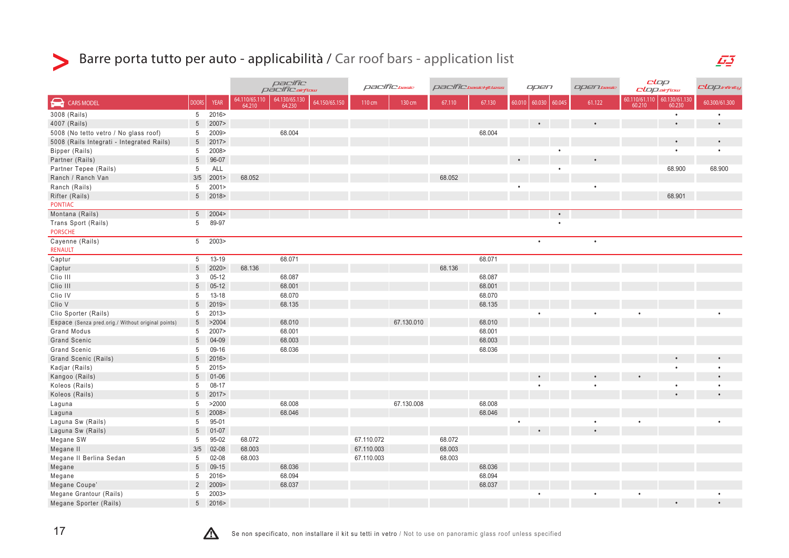

|                                                    |                 |             |                         | pacific<br><i>pacific.airflow</i> |               | <i><b>Dacific.basic</b></i> |            | <i>pacific.basichitless</i> |        |        | open      |        | <b>Open.basic</b> |               | clop<br>$cl$ <i>D<sub>P.airflow</sub></i> | CLop.infinity |
|----------------------------------------------------|-----------------|-------------|-------------------------|-----------------------------------|---------------|-----------------------------|------------|-----------------------------|--------|--------|-----------|--------|-------------------|---------------|-------------------------------------------|---------------|
| <b>Q</b> CARS MODEL                                | <b>DOORS</b>    | <b>YEAR</b> | 64.110/65.110<br>64.210 | 64.130/65.130<br>64.230           | 64.150/65.150 | 110 cm                      | 130 cm     | 67.110                      | 67.130 | 60.010 | 60.030    | 60.045 | 61.122            | 60.110/61.110 | 60.130/61.130                             | 60.300/61.300 |
| 3008 (Rails)                                       | 5 <sup>5</sup>  | 2016>       |                         |                                   |               |                             |            |                             |        |        |           |        |                   |               | $\bullet$                                 | $\bullet$     |
| 4007 (Rails)                                       | $5\overline{)}$ | 2007        |                         |                                   |               |                             |            |                             |        |        |           |        |                   |               |                                           | $\bullet$     |
| 5008 (No tetto vetro / No glass roof)              | 5               | 2009>       |                         | 68.004                            |               |                             |            |                             | 68.004 |        |           |        |                   |               |                                           |               |
| 5008 (Rails Integrati - Integrated Rails)          | $5\phantom{.0}$ | 2017>       |                         |                                   |               |                             |            |                             |        |        |           |        |                   |               | $\bullet$                                 | $\bullet$     |
| Bipper (Rails)                                     | 5               | 2008>       |                         |                                   |               |                             |            |                             |        |        |           |        |                   |               |                                           |               |
| Partner (Rails)                                    | $\overline{5}$  | 96-07       |                         |                                   |               |                             |            |                             |        |        |           |        |                   |               |                                           |               |
| Partner Tepee (Rails)                              | 5               | ALL         |                         |                                   |               |                             |            |                             |        |        |           |        |                   |               | 68.900                                    | 68.900        |
| Ranch / Ranch Van                                  | 3/5             | 2001        | 68.052                  |                                   |               |                             |            | 68.052                      |        |        |           |        |                   |               |                                           |               |
| Ranch (Rails)                                      | 5               | 2001        |                         |                                   |               |                             |            |                             |        |        |           |        |                   |               |                                           |               |
| Rifter (Rails)                                     | 5 <sup>5</sup>  | 2018>       |                         |                                   |               |                             |            |                             |        |        |           |        |                   |               | 68.901                                    |               |
| <b>PONTIAC</b>                                     |                 |             |                         |                                   |               |                             |            |                             |        |        |           |        |                   |               |                                           |               |
| Montana (Rails)                                    | $5\phantom{.0}$ | 2004 >      |                         |                                   |               |                             |            |                             |        |        |           |        |                   |               |                                           |               |
| Trans Sport (Rails)                                | 5               | 89-97       |                         |                                   |               |                             |            |                             |        |        |           |        |                   |               |                                           |               |
| <b>PORSCHE</b>                                     |                 |             |                         |                                   |               |                             |            |                             |        |        |           |        |                   |               |                                           |               |
| Cayenne (Rails)                                    | 5               | 2003>       |                         |                                   |               |                             |            |                             |        |        | $\bullet$ |        | $\bullet$         |               |                                           |               |
| <b>RENAULT</b>                                     |                 |             |                         |                                   |               |                             |            |                             |        |        |           |        |                   |               |                                           |               |
| Captur                                             | 5               | 13-19       |                         | 68.071                            |               |                             |            |                             | 68.071 |        |           |        |                   |               |                                           |               |
| Captur                                             | $\overline{5}$  | 2020        | 68.136                  |                                   |               |                             |            | 68.136                      |        |        |           |        |                   |               |                                           |               |
| Clio III                                           | 3               | $05-12$     |                         | 68.087                            |               |                             |            |                             | 68.087 |        |           |        |                   |               |                                           |               |
| Clio III                                           | $\overline{5}$  | $05-12$     |                         | 68.001                            |               |                             |            |                             | 68.001 |        |           |        |                   |               |                                           |               |
| Clio IV                                            | 5               | $13 - 18$   |                         | 68.070                            |               |                             |            |                             | 68.070 |        |           |        |                   |               |                                           |               |
| Clio V                                             | 5               | 2019>       |                         | 68.135                            |               |                             |            |                             | 68.135 |        |           |        |                   |               |                                           |               |
| Clio Sporter (Rails)                               | 5               | 2013>       |                         |                                   |               |                             |            |                             |        |        |           |        |                   |               |                                           |               |
| Espace (Senza pred.orig./ Without original points) | $5\phantom{.0}$ | >2004       |                         | 68.010                            |               |                             | 67.130.010 |                             | 68.010 |        |           |        |                   |               |                                           |               |
| Grand Modus                                        | 5               | 2007>       |                         | 68.001                            |               |                             |            |                             | 68.001 |        |           |        |                   |               |                                           |               |
| <b>Grand Scenic</b>                                | $5\phantom{.0}$ | 04-09       |                         | 68.003                            |               |                             |            |                             | 68.003 |        |           |        |                   |               |                                           |               |
| Grand Scenic                                       | 5               | 09-16       |                         | 68.036                            |               |                             |            |                             | 68.036 |        |           |        |                   |               |                                           |               |
| Grand Scenic (Rails)                               | 5               | 2016>       |                         |                                   |               |                             |            |                             |        |        |           |        |                   |               |                                           |               |
| Kadjar (Rails)                                     | 5               | 2015>       |                         |                                   |               |                             |            |                             |        |        |           |        |                   |               |                                           | $\bullet$     |
| Kangoo (Rails)                                     | 5               | $01 - 06$   |                         |                                   |               |                             |            |                             |        |        | $\bullet$ |        |                   |               |                                           |               |
| Koleos (Rails)                                     | 5               | 08-17       |                         |                                   |               |                             |            |                             |        |        | $\bullet$ |        | $\bullet$         |               |                                           | $\bullet$     |
| Koleos (Rails)                                     | $5\phantom{.0}$ | 2017        |                         |                                   |               |                             |            |                             |        |        |           |        |                   |               |                                           |               |
| Laguna                                             | 5               | >2000       |                         | 68.008                            |               |                             | 67.130.008 |                             | 68.008 |        |           |        |                   |               |                                           |               |
| Laguna                                             | $\overline{5}$  | 2008>       |                         | 68.046                            |               |                             |            |                             | 68.046 |        |           |        |                   |               |                                           |               |
| Laguna Sw (Rails)                                  | 5               | 95-01       |                         |                                   |               |                             |            |                             |        |        |           |        |                   |               |                                           |               |
| Laguna Sw (Rails)                                  | $5\phantom{.0}$ | $01 - 07$   |                         |                                   |               |                             |            |                             |        |        |           |        |                   |               |                                           |               |
| Megane SW                                          | 5               | 95-02       | 68.072                  |                                   |               | 67.110.072                  |            | 68.072                      |        |        |           |        |                   |               |                                           |               |
| Megane II                                          | 3/5             | $02 - 08$   | 68.003                  |                                   |               | 67.110.003                  |            | 68.003                      |        |        |           |        |                   |               |                                           |               |
| Megane II Berlina Sedan                            | 5               | 02-08       | 68.003                  |                                   |               | 67.110.003                  |            | 68.003                      |        |        |           |        |                   |               |                                           |               |
| Megane                                             | $5\phantom{.0}$ | $09-15$     |                         | 68.036                            |               |                             |            |                             | 68.036 |        |           |        |                   |               |                                           |               |
| Megane                                             | 5               | 2016>       |                         | 68.094                            |               |                             |            |                             | 68.094 |        |           |        |                   |               |                                           |               |
| Megane Coupe'                                      | $\overline{2}$  | 2009>       |                         | 68.037                            |               |                             |            |                             | 68.037 |        |           |        |                   |               |                                           |               |
| Megane Grantour (Rails)                            | 5               | 2003>       |                         |                                   |               |                             |            |                             |        |        | $\bullet$ |        | $\bullet$         | $\bullet$     |                                           |               |
| Megane Sporter (Rails)                             | 5               | 2016>       |                         |                                   |               |                             |            |                             |        |        |           |        |                   |               |                                           |               |

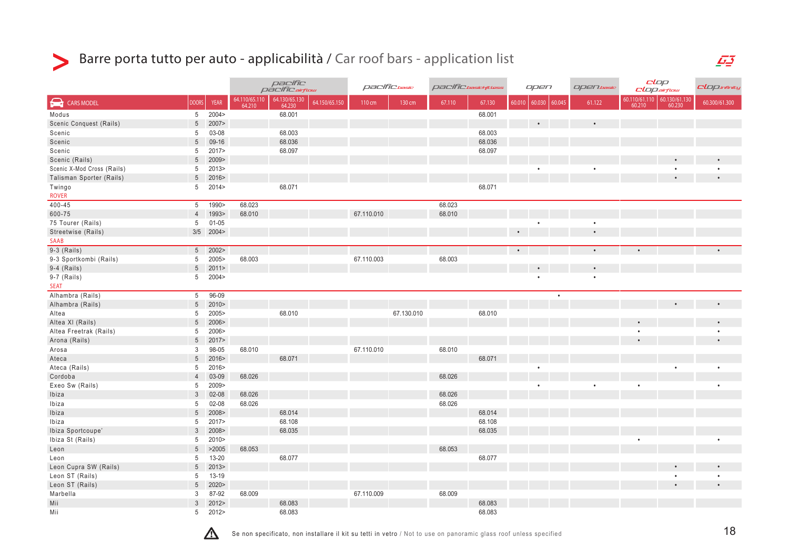

|                            |                 |             | pacific<br>pacific.airflow<br>64.130/65.130<br>64.110/65.110<br>64.150/65.150<br>64.210<br>64.230<br>68.001<br>68.003<br>68.036<br>68.097<br>68.071<br>68.023<br>68.010<br>68.003 |        | pacific.basic |            | <i>pacific.basicHttless</i> |        |        | open   | Open.basic       |           | clop<br><b>CLOP</b> .airflow | <b>CLOP</b> .infinity                 |               |
|----------------------------|-----------------|-------------|-----------------------------------------------------------------------------------------------------------------------------------------------------------------------------------|--------|---------------|------------|-----------------------------|--------|--------|--------|------------------|-----------|------------------------------|---------------------------------------|---------------|
| CARS MODEL                 | doors           | <b>YEAR</b> |                                                                                                                                                                                   |        |               | 110 cm     | 130 cm                      | 67.110 | 67.130 | 60.010 | 60.030<br>60.045 | 61.122    | 60.210                       | 60.110/61.110 60.130/61.130<br>60.230 | 60.300/61.300 |
| Modus                      | 5               | 2004        |                                                                                                                                                                                   |        |               |            |                             |        | 68.001 |        |                  |           |                              |                                       |               |
| Scenic Conquest (Rails)    | 5               | 2007>       |                                                                                                                                                                                   |        |               |            |                             |        |        |        |                  |           |                              |                                       |               |
| Scenic                     | 5               | 03-08       |                                                                                                                                                                                   |        |               |            |                             |        | 68.003 |        |                  |           |                              |                                       |               |
| Scenic                     | 5               | $09-16$     |                                                                                                                                                                                   |        |               |            |                             |        | 68.036 |        |                  |           |                              |                                       |               |
| Scenic                     | 5               | 2017>       |                                                                                                                                                                                   |        |               |            |                             |        | 68.097 |        |                  |           |                              |                                       |               |
| Scenic (Rails)             | $5\phantom{.0}$ | 2009>       |                                                                                                                                                                                   |        |               |            |                             |        |        |        |                  |           |                              |                                       |               |
| Scenic X-Mod Cross (Rails) | 5               | 2013>       |                                                                                                                                                                                   |        |               |            |                             |        |        |        |                  |           |                              |                                       |               |
| Talisman Sporter (Rails)   | $5\phantom{.0}$ | 2016        |                                                                                                                                                                                   |        |               |            |                             |        |        |        |                  |           |                              |                                       | $\bullet$     |
| Twingo                     | 5               | 2014        |                                                                                                                                                                                   |        |               |            |                             |        | 68.071 |        |                  |           |                              |                                       |               |
| <b>ROVER</b>               |                 |             |                                                                                                                                                                                   |        |               |            |                             |        |        |        |                  |           |                              |                                       |               |
| $400 - 45$                 | $5\overline{)}$ | 1990>       |                                                                                                                                                                                   |        |               |            |                             | 68.023 |        |        |                  |           |                              |                                       |               |
| 600-75                     | $\overline{4}$  | 1993>       |                                                                                                                                                                                   |        |               | 67.110.010 |                             | 68.010 |        |        |                  |           |                              |                                       |               |
| 75 Tourer (Rails)          | 5               | $01 - 05$   |                                                                                                                                                                                   |        |               |            |                             |        |        |        | $\bullet$        | $\bullet$ |                              |                                       |               |
| Streetwise (Rails)         |                 | $3/5$ 2004> |                                                                                                                                                                                   |        |               |            |                             |        |        |        |                  |           |                              |                                       |               |
| SAAB                       |                 |             |                                                                                                                                                                                   |        |               |            |                             |        |        |        |                  |           |                              |                                       |               |
| 9-3 (Rails)                | $5\phantom{.0}$ | 2002>       |                                                                                                                                                                                   |        |               |            |                             |        |        |        |                  |           |                              |                                       |               |
| 9-3 Sportkombi (Rails)     | 5               | 2005>       |                                                                                                                                                                                   |        |               | 67.110.003 |                             | 68.003 |        |        |                  |           |                              |                                       |               |
| 9-4 (Rails)                | 5               | 2011        |                                                                                                                                                                                   |        |               |            |                             |        |        |        |                  |           |                              |                                       |               |
| 9-7 (Rails)                | 5               | 2004        |                                                                                                                                                                                   |        |               |            |                             |        |        |        |                  | $\bullet$ |                              |                                       |               |
| <b>SEAT</b>                |                 |             |                                                                                                                                                                                   |        |               |            |                             |        |        |        |                  |           |                              |                                       |               |
| Alhambra (Rails)           | 5               | 96-09       |                                                                                                                                                                                   |        |               |            |                             |        |        |        |                  |           |                              |                                       |               |
| Alhambra (Rails)           | 5               | 2010        |                                                                                                                                                                                   |        |               |            |                             |        |        |        |                  |           |                              |                                       |               |
| Altea                      | 5               | 2005>       |                                                                                                                                                                                   | 68.010 |               |            | 67.130.010                  |        | 68.010 |        |                  |           |                              |                                       |               |
| Altea XI (Rails)           | $5\phantom{.0}$ | 2006>       |                                                                                                                                                                                   |        |               |            |                             |        |        |        |                  |           |                              |                                       | $\bullet$     |
| Altea Freetrak (Rails)     | 5               | 2006>       |                                                                                                                                                                                   |        |               |            |                             |        |        |        |                  |           |                              |                                       | $\bullet$     |
| Arona (Rails)              | $5\overline{)}$ | 2017>       |                                                                                                                                                                                   |        |               |            |                             |        |        |        |                  |           |                              |                                       |               |
| Arosa                      | 3               | 98-05       | 68.010                                                                                                                                                                            |        |               | 67.110.010 |                             | 68.010 |        |        |                  |           |                              |                                       |               |
| Ateca                      | $5\phantom{.0}$ | 2016>       |                                                                                                                                                                                   | 68.071 |               |            |                             |        | 68.071 |        |                  |           |                              |                                       |               |
| Ateca (Rails)              | 5               | 2016>       |                                                                                                                                                                                   |        |               |            |                             |        |        |        |                  |           |                              |                                       |               |
| Cordoba                    | $\overline{4}$  | 03-09       | 68.026                                                                                                                                                                            |        |               |            |                             | 68.026 |        |        |                  |           |                              |                                       |               |
| Exeo Sw (Rails)            | 5               | 2009>       |                                                                                                                                                                                   |        |               |            |                             |        |        |        |                  |           |                              |                                       |               |
| Ibiza                      | $\mathbf{3}$    | 02-08       | 68.026                                                                                                                                                                            |        |               |            |                             | 68.026 |        |        |                  |           |                              |                                       |               |
| Ibiza                      | 5               | 02-08       | 68.026                                                                                                                                                                            |        |               |            |                             | 68.026 |        |        |                  |           |                              |                                       |               |
| Ibiza                      | $5\phantom{.0}$ | 2008>       |                                                                                                                                                                                   | 68.014 |               |            |                             |        | 68.014 |        |                  |           |                              |                                       |               |
| Ibiza                      | 5               | 2017>       |                                                                                                                                                                                   | 68.108 |               |            |                             |        | 68.108 |        |                  |           |                              |                                       |               |
| Ibiza Sportcoupe'          | 3               | 2008>       |                                                                                                                                                                                   | 68.035 |               |            |                             |        | 68.035 |        |                  |           |                              |                                       |               |
| Ibiza St (Rails)           | 5               | 2010>       |                                                                                                                                                                                   |        |               |            |                             |        |        |        |                  |           |                              |                                       |               |
| Leon                       | 5               | >2005       | 68.053                                                                                                                                                                            |        |               |            |                             | 68.053 |        |        |                  |           |                              |                                       |               |
| Leon                       | 5               | 13-20       |                                                                                                                                                                                   | 68.077 |               |            |                             |        | 68.077 |        |                  |           |                              |                                       |               |
| Leon Cupra SW (Rails)      | 5               | 2013        |                                                                                                                                                                                   |        |               |            |                             |        |        |        |                  |           |                              |                                       |               |
| Leon ST (Rails)            | 5               | 13-19       |                                                                                                                                                                                   |        |               |            |                             |        |        |        |                  |           |                              |                                       |               |
| Leon ST (Rails)            | 5               | 2020        |                                                                                                                                                                                   |        |               |            |                             |        |        |        |                  |           |                              |                                       |               |
| Marbella                   | 3               | 87-92       | 68.009                                                                                                                                                                            |        |               | 67.110.009 |                             | 68.009 |        |        |                  |           |                              |                                       |               |
| Mii                        | 3               | 2012        |                                                                                                                                                                                   | 68.083 |               |            |                             |        | 68.083 |        |                  |           |                              |                                       |               |
| Mii                        | 5               | 2012>       |                                                                                                                                                                                   | 68.083 |               |            |                             |        | 68.083 |        |                  |           |                              |                                       |               |
|                            |                 |             |                                                                                                                                                                                   |        |               |            |                             |        |        |        |                  |           |                              |                                       |               |

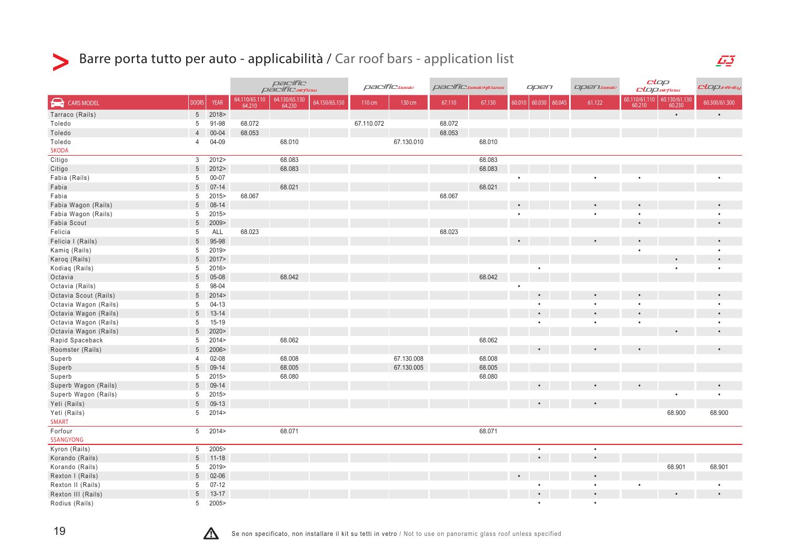

|                                              |                     |                |                         | pacific<br>pacific.airflow |               | <i><b>Pacific.basic</b></i> |                          | <i>pacific.basichitless</i> |                  |           | open            | Open.basic | $cl$ <sub>D<math>P</math>.airflow</sub>                               | $cl$ op       | <b>CLOP.infinity</b> |
|----------------------------------------------|---------------------|----------------|-------------------------|----------------------------|---------------|-----------------------------|--------------------------|-----------------------------|------------------|-----------|-----------------|------------|-----------------------------------------------------------------------|---------------|----------------------|
| CARS MODEL                                   | <b>DOORS</b>        | YEAR           | 64.110/65.110<br>64.210 | 64.130/65.130<br>64.230    | 64.150/65.150 | 110 cm                      | 130 cm                   | 67.110                      | 67.130           | 60.010    | 60.030   60.045 | 61.122     | $\left  \begin{array}{c} 60.110/61.110 \\ 60.210 \end{array} \right $ | 60.130/61.130 | 60.300/61.300        |
| Tarraco (Rails)                              |                     | 5 2018>        |                         |                            |               |                             |                          |                             |                  |           |                 |            |                                                                       |               | $\bullet$            |
| Toledo                                       | 5                   | 91-98          | 68.072                  |                            |               | 67.110.072                  |                          | 68.072                      |                  |           |                 |            |                                                                       |               |                      |
| Toledo                                       | $\overline{4}$      | 00-04          | 68.053                  |                            |               |                             |                          | 68.053                      |                  |           |                 |            |                                                                       |               |                      |
| Toledo                                       | $\overline{4}$      | 04-09          |                         | 68.010                     |               |                             | 67.130.010               |                             | 68.010           |           |                 |            |                                                                       |               |                      |
| <b>SKODA</b>                                 |                     |                |                         |                            |               |                             |                          |                             |                  |           |                 |            |                                                                       |               |                      |
| Citigo                                       | $\mathbf{3}$        | 2012           |                         | 68.083                     |               |                             |                          |                             | 68.083           |           |                 |            |                                                                       |               |                      |
| Citigo                                       | $5\phantom{.0}$     | 2012           |                         | 68.083                     |               |                             |                          |                             | 68.083           |           |                 |            |                                                                       |               |                      |
| Fabia (Rails)                                | 5                   | 00-07          |                         |                            |               |                             |                          |                             |                  |           |                 |            |                                                                       |               | $\bullet$            |
| Fabia                                        | $5\phantom{.0}$     | $07-14$        |                         | 68.021                     |               |                             |                          |                             | 68.021           |           |                 |            |                                                                       |               |                      |
| Fabia                                        | 5                   | 2015>          | 68.067                  |                            |               |                             |                          | 68.067                      |                  |           |                 |            |                                                                       |               |                      |
| Fabia Wagon (Rails)                          | 5                   | $08-14$        |                         |                            |               |                             |                          |                             |                  | $\bullet$ |                 |            |                                                                       |               |                      |
| Fabia Wagon (Rails)                          | 5                   | 2015>          |                         |                            |               |                             |                          |                             |                  |           |                 |            |                                                                       |               |                      |
| Fabia Scout                                  | $\sqrt{5}$          | 2009           |                         |                            |               |                             |                          |                             |                  |           |                 |            |                                                                       |               | $\bullet$            |
| Felicia                                      | $\overline{5}$      | ALL            | 68.023                  |                            |               |                             |                          | 68.023                      |                  |           |                 |            |                                                                       |               |                      |
| Felicia I (Rails)                            | $\sqrt{5}$          | 95-98          |                         |                            |               |                             |                          |                             |                  | $\bullet$ |                 |            |                                                                       |               | $\bullet$            |
| Kamiq (Rails)                                | $\overline{5}$      | 2019>          |                         |                            |               |                             |                          |                             |                  |           |                 |            |                                                                       |               | $\bullet$            |
| Karoq (Rails)                                | $\sqrt{5}$          | 2017           |                         |                            |               |                             |                          |                             |                  |           |                 |            |                                                                       |               |                      |
| Kodiaq (Rails)                               | 5                   | 2016>          |                         |                            |               |                             |                          |                             |                  |           |                 |            |                                                                       |               |                      |
| Octavia                                      | $\sqrt{5}$          | 05-08          |                         | 68.042                     |               |                             |                          |                             | 68.042           |           |                 |            |                                                                       |               |                      |
| Octavia (Rails)                              | 5                   | 98-04          |                         |                            |               |                             |                          |                             |                  | $\bullet$ |                 |            |                                                                       |               |                      |
| Octavia Scout (Rails)                        | $5\phantom{.0}$     | 2014           |                         |                            |               |                             |                          |                             |                  |           | $\bullet$       |            |                                                                       |               |                      |
| Octavia Wagon (Rails)                        | 5                   | $04-13$        |                         |                            |               |                             |                          |                             |                  |           | $\bullet$       | $\bullet$  |                                                                       |               | $\bullet$            |
| Octavia Wagon (Rails)                        | $5\phantom{.0}$     | $13 - 14$      |                         |                            |               |                             |                          |                             |                  |           |                 |            |                                                                       |               | $\bullet$            |
| Octavia Wagon (Rails)                        | 5                   | 15-19          |                         |                            |               |                             |                          |                             |                  |           | $\bullet$       | $\bullet$  | $\bullet$                                                             |               | $\bullet$            |
| Octavia Wagon (Rails)                        | $5\phantom{.0}$     | 2020           |                         |                            |               |                             |                          |                             |                  |           |                 |            |                                                                       |               | $\bullet$            |
| Rapid Spaceback                              | $\overline{5}$      | 2014           |                         | 68.062                     |               |                             |                          |                             | 68.062           |           |                 |            |                                                                       |               |                      |
| Roomster (Rails)                             | $5\phantom{.0}$     | 2006           |                         |                            |               |                             |                          |                             |                  |           |                 |            |                                                                       |               |                      |
| Superb                                       | $\overline{4}$      | 02-08<br>09-14 |                         | 68.008<br>68.005           |               |                             | 67.130.008<br>67.130.005 |                             | 68.008<br>68.005 |           |                 |            |                                                                       |               |                      |
| Superb                                       | $5\phantom{.0}$     |                |                         | 68.080                     |               |                             |                          |                             |                  |           |                 |            |                                                                       |               |                      |
| Superb                                       | 5<br>$\overline{5}$ | 2015><br>09-14 |                         |                            |               |                             |                          |                             | 68.080           |           |                 |            |                                                                       |               |                      |
| Superb Wagon (Rails)<br>Superb Wagon (Rails) | 5                   | 2015>          |                         |                            |               |                             |                          |                             |                  |           |                 |            |                                                                       |               | $\bullet$            |
| Yeti (Rails)                                 | $5\phantom{.0}$     | 09-13          |                         |                            |               |                             |                          |                             |                  |           |                 |            |                                                                       |               |                      |
| Yeti (Rails)                                 | 5                   | 2014>          |                         |                            |               |                             |                          |                             |                  |           |                 |            |                                                                       | 68.900        | 68.900               |
| SMART                                        |                     |                |                         |                            |               |                             |                          |                             |                  |           |                 |            |                                                                       |               |                      |
| Forfour                                      | 5 <sup>5</sup>      | 2014>          |                         | 68.071                     |               |                             |                          |                             | 68.071           |           |                 |            |                                                                       |               |                      |
| SSANGYONG                                    |                     |                |                         |                            |               |                             |                          |                             |                  |           |                 |            |                                                                       |               |                      |
| Kyron (Rails)                                | 5 <sup>5</sup>      | 2005>          |                         |                            |               |                             |                          |                             |                  |           | $\bullet$       | $\bullet$  |                                                                       |               |                      |
| Korando (Rails)                              | $\sqrt{5}$          | $11 - 18$      |                         |                            |               |                             |                          |                             |                  |           |                 |            |                                                                       |               |                      |
| Korando (Rails)                              | 5                   | 2019>          |                         |                            |               |                             |                          |                             |                  |           |                 |            |                                                                       | 68.901        | 68.901               |
| Rexton I (Rails)                             | $\overline{5}$      | 02-06          |                         |                            |               |                             |                          |                             |                  |           |                 |            |                                                                       |               |                      |
| Rexton II (Rails)                            | 5                   | $07 - 12$      |                         |                            |               |                             |                          |                             |                  |           |                 | $\bullet$  |                                                                       |               | $\bullet$            |
| Rexton III (Rails)                           | 5                   | $13-17$        |                         |                            |               |                             |                          |                             |                  |           |                 |            |                                                                       |               |                      |
| Rodius (Rails)                               | 5                   | 2005>          |                         |                            |               |                             |                          |                             |                  |           | $\bullet$       | $\bullet$  |                                                                       |               |                      |

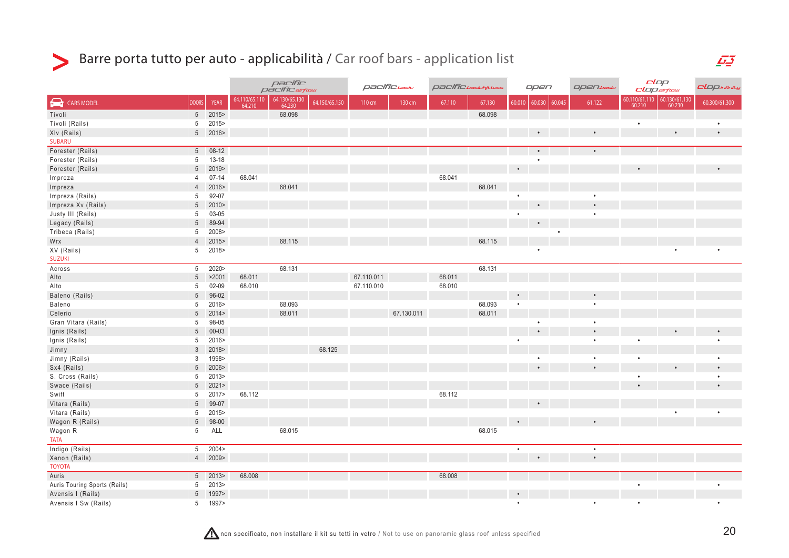

\_\_\_\_\_\_\_

|                              |                 |             |                         | pacific<br><i>pacificarfuau</i> |               | <i>pacific.basic</i> |            | <i>pacific.basicHttless</i> |        |           | open      |           | Open.basic |                                                                                   | clop<br><b>CLOP</b> .airflow | <b>CLOP</b> .Infinity |
|------------------------------|-----------------|-------------|-------------------------|---------------------------------|---------------|----------------------|------------|-----------------------------|--------|-----------|-----------|-----------|------------|-----------------------------------------------------------------------------------|------------------------------|-----------------------|
| CARS MODEL                   | <b>DOORS</b>    | <b>YEAR</b> | 64.110/65.110<br>64.210 | 64.130/65.130<br>64.230         | 64.150/65.150 | 110 cm               | 130 cm     | 67.110                      | 67.130 | 60.010    | 60.030    | 60.045    | 61.122     | $\begin{array}{c c} 60.110/61.110 & 60.130/61.130 \\ 60.210 & 60.230 \end{array}$ |                              | 60.300/61.300         |
| Tivoli                       |                 | 5 2015>     |                         | 68.098                          |               |                      |            |                             | 68.098 |           |           |           |            |                                                                                   |                              |                       |
| Tivoli (Rails)               | 5               | 2015>       |                         |                                 |               |                      |            |                             |        |           |           |           |            | $\bullet$                                                                         |                              | $\bullet$             |
| XIv (Rails)                  |                 | 5 2016>     |                         |                                 |               |                      |            |                             |        |           |           |           |            |                                                                                   | $\bullet$                    | $\bullet$             |
| <b>SUBARU</b>                |                 |             |                         |                                 |               |                      |            |                             |        |           |           |           |            |                                                                                   |                              |                       |
| Forester (Rails)             |                 | $508-12$    |                         |                                 |               |                      |            |                             |        |           | $\bullet$ |           |            |                                                                                   |                              |                       |
| Forester (Rails)             | 5               | $13 - 18$   |                         |                                 |               |                      |            |                             |        |           | $\bullet$ |           |            |                                                                                   |                              |                       |
| Forester (Rails)             | $5\phantom{.0}$ | 2019        |                         |                                 |               |                      |            |                             |        |           |           |           |            |                                                                                   |                              |                       |
| Impreza                      | 4               | $07 - 14$   | 68.041                  |                                 |               |                      |            | 68.041                      |        |           |           |           |            |                                                                                   |                              |                       |
| Impreza                      | $\overline{4}$  | 2016>       |                         | 68.041                          |               |                      |            |                             | 68.041 |           |           |           |            |                                                                                   |                              |                       |
| Impreza (Rails)              | $5\phantom{.0}$ | 92-07       |                         |                                 |               |                      |            |                             |        |           |           |           | $\bullet$  |                                                                                   |                              |                       |
| Impreza Xv (Rails)           | $\sqrt{5}$      | 2010        |                         |                                 |               |                      |            |                             |        |           | $\bullet$ |           | $\bullet$  |                                                                                   |                              |                       |
| Justy III (Rails)            | 5               | 03-05       |                         |                                 |               |                      |            |                             |        |           |           |           | $\bullet$  |                                                                                   |                              |                       |
| Legacy (Rails)               | $5\phantom{.0}$ | 89-94       |                         |                                 |               |                      |            |                             |        |           | $\bullet$ |           |            |                                                                                   |                              |                       |
| Tribeca (Rails)              | 5               | 2008>       |                         |                                 |               |                      |            |                             |        |           |           | $\bullet$ |            |                                                                                   |                              |                       |
| Wrx                          | $\overline{4}$  | 2015        |                         | 68.115                          |               |                      |            |                             | 68.115 |           |           |           |            |                                                                                   |                              |                       |
| XV (Rails)                   | 5 <sup>5</sup>  | 2018>       |                         |                                 |               |                      |            |                             |        |           | $\bullet$ |           |            |                                                                                   |                              |                       |
| <b>SUZUKI</b>                |                 |             |                         |                                 |               |                      |            |                             |        |           |           |           |            |                                                                                   |                              |                       |
| Across                       | 5               | 2020>       |                         | 68.131                          |               |                      |            |                             | 68.131 |           |           |           |            |                                                                                   |                              |                       |
| Alto                         | $\sqrt{5}$      | >2001       | 68.011                  |                                 |               | 67.110.011           |            | 68.011                      |        |           |           |           |            |                                                                                   |                              |                       |
| Alto                         | 5               | 02-09       | 68.010                  |                                 |               | 67.110.010           |            | 68.010                      |        |           |           |           |            |                                                                                   |                              |                       |
| Baleno (Rails)               | $\sqrt{5}$      | 96-02       |                         |                                 |               |                      |            |                             |        |           |           |           |            |                                                                                   |                              |                       |
| Baleno                       | 5               | 2016>       |                         | 68.093                          |               |                      |            |                             | 68.093 |           |           |           | $\bullet$  |                                                                                   |                              |                       |
| Celerio                      | $\sqrt{5}$      | 2014        |                         | 68.011                          |               |                      | 67.130.011 |                             | 68.011 |           |           |           |            |                                                                                   |                              |                       |
| Gran Vitara (Rails)          | 5               | 98-05       |                         |                                 |               |                      |            |                             |        |           |           |           | $\bullet$  |                                                                                   |                              |                       |
| Ignis (Rails)                | $5\phantom{.0}$ | 00-03       |                         |                                 |               |                      |            |                             |        |           |           |           |            |                                                                                   |                              |                       |
| Ignis (Rails)                | 5               | 2016>       |                         |                                 |               |                      |            |                             |        |           |           |           | $\bullet$  |                                                                                   |                              | $\bullet$             |
| Jimny                        | 3               | 2018>       |                         |                                 | 68.125        |                      |            |                             |        |           |           |           |            |                                                                                   |                              |                       |
| Jimny (Rails)                | 3               | 1998>       |                         |                                 |               |                      |            |                             |        |           | $\bullet$ |           | $\bullet$  | $\bullet$                                                                         |                              | $\bullet$             |
| Sx4 (Rails)                  | 5               | 2006>       |                         |                                 |               |                      |            |                             |        |           |           |           |            |                                                                                   |                              |                       |
| S. Cross (Rails)             | 5               | 2013>       |                         |                                 |               |                      |            |                             |        |           |           |           |            |                                                                                   |                              |                       |
| Swace (Rails)                | $5\phantom{.0}$ | 2021        |                         |                                 |               |                      |            |                             |        |           |           |           |            |                                                                                   |                              |                       |
| Swift                        | 5               | 2017>       | 68.112                  |                                 |               |                      |            | 68.112                      |        |           |           |           |            |                                                                                   |                              |                       |
| Vitara (Rails)               | $5\phantom{.0}$ | 99-07       |                         |                                 |               |                      |            |                             |        |           |           |           |            |                                                                                   |                              |                       |
| Vitara (Rails)               | 5               | 2015>       |                         |                                 |               |                      |            |                             |        |           |           |           |            |                                                                                   |                              |                       |
| Wagon R (Rails)              | $5\phantom{.0}$ | 98-00       |                         |                                 |               |                      |            |                             |        |           |           |           |            |                                                                                   |                              |                       |
| Wagon R                      | 5               | ALL         |                         | 68.015                          |               |                      |            |                             | 68.015 |           |           |           |            |                                                                                   |                              |                       |
| <b>TATA</b>                  |                 |             |                         |                                 |               |                      |            |                             |        |           |           |           |            |                                                                                   |                              |                       |
| Indigo (Rails)               | 5               | 2004 >      |                         |                                 |               |                      |            |                             |        | $\bullet$ |           |           | $\bullet$  |                                                                                   |                              |                       |
| Xenon (Rails)                | $\overline{4}$  | 2009>       |                         |                                 |               |                      |            |                             |        |           | $\bullet$ |           | $\bullet$  |                                                                                   |                              |                       |
| <b>TOYOTA</b>                |                 |             |                         |                                 |               |                      |            |                             |        |           |           |           |            |                                                                                   |                              |                       |
| Auris                        | 5 <sup>5</sup>  | 2013        | 68.008                  |                                 |               |                      |            | 68.008                      |        |           |           |           |            |                                                                                   |                              |                       |
| Auris Touring Sports (Rails) | 5               | 2013>       |                         |                                 |               |                      |            |                             |        |           |           |           |            | $\bullet$                                                                         |                              | $\bullet$             |
| Avensis I (Rails)            | 5               | 1997>       |                         |                                 |               |                      |            |                             |        |           |           |           |            |                                                                                   |                              |                       |
| Avensis I Sw (Rails)         | 5               | 1997>       |                         |                                 |               |                      |            |                             |        | $\bullet$ |           |           | $\bullet$  |                                                                                   |                              |                       |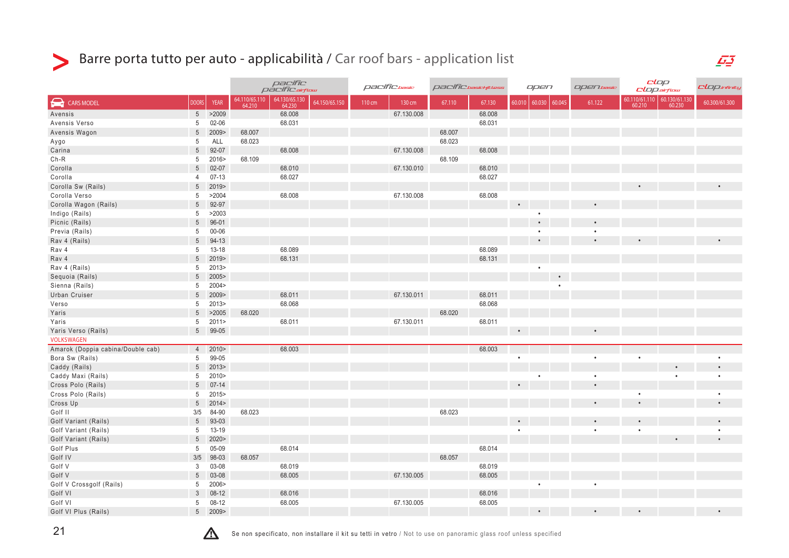

|                                   |                 |           |                         | pacific<br>pacific.airflow |               | <i>pacific.basic</i> |            | <i>pacific.basicHitless</i> |        |        | open            | Open.basic | clop<br><b>CLOP</b> .airflow                                                             | CLop.infinity |
|-----------------------------------|-----------------|-----------|-------------------------|----------------------------|---------------|----------------------|------------|-----------------------------|--------|--------|-----------------|------------|------------------------------------------------------------------------------------------|---------------|
| CARS MODEL                        | <b>DOORS</b>    | YEAR      | 64.110/65.110<br>64.210 | 64.130/65.130<br>64.230    | 64.150/65.150 | 110 cm               | 130 cm     | 67.110                      | 67.130 | 60.010 | 60.030   60.045 | 61.122     | $\begin{array}{c c} 60.110/61.110 & 60.130/61.130 \\ \hline 60.210 & 60.230 \end{array}$ | 60.300/61.300 |
| Avensis                           | 5 <sup>5</sup>  | >2009     |                         | 68.008                     |               |                      | 67.130.008 |                             | 68.008 |        |                 |            |                                                                                          |               |
| Avensis Verso                     | 5               | 02-06     |                         | 68.031                     |               |                      |            |                             | 68.031 |        |                 |            |                                                                                          |               |
| Avensis Wagon                     | 5               | 2009>     | 68.007                  |                            |               |                      |            | 68.007                      |        |        |                 |            |                                                                                          |               |
| Aygo                              | 5               | ALL       | 68.023                  |                            |               |                      |            | 68.023                      |        |        |                 |            |                                                                                          |               |
| Carina                            | 5               | 92-07     |                         | 68.008                     |               |                      | 67.130.008 |                             | 68.008 |        |                 |            |                                                                                          |               |
| $Ch-R$                            | 5               | 2016>     | 68.109                  |                            |               |                      |            | 68.109                      |        |        |                 |            |                                                                                          |               |
| Corolla                           | $5\phantom{.0}$ | $02-07$   |                         | 68.010                     |               |                      | 67.130.010 |                             | 68.010 |        |                 |            |                                                                                          |               |
| Corolla                           | $\overline{4}$  | $07 - 13$ |                         | 68.027                     |               |                      |            |                             | 68.027 |        |                 |            |                                                                                          |               |
| Corolla Sw (Rails)                | 5               | 2019>     |                         |                            |               |                      |            |                             |        |        |                 |            |                                                                                          |               |
| Corolla Verso                     | 5               | >2004     |                         | 68.008                     |               |                      | 67.130.008 |                             | 68.008 |        |                 |            |                                                                                          |               |
| Corolla Wagon (Rails)             | 5               | 92-97     |                         |                            |               |                      |            |                             |        |        |                 |            |                                                                                          |               |
| Indigo (Rails)                    | 5               | >2003     |                         |                            |               |                      |            |                             |        |        |                 |            |                                                                                          |               |
| Picnic (Rails)                    | $\overline{5}$  | 96-01     |                         |                            |               |                      |            |                             |        |        |                 |            |                                                                                          |               |
| Previa (Rails)                    | 5               | 00-06     |                         |                            |               |                      |            |                             |        |        |                 |            |                                                                                          |               |
| Rav 4 (Rails)                     | $5\overline{)}$ | $94-13$   |                         |                            |               |                      |            |                             |        |        |                 |            |                                                                                          |               |
| Rav 4                             | 5               | $13 - 18$ |                         | 68.089                     |               |                      |            |                             | 68.089 |        |                 |            |                                                                                          |               |
| Rav 4                             | 5               | 2019>     |                         | 68.131                     |               |                      |            |                             | 68.131 |        |                 |            |                                                                                          |               |
| Rav 4 (Rails)                     | 5               | 2013>     |                         |                            |               |                      |            |                             |        |        | $\bullet$       |            |                                                                                          |               |
| Sequoia (Rails)                   | $5\overline{)}$ | 2005>     |                         |                            |               |                      |            |                             |        |        | $\bullet$       |            |                                                                                          |               |
| Sienna (Rails)                    | 5               | 2004      |                         |                            |               |                      |            |                             |        |        |                 |            |                                                                                          |               |
| Urban Cruiser                     | 5               | 2009>     |                         | 68.011                     |               |                      | 67.130.011 |                             | 68.011 |        |                 |            |                                                                                          |               |
| Verso                             | 5               | 2013>     |                         | 68.068                     |               |                      |            |                             | 68.068 |        |                 |            |                                                                                          |               |
| Yaris                             | 5               | >2005     | 68.020                  |                            |               |                      |            | 68.020                      |        |        |                 |            |                                                                                          |               |
| Yaris                             | 5               | 2011      |                         | 68.011                     |               |                      | 67.130.011 |                             | 68.011 |        |                 |            |                                                                                          |               |
| Yaris Verso (Rails)               | 5 <sup>5</sup>  | 99-05     |                         |                            |               |                      |            |                             |        |        |                 |            |                                                                                          |               |
| <b>VOLKSWAGEN</b>                 |                 |           |                         |                            |               |                      |            |                             |        |        |                 |            |                                                                                          |               |
| Amarok (Doppia cabina/Double cab) | 4               | 2010      |                         | 68.003                     |               |                      |            |                             | 68.003 |        |                 |            |                                                                                          |               |
| Bora Sw (Rails)                   | 5               | 99-05     |                         |                            |               |                      |            |                             |        |        |                 |            |                                                                                          |               |
| Caddy (Rails)                     | 5               | 2013      |                         |                            |               |                      |            |                             |        |        |                 |            |                                                                                          |               |
| Caddy Maxi (Rails)                | 5               | 2010>     |                         |                            |               |                      |            |                             |        |        |                 |            |                                                                                          |               |
| Cross Polo (Rails)                | $5\phantom{.0}$ | $07-14$   |                         |                            |               |                      |            |                             |        |        |                 |            |                                                                                          |               |
| Cross Polo (Rails)                | 5               | 2015>     |                         |                            |               |                      |            |                             |        |        |                 |            |                                                                                          | $\bullet$     |
| Cross Up                          | $\overline{5}$  | 2014      |                         |                            |               |                      |            |                             |        |        |                 |            |                                                                                          |               |
| Golf II                           | 3/5             | 84-90     | 68.023                  |                            |               |                      |            | 68.023                      |        |        |                 |            |                                                                                          |               |
| Golf Variant (Rails)              | $5\,$           | 93-03     |                         |                            |               |                      |            |                             |        |        |                 |            |                                                                                          | $\bullet$     |
| Golf Variant (Rails)              | 5               | 13-19     |                         |                            |               |                      |            |                             |        |        |                 |            |                                                                                          |               |
| Golf Variant (Rails)              | $\overline{5}$  | 2020      |                         |                            |               |                      |            |                             |        |        |                 |            |                                                                                          |               |
| Golf Plus                         | 5               | 05-09     |                         | 68.014                     |               |                      |            |                             | 68.014 |        |                 |            |                                                                                          |               |
| Golf IV                           | 3/5             | 98-03     | 68.057                  |                            |               |                      |            | 68.057                      |        |        |                 |            |                                                                                          |               |
| Golf V                            | 3               | 03-08     |                         | 68.019                     |               |                      |            |                             | 68.019 |        |                 |            |                                                                                          |               |
| Golf V                            | $5\overline{)}$ | 03-08     |                         | 68.005                     |               |                      | 67.130.005 |                             | 68.005 |        |                 |            |                                                                                          |               |
| Golf V Crossgolf (Rails)          | 5               | 2006>     |                         |                            |               |                      |            |                             |        |        |                 |            |                                                                                          |               |
| Golf VI                           | 3               | $08-12$   |                         | 68.016                     |               |                      |            |                             | 68.016 |        |                 |            |                                                                                          |               |
| Golf VI                           | 5               | $08-12$   |                         | 68.005                     |               |                      | 67.130.005 |                             | 68.005 |        |                 |            |                                                                                          |               |
| Golf VI Plus (Rails)              | 5               | 2009      |                         |                            |               |                      |            |                             |        |        | $\bullet$       |            |                                                                                          |               |

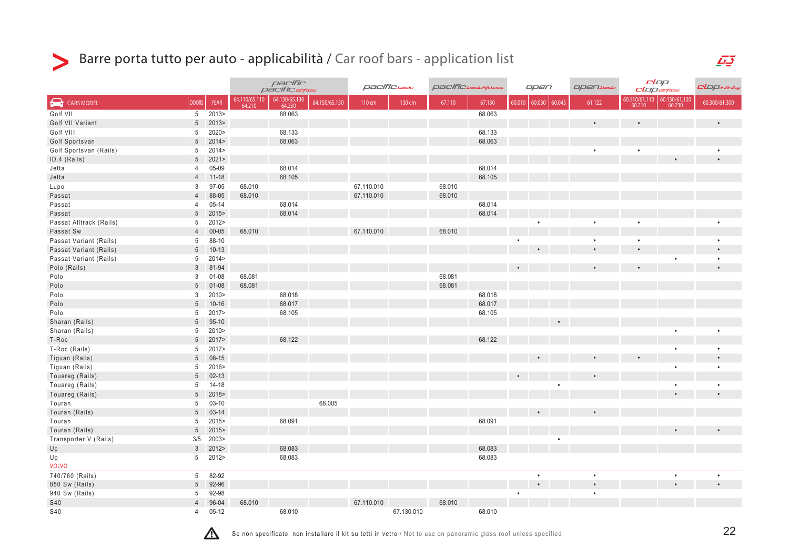

|                                              |                 |             |                         | pacific<br><i>pacificarfuau</i> |               | <i>pacific.basic</i> |            | <i>pacific.basicHtless</i> |        | open                 | Open.basic |        | clop<br><b>CLOP</b> airflow             | <b>CLOP</b> .infinity |
|----------------------------------------------|-----------------|-------------|-------------------------|---------------------------------|---------------|----------------------|------------|----------------------------|--------|----------------------|------------|--------|-----------------------------------------|-----------------------|
| CARS MODEL                                   | <b>DOORS</b>    | <b>YEAR</b> | 64.110/65.110<br>64.210 | 64.130/65.130<br>64.230         | 64.150/65.150 | 110 cm               | 130 cm     | 67.110                     | 67.130 | 60.010 60.030 60.045 | 61.122     | 60.210 | $60.110/61.110$ 60.130/61.130<br>60.230 | 60.300/61.300         |
| Golf VII                                     | 5               | 2013>       |                         | 68.063                          |               |                      |            |                            | 68.063 |                      |            |        |                                         |                       |
| Golf VII Variant                             | $5\phantom{.0}$ | 2013        |                         |                                 |               |                      |            |                            |        |                      |            |        |                                         | $\bullet$             |
| Golf VIII                                    | 5               | 2020>       |                         | 68.133                          |               |                      |            |                            | 68.133 |                      |            |        |                                         |                       |
| Golf Sportsvan                               | 5               | 2014        |                         | 68.063                          |               |                      |            |                            | 68.063 |                      |            |        |                                         |                       |
| Golf Sportsvan (Rails)                       | 5               | 2014        |                         |                                 |               |                      |            |                            |        |                      |            |        |                                         |                       |
| ID.4 (Rails)                                 | 5               | 2021        |                         |                                 |               |                      |            |                            |        |                      |            |        |                                         |                       |
| Jetta                                        | $\overline{4}$  | 05-09       |                         | 68.014                          |               |                      |            |                            | 68.014 |                      |            |        |                                         |                       |
| Jetta                                        | $\overline{4}$  | $11 - 18$   |                         | 68.105                          |               |                      |            |                            | 68.105 |                      |            |        |                                         |                       |
| Lupo                                         | 3               | 97-05       | 68.010                  |                                 |               | 67.110.010           |            | 68.010                     |        |                      |            |        |                                         |                       |
| Passat                                       | $\overline{4}$  | 88-05       | 68.010                  |                                 |               | 67.110.010           |            | 68.010                     |        |                      |            |        |                                         |                       |
| Passat                                       | $\overline{4}$  | $05 - 14$   |                         | 68.014                          |               |                      |            |                            | 68.014 |                      |            |        |                                         |                       |
| Passat                                       | 5               | 2015        |                         | 68.014                          |               |                      |            |                            | 68.014 |                      |            |        |                                         |                       |
| Passat Alltrack (Rails)                      | 5               | 2012>       |                         |                                 |               |                      |            |                            |        |                      |            |        |                                         | $\bullet$             |
| Passat Sw                                    | $\overline{4}$  | $00 - 05$   | 68.010                  |                                 |               | 67.110.010           |            | 68.010                     |        |                      |            |        |                                         |                       |
| Passat Variant (Rails)                       | 5               | 88-10       |                         |                                 |               |                      |            |                            |        |                      |            |        |                                         |                       |
| Passat Variant (Rails)                       | 5               | $10 - 13$   |                         |                                 |               |                      |            |                            |        |                      |            |        |                                         |                       |
| Passat Variant (Rails)                       | 5               | 2014        |                         |                                 |               |                      |            |                            |        |                      |            |        |                                         | $\bullet$             |
| Polo (Rails)                                 | $\mathbf{3}$    | 81-94       |                         |                                 |               |                      |            |                            |        |                      |            |        |                                         |                       |
| Polo                                         | 3               | $01 - 08$   | 68.081                  |                                 |               |                      |            | 68.081                     |        |                      |            |        |                                         |                       |
| Polo                                         | 5               | $01 - 08$   | 68.081                  |                                 |               |                      |            | 68.081                     |        |                      |            |        |                                         |                       |
| Polo                                         | 3               | 2010>       |                         | 68.018                          |               |                      |            |                            | 68.018 |                      |            |        |                                         |                       |
| Polo                                         | 5               | $10 - 16$   |                         | 68.017                          |               |                      |            |                            | 68.017 |                      |            |        |                                         |                       |
| Polo                                         | 5               | 2017>       |                         | 68.105                          |               |                      |            |                            | 68.105 |                      |            |        |                                         |                       |
| Sharan (Rails)                               | 5               | $95 - 10$   |                         |                                 |               |                      |            |                            |        |                      |            |        |                                         |                       |
| Sharan (Rails)                               | 5               | 2010>       |                         |                                 |               |                      |            |                            |        |                      |            |        |                                         |                       |
| T-Roc                                        | $5\phantom{.0}$ | 2017        |                         | 68.122                          |               |                      |            |                            | 68.122 |                      |            |        |                                         |                       |
| T-Roc (Rails)                                | 5               | 2017>       |                         |                                 |               |                      |            |                            |        |                      |            |        |                                         |                       |
| Tiguan (Rails)                               | 5               | $08-15$     |                         |                                 |               |                      |            |                            |        |                      |            |        |                                         |                       |
| Tiguan (Rails)                               | 5               | 2016>       |                         |                                 |               |                      |            |                            |        |                      |            |        |                                         | $\bullet$             |
| Touareg (Rails)                              | 5               | $02 - 13$   |                         |                                 |               |                      |            |                            |        |                      |            |        |                                         |                       |
| Touareg (Rails)                              | 5               | $14 - 18$   |                         |                                 |               |                      |            |                            |        |                      |            |        |                                         |                       |
| Touareg (Rails)                              | $5\phantom{.0}$ | 2018>       |                         |                                 |               |                      |            |                            |        |                      |            |        |                                         |                       |
| Touran                                       | 5               | $03 - 10$   |                         |                                 | 68.005        |                      |            |                            |        |                      |            |        |                                         |                       |
| Touran (Rails)                               | 5               | $03 - 14$   |                         |                                 |               |                      |            |                            |        |                      |            |        |                                         |                       |
| Touran                                       | 5               | 2015>       |                         | 68.091                          |               |                      |            |                            | 68.091 |                      |            |        |                                         |                       |
| Touran (Rails)                               | $5\phantom{.0}$ | 2015>       |                         |                                 |               |                      |            |                            |        |                      |            |        |                                         |                       |
| Transporter V (Rails)                        | 3/5             | 2003>       |                         |                                 |               |                      |            |                            |        |                      |            |        |                                         |                       |
| $\mathsf{Up}% _{T}\left( \mathcal{M}\right)$ | $\mathbf{3}$    | 2012        |                         | 68.083                          |               |                      |            |                            | 68.083 |                      |            |        |                                         |                       |
| Up                                           | 5               | 2012        |                         | 68.083                          |               |                      |            |                            | 68.083 |                      |            |        |                                         |                       |
| <b>VOLVO</b>                                 |                 |             |                         |                                 |               |                      |            |                            |        |                      |            |        |                                         |                       |
| 740/760 (Rails)                              | 5               | 82-92       |                         |                                 |               |                      |            |                            |        | $\bullet$            | $\bullet$  |        | $\bullet$                               |                       |
| 850 Sw (Rails)                               | $5\phantom{.0}$ | 92-96       |                         |                                 |               |                      |            |                            |        |                      |            |        |                                         |                       |
| 940 Sw (Rails)                               | 5               | 92-98       |                         |                                 |               |                      |            |                            |        |                      | $\bullet$  |        |                                         |                       |
| <b>S40</b>                                   | $\overline{4}$  | 96-04       | 68.010                  |                                 |               | 67.110.010           |            | 68.010                     |        |                      |            |        |                                         |                       |
| <b>S40</b>                                   | 4               | $05-12$     |                         | 68.010                          |               |                      | 67.130.010 |                            | 68.010 |                      |            |        |                                         |                       |